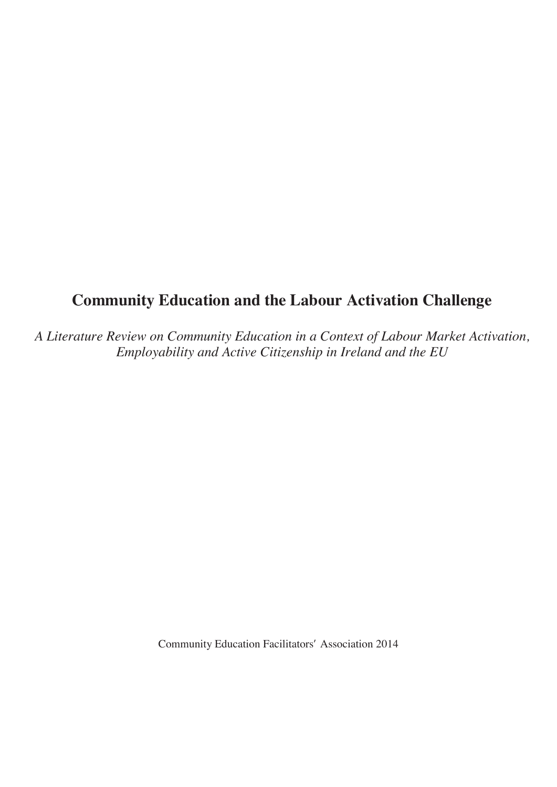# **Community Education and the Labour Activation Challenge**

*A Literature Review on Community Education in a Context of Labour Market Activation, Employability and Active Citizenship in Ireland and the EU*

Community Education Facilitators' Association 2014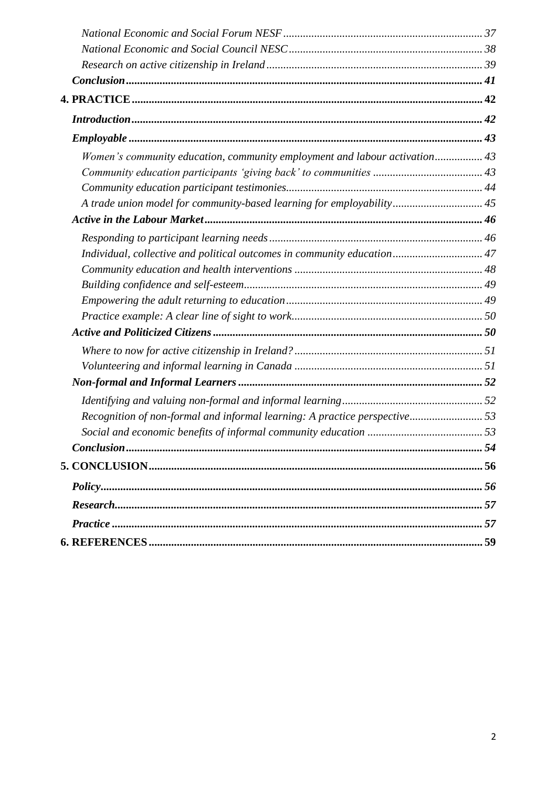| Women's community education, community employment and labour activation 43 |  |
|----------------------------------------------------------------------------|--|
|                                                                            |  |
|                                                                            |  |
| A trade union model for community-based learning for employability 45      |  |
|                                                                            |  |
|                                                                            |  |
| Individual, collective and political outcomes in community education 47    |  |
|                                                                            |  |
|                                                                            |  |
|                                                                            |  |
|                                                                            |  |
|                                                                            |  |
|                                                                            |  |
|                                                                            |  |
|                                                                            |  |
|                                                                            |  |
| Recognition of non-formal and informal learning: A practice perspective53  |  |
|                                                                            |  |
|                                                                            |  |
|                                                                            |  |
|                                                                            |  |
|                                                                            |  |
|                                                                            |  |
|                                                                            |  |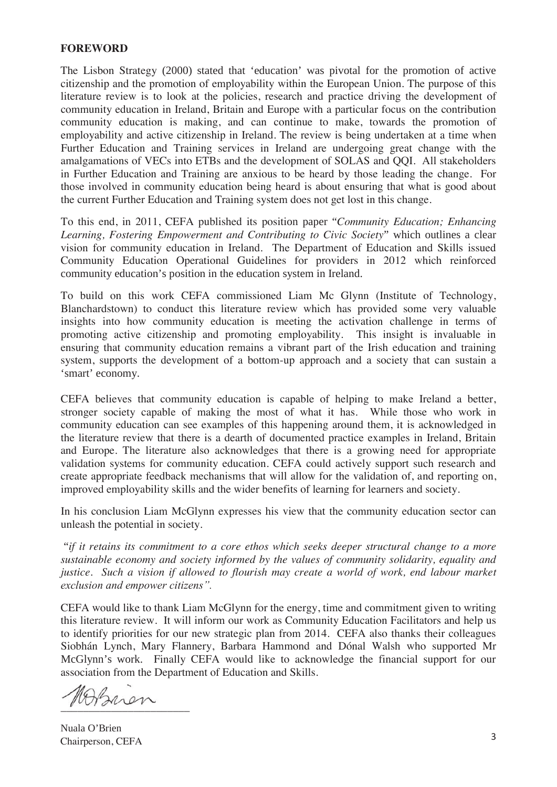### **FOREWORD**

The Lisbon Strategy (2000) stated that 'education' was pivotal for the promotion of active citizenship and the promotion of employability within the European Union. The purpose of this literature review is to look at the policies, research and practice driving the development of community education in Ireland, Britain and Europe with a particular focus on the contribution community education is making, and can continue to make, towards the promotion of employability and active citizenship in Ireland. The review is being undertaken at a time when Further Education and Training services in Ireland are undergoing great change with the amalgamations of VECs into ETBs and the development of SOLAS and QQI. All stakeholders in Further Education and Training are anxious to be heard by those leading the change. For those involved in community education being heard is about ensuring that what is good about the current Further Education and Training system does not get lost in this change.

To this end, in 2011, CEFA published its position paper "*Community Education; Enhancing Learning, Fostering Empowerment and Contributing to Civic Society*" which outlines a clear vision for community education in Ireland. The Department of Education and Skills issued Community Education Operational Guidelines for providers in 2012 which reinforced community education's position in the education system in Ireland.

To build on this work CEFA commissioned Liam Mc Glynn (Institute of Technology, Blanchardstown) to conduct this literature review which has provided some very valuable insights into how community education is meeting the activation challenge in terms of promoting active citizenship and promoting employability. This insight is invaluable in ensuring that community education remains a vibrant part of the Irish education and training system, supports the development of a bottom-up approach and a society that can sustain a 'smart' economy.

CEFA believes that community education is capable of helping to make Ireland a better, stronger society capable of making the most of what it has. While those who work in community education can see examples of this happening around them, it is acknowledged in the literature review that there is a dearth of documented practice examples in Ireland, Britain and Europe. The literature also acknowledges that there is a growing need for appropriate validation systems for community education. CEFA could actively support such research and create appropriate feedback mechanisms that will allow for the validation of, and reporting on, improved employability skills and the wider benefits of learning for learners and society.

In his conclusion Liam McGlynn expresses his view that the community education sector can unleash the potential in society.

"*if it retains its commitment to a core ethos which seeks deeper structural change to a more sustainable economy and society informed by the values of community solidarity, equality and justice. Such a vision if allowed to flourish may create a world of work, end labour market exclusion and empower citizens".* 

CEFA would like to thank Liam McGlynn for the energy, time and commitment given to writing this literature review. It will inform our work as Community Education Facilitators and help us to identify priorities for our new strategic plan from 2014. CEFA also thanks their colleagues Siobhán Lynch, Mary Flannery, Barbara Hammond and Dónal Walsh who supported Mr McGlynn's work. Finally CEFA would like to acknowledge the financial support for our association from the Department of Education and Skills.

 $\sqrt{2}$ 

Nuala O'Brien Chairperson, CEFA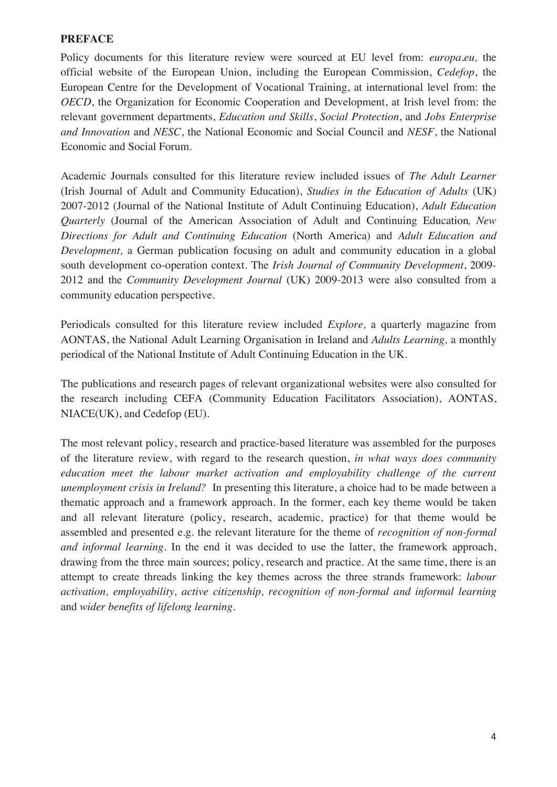# **PREFACE**

Policy documents for this literature review were sourced at EU level from: *europa.eu,* the official website of the European Union, including the European Commission, *Cedefop*, the European Centre for the Development of Vocational Training, at international level from: the *OECD*, the Organization for Economic Cooperation and Development, at Irish level from: the relevant government departments, *Education and Skills*, *Social Protection*, and *Jobs Enterprise and Innovation* and *NESC*, the National Economic and Social Council and *NESF*, the National Economic and Social Forum.

Academic Journals consulted for this literature review included issues of *The Adult Learner*  (Irish Journal of Adult and Community Education), *Studies in the Education of Adults* (UK) 2007-2012 (Journal of the National Institute of Adult Continuing Education), *Adult Education Quarterly* (Journal of the American Association of Adult and Continuing Education*, New Directions for Adult and Continuing Education* (North America) and *Adult Education and Development,* a German publication focusing on adult and community education in a global south development co-operation context. The *Irish Journal of Community Development*, 2009- 2012 and the *Community Development Journal* (UK) 2009-2013 were also consulted from a community education perspective.

Periodicals consulted for this literature review included *Explore,* a quarterly magazine from AONTAS, the National Adult Learning Organisation in Ireland and *Adults Learning,* a monthly periodical of the National Institute of Adult Continuing Education in the UK.

The publications and research pages of relevant organizational websites were also consulted for the research including CEFA (Community Education Facilitators Association), AONTAS, NIACE(UK), and Cedefop (EU).

The most relevant policy, research and practice-based literature was assembled for the purposes of the literature review, with regard to the research question, *in what ways does community education meet the labour market activation and employability challenge of the current unemployment crisis in Ireland?* In presenting this literature, a choice had to be made between a thematic approach and a framework approach. In the former, each key theme would be taken and all relevant literature (policy, research, academic, practice) for that theme would be assembled and presented e.g. the relevant literature for the theme of *recognition of non-formal and informal learning.* In the end it was decided to use the latter, the framework approach, drawing from the three main sources; policy, research and practice. At the same time, there is an attempt to create threads linking the key themes across the three strands framework: *labour activation, employability, active citizenship, recognition of non-formal and informal learning* and *wider benefits of lifelong learning.*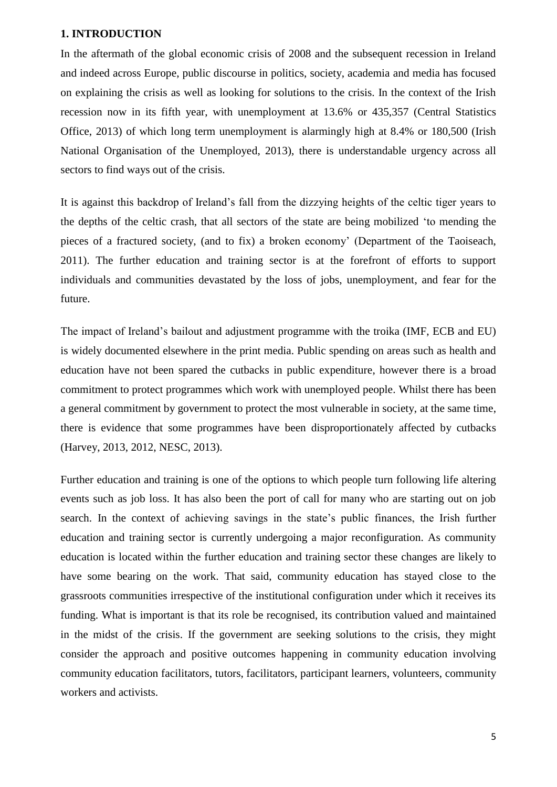#### <span id="page-5-0"></span>**1. INTRODUCTION**

In the aftermath of the global economic crisis of 2008 and the subsequent recession in Ireland and indeed across Europe, public discourse in politics, society, academia and media has focused on explaining the crisis as well as looking for solutions to the crisis. In the context of the Irish recession now in its fifth year, with unemployment at 13.6% or 435,357 (Central Statistics Office, 2013) of which long term unemployment is alarmingly high at 8.4% or 180,500 (Irish National Organisation of the Unemployed, 2013), there is understandable urgency across all sectors to find ways out of the crisis.

It is against this backdrop of Ireland's fall from the dizzying heights of the celtic tiger years to the depths of the celtic crash, that all sectors of the state are being mobilized 'to mending the pieces of a fractured society, (and to fix) a broken economy' (Department of the Taoiseach, 2011). The further education and training sector is at the forefront of efforts to support individuals and communities devastated by the loss of jobs, unemployment, and fear for the future.

The impact of Ireland's bailout and adjustment programme with the troika (IMF, ECB and EU) is widely documented elsewhere in the print media. Public spending on areas such as health and education have not been spared the cutbacks in public expenditure, however there is a broad commitment to protect programmes which work with unemployed people. Whilst there has been a general commitment by government to protect the most vulnerable in society, at the same time, there is evidence that some programmes have been disproportionately affected by cutbacks (Harvey, 2013, 2012, NESC, 2013).

Further education and training is one of the options to which people turn following life altering events such as job loss. It has also been the port of call for many who are starting out on job search. In the context of achieving savings in the state's public finances, the Irish further education and training sector is currently undergoing a major reconfiguration. As community education is located within the further education and training sector these changes are likely to have some bearing on the work. That said, community education has stayed close to the grassroots communities irrespective of the institutional configuration under which it receives its funding. What is important is that its role be recognised, its contribution valued and maintained in the midst of the crisis. If the government are seeking solutions to the crisis, they might consider the approach and positive outcomes happening in community education involving community education facilitators, tutors, facilitators, participant learners, volunteers, community workers and activists.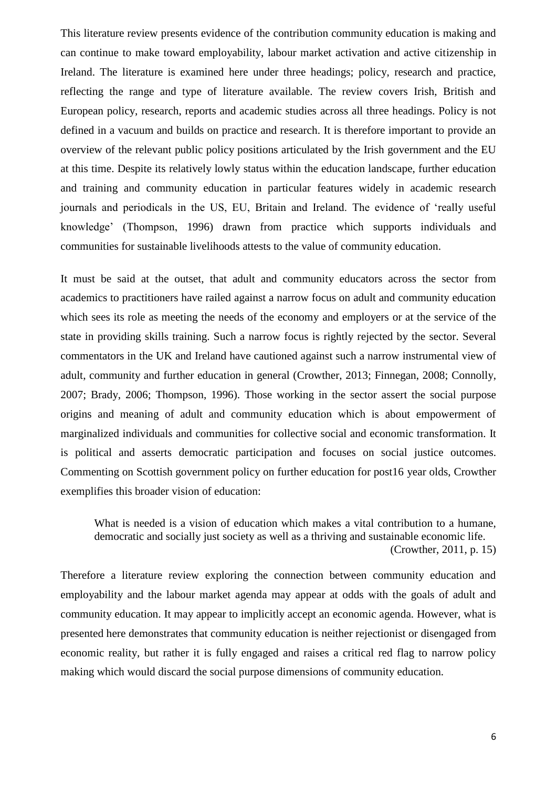This literature review presents evidence of the contribution community education is making and can continue to make toward employability, labour market activation and active citizenship in Ireland. The literature is examined here under three headings; policy, research and practice, reflecting the range and type of literature available. The review covers Irish, British and European policy, research, reports and academic studies across all three headings. Policy is not defined in a vacuum and builds on practice and research. It is therefore important to provide an overview of the relevant public policy positions articulated by the Irish government and the EU at this time. Despite its relatively lowly status within the education landscape, further education and training and community education in particular features widely in academic research journals and periodicals in the US, EU, Britain and Ireland. The evidence of 'really useful knowledge' (Thompson, 1996) drawn from practice which supports individuals and communities for sustainable livelihoods attests to the value of community education.

It must be said at the outset, that adult and community educators across the sector from academics to practitioners have railed against a narrow focus on adult and community education which sees its role as meeting the needs of the economy and employers or at the service of the state in providing skills training. Such a narrow focus is rightly rejected by the sector. Several commentators in the UK and Ireland have cautioned against such a narrow instrumental view of adult, community and further education in general (Crowther, 2013; Finnegan, 2008; Connolly, 2007; Brady, 2006; Thompson, 1996). Those working in the sector assert the social purpose origins and meaning of adult and community education which is about empowerment of marginalized individuals and communities for collective social and economic transformation. It is political and asserts democratic participation and focuses on social justice outcomes. Commenting on Scottish government policy on further education for post16 year olds, Crowther exemplifies this broader vision of education:

What is needed is a vision of education which makes a vital contribution to a humane. democratic and socially just society as well as a thriving and sustainable economic life. (Crowther, 2011, p. 15)

Therefore a literature review exploring the connection between community education and employability and the labour market agenda may appear at odds with the goals of adult and community education. It may appear to implicitly accept an economic agenda. However, what is presented here demonstrates that community education is neither rejectionist or disengaged from economic reality, but rather it is fully engaged and raises a critical red flag to narrow policy making which would discard the social purpose dimensions of community education.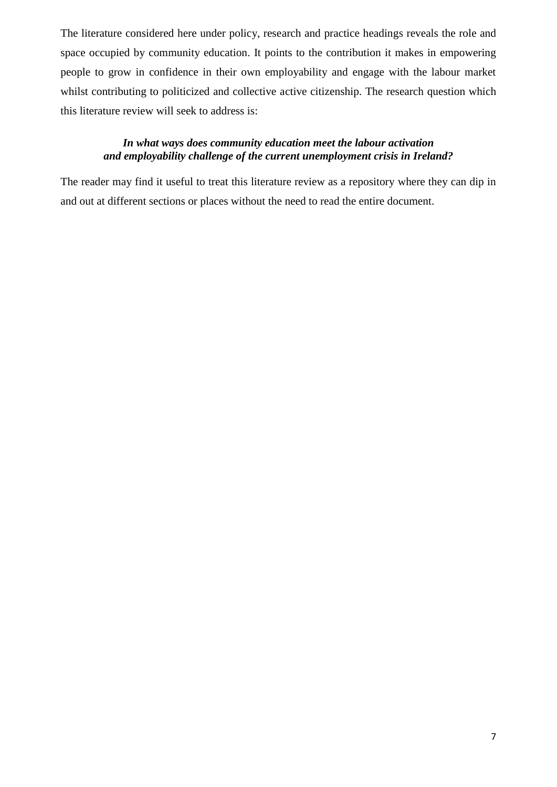The literature considered here under policy, research and practice headings reveals the role and space occupied by community education. It points to the contribution it makes in empowering people to grow in confidence in their own employability and engage with the labour market whilst contributing to politicized and collective active citizenship. The research question which this literature review will seek to address is:

# *In what ways does community education meet the labour activation and employability challenge of the current unemployment crisis in Ireland?*

The reader may find it useful to treat this literature review as a repository where they can dip in and out at different sections or places without the need to read the entire document.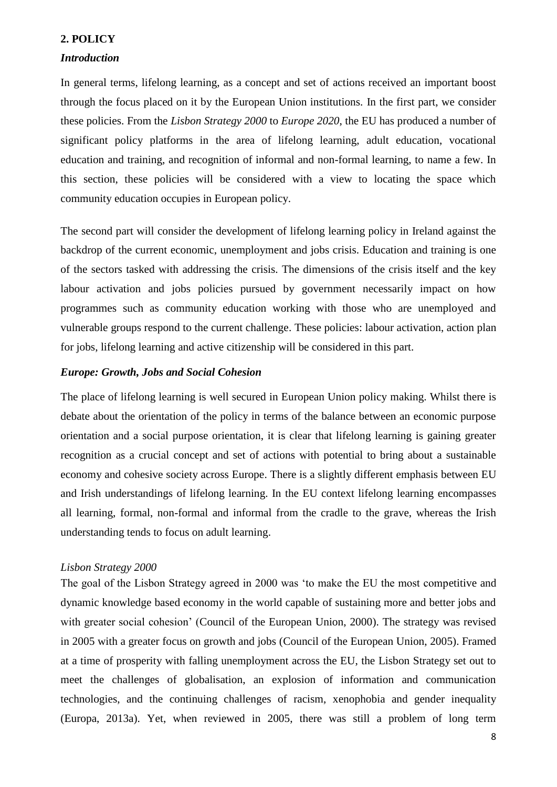# <span id="page-8-0"></span>**2. POLICY**

### <span id="page-8-1"></span>*Introduction*

In general terms, lifelong learning, as a concept and set of actions received an important boost through the focus placed on it by the European Union institutions. In the first part, we consider these policies. From the *Lisbon Strategy 2000* to *Europe 2020*, the EU has produced a number of significant policy platforms in the area of lifelong learning, adult education, vocational education and training, and recognition of informal and non-formal learning, to name a few. In this section, these policies will be considered with a view to locating the space which community education occupies in European policy.

The second part will consider the development of lifelong learning policy in Ireland against the backdrop of the current economic, unemployment and jobs crisis. Education and training is one of the sectors tasked with addressing the crisis. The dimensions of the crisis itself and the key labour activation and jobs policies pursued by government necessarily impact on how programmes such as community education working with those who are unemployed and vulnerable groups respond to the current challenge. These policies: labour activation, action plan for jobs, lifelong learning and active citizenship will be considered in this part.

### <span id="page-8-2"></span>*Europe: Growth, Jobs and Social Cohesion*

The place of lifelong learning is well secured in European Union policy making. Whilst there is debate about the orientation of the policy in terms of the balance between an economic purpose orientation and a social purpose orientation, it is clear that lifelong learning is gaining greater recognition as a crucial concept and set of actions with potential to bring about a sustainable economy and cohesive society across Europe. There is a slightly different emphasis between EU and Irish understandings of lifelong learning. In the EU context lifelong learning encompasses all learning, formal, non-formal and informal from the cradle to the grave, whereas the Irish understanding tends to focus on adult learning.

### <span id="page-8-3"></span>*Lisbon Strategy 2000*

The goal of the Lisbon Strategy agreed in 2000 was 'to make the EU the most competitive and dynamic knowledge based economy in the world capable of sustaining more and better jobs and with greater social cohesion' (Council of the European Union, 2000). The strategy was revised in 2005 with a greater focus on growth and jobs (Council of the European Union, 2005). Framed at a time of prosperity with falling unemployment across the EU, the Lisbon Strategy set out to meet the challenges of globalisation, an explosion of information and communication technologies, and the continuing challenges of racism, xenophobia and gender inequality (Europa, 2013a). Yet, when reviewed in 2005, there was still a problem of long term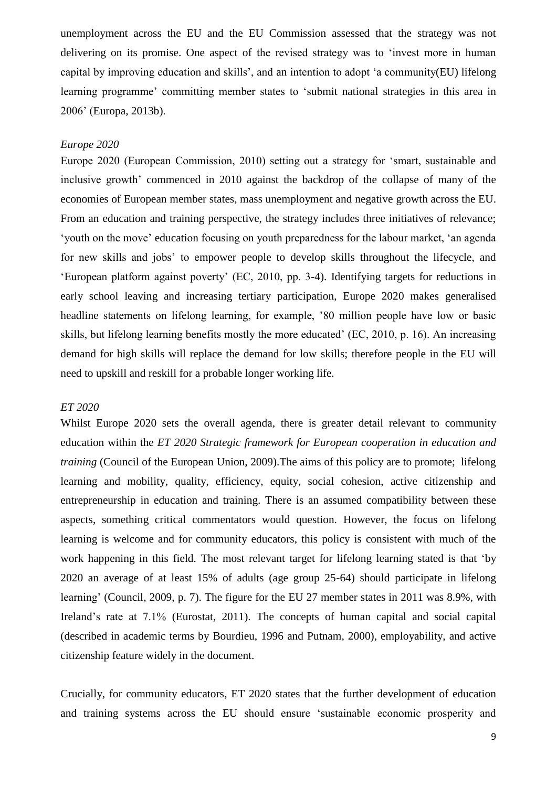unemployment across the EU and the EU Commission assessed that the strategy was not delivering on its promise. One aspect of the revised strategy was to 'invest more in human capital by improving education and skills', and an intention to adopt 'a community(EU) lifelong learning programme' committing member states to 'submit national strategies in this area in 2006' (Europa, 2013b).

### <span id="page-9-0"></span>*Europe 2020*

Europe 2020 (European Commission, 2010) setting out a strategy for 'smart, sustainable and inclusive growth' commenced in 2010 against the backdrop of the collapse of many of the economies of European member states, mass unemployment and negative growth across the EU. From an education and training perspective, the strategy includes three initiatives of relevance; 'youth on the move' education focusing on youth preparedness for the labour market, 'an agenda for new skills and jobs' to empower people to develop skills throughout the lifecycle, and 'European platform against poverty' (EC, 2010, pp. 3-4). Identifying targets for reductions in early school leaving and increasing tertiary participation, Europe 2020 makes generalised headline statements on lifelong learning, for example, '80 million people have low or basic skills, but lifelong learning benefits mostly the more educated' (EC, 2010, p. 16). An increasing demand for high skills will replace the demand for low skills; therefore people in the EU will need to upskill and reskill for a probable longer working life.

# <span id="page-9-1"></span>*ET 2020*

Whilst Europe 2020 sets the overall agenda, there is greater detail relevant to community education within the *ET 2020 Strategic framework for European cooperation in education and training* (Council of the European Union, 2009).The aims of this policy are to promote; lifelong learning and mobility, quality, efficiency, equity, social cohesion, active citizenship and entrepreneurship in education and training. There is an assumed compatibility between these aspects, something critical commentators would question. However, the focus on lifelong learning is welcome and for community educators, this policy is consistent with much of the work happening in this field. The most relevant target for lifelong learning stated is that 'by 2020 an average of at least 15% of adults (age group 25-64) should participate in lifelong learning' (Council, 2009, p. 7). The figure for the EU 27 member states in 2011 was 8.9%, with Ireland's rate at 7.1% (Eurostat, 2011). The concepts of human capital and social capital (described in academic terms by Bourdieu, 1996 and Putnam, 2000), employability, and active citizenship feature widely in the document.

Crucially, for community educators, ET 2020 states that the further development of education and training systems across the EU should ensure 'sustainable economic prosperity and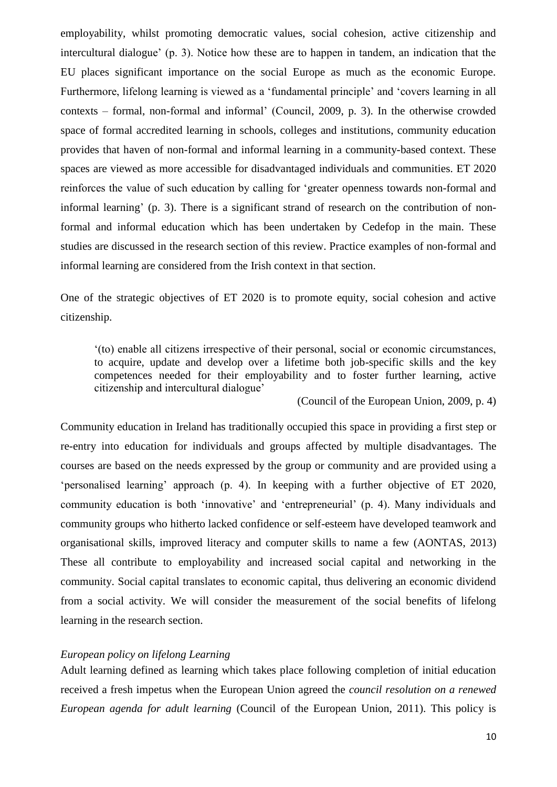employability, whilst promoting democratic values, social cohesion, active citizenship and intercultural dialogue' (p. 3). Notice how these are to happen in tandem, an indication that the EU places significant importance on the social Europe as much as the economic Europe. Furthermore, lifelong learning is viewed as a 'fundamental principle' and 'covers learning in all contexts – formal, non-formal and informal' (Council, 2009, p. 3). In the otherwise crowded space of formal accredited learning in schools, colleges and institutions, community education provides that haven of non-formal and informal learning in a community-based context. These spaces are viewed as more accessible for disadvantaged individuals and communities. ET 2020 reinforces the value of such education by calling for 'greater openness towards non-formal and informal learning' (p. 3). There is a significant strand of research on the contribution of nonformal and informal education which has been undertaken by Cedefop in the main. These studies are discussed in the research section of this review. Practice examples of non-formal and informal learning are considered from the Irish context in that section.

One of the strategic objectives of ET 2020 is to promote equity, social cohesion and active citizenship.

'(to) enable all citizens irrespective of their personal, social or economic circumstances, to acquire, update and develop over a lifetime both job-specific skills and the key competences needed for their employability and to foster further learning, active citizenship and intercultural dialogue'

(Council of the European Union, 2009, p. 4)

Community education in Ireland has traditionally occupied this space in providing a first step or re-entry into education for individuals and groups affected by multiple disadvantages. The courses are based on the needs expressed by the group or community and are provided using a 'personalised learning' approach (p. 4). In keeping with a further objective of ET 2020, community education is both 'innovative' and 'entrepreneurial' (p. 4). Many individuals and community groups who hitherto lacked confidence or self-esteem have developed teamwork and organisational skills, improved literacy and computer skills to name a few (AONTAS, 2013) These all contribute to employability and increased social capital and networking in the community. Social capital translates to economic capital, thus delivering an economic dividend from a social activity. We will consider the measurement of the social benefits of lifelong learning in the research section.

# <span id="page-10-0"></span>*European policy on lifelong Learning*

Adult learning defined as learning which takes place following completion of initial education received a fresh impetus when the European Union agreed the *council resolution on a renewed European agenda for adult learning* (Council of the European Union, 2011). This policy is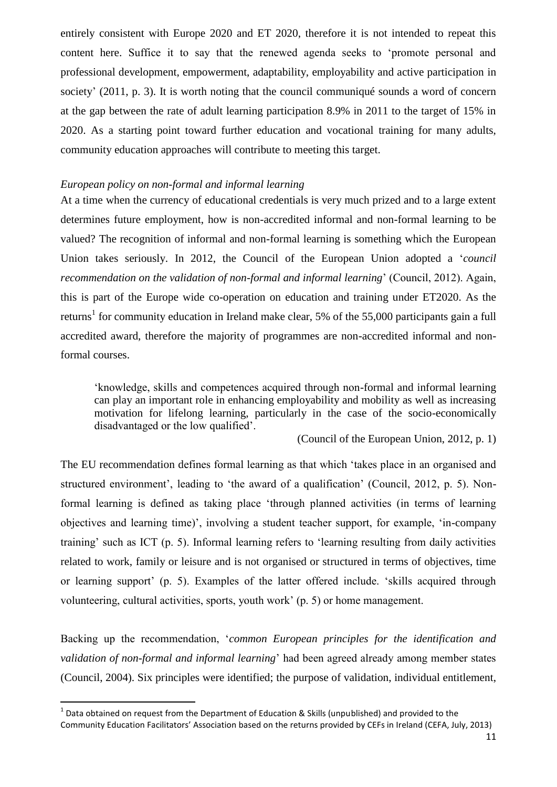entirely consistent with Europe 2020 and ET 2020, therefore it is not intended to repeat this content here. Suffice it to say that the renewed agenda seeks to 'promote personal and professional development, empowerment, adaptability, employability and active participation in society' (2011, p. 3). It is worth noting that the council communiqué sounds a word of concern at the gap between the rate of adult learning participation 8.9% in 2011 to the target of 15% in 2020. As a starting point toward further education and vocational training for many adults, community education approaches will contribute to meeting this target.

# <span id="page-11-0"></span>*European policy on non-formal and informal learning*

At a time when the currency of educational credentials is very much prized and to a large extent determines future employment, how is non-accredited informal and non-formal learning to be valued? The recognition of informal and non-formal learning is something which the European Union takes seriously. In 2012, the Council of the European Union adopted a '*council recommendation on the validation of non-formal and informal learning*' (Council, 2012). Again, this is part of the Europe wide co-operation on education and training under ET2020. As the returns<sup>1</sup> for community education in Ireland make clear, 5% of the 55,000 participants gain a full accredited award, therefore the majority of programmes are non-accredited informal and nonformal courses.

'knowledge, skills and competences acquired through non-formal and informal learning can play an important role in enhancing employability and mobility as well as increasing motivation for lifelong learning, particularly in the case of the socio-economically disadvantaged or the low qualified'.

(Council of the European Union, 2012, p. 1)

The EU recommendation defines formal learning as that which 'takes place in an organised and structured environment', leading to 'the award of a qualification' (Council, 2012, p. 5). Nonformal learning is defined as taking place 'through planned activities (in terms of learning objectives and learning time)', involving a student teacher support, for example, 'in-company training' such as ICT (p. 5). Informal learning refers to 'learning resulting from daily activities related to work, family or leisure and is not organised or structured in terms of objectives, time or learning support' (p. 5). Examples of the latter offered include. 'skills acquired through volunteering, cultural activities, sports, youth work' (p. 5) or home management.

Backing up the recommendation, '*common European principles for the identification and validation of non-formal and informal learning*' had been agreed already among member states (Council, 2004). Six principles were identified; the purpose of validation, individual entitlement,

**.** 

<sup>&</sup>lt;sup>1</sup> Data obtained on request from the Department of Education & Skills (unpublished) and provided to the Community Education Facilitators' Association based on the returns provided by CEFs in Ireland (CEFA, July, 2013)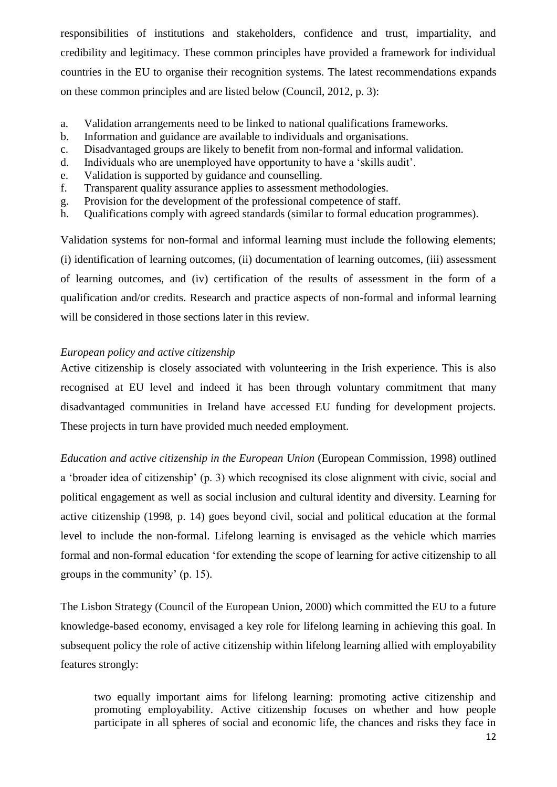responsibilities of institutions and stakeholders, confidence and trust, impartiality, and credibility and legitimacy. These common principles have provided a framework for individual countries in the EU to organise their recognition systems. The latest recommendations expands on these common principles and are listed below (Council, 2012, p. 3):

- a. Validation arrangements need to be linked to national qualifications frameworks.
- b. Information and guidance are available to individuals and organisations.
- c. Disadvantaged groups are likely to benefit from non-formal and informal validation.
- d. Individuals who are unemployed have opportunity to have a 'skills audit'.
- e. Validation is supported by guidance and counselling.
- f. Transparent quality assurance applies to assessment methodologies.
- g. Provision for the development of the professional competence of staff.
- h. Qualifications comply with agreed standards (similar to formal education programmes).

Validation systems for non-formal and informal learning must include the following elements; (i) identification of learning outcomes, (ii) documentation of learning outcomes, (iii) assessment of learning outcomes, and (iv) certification of the results of assessment in the form of a qualification and/or credits. Research and practice aspects of non-formal and informal learning will be considered in those sections later in this review.

# <span id="page-12-0"></span>*European policy and active citizenship*

Active citizenship is closely associated with volunteering in the Irish experience. This is also recognised at EU level and indeed it has been through voluntary commitment that many disadvantaged communities in Ireland have accessed EU funding for development projects. These projects in turn have provided much needed employment.

*Education and active citizenship in the European Union* (European Commission, 1998) outlined a 'broader idea of citizenship' (p. 3) which recognised its close alignment with civic, social and political engagement as well as social inclusion and cultural identity and diversity. Learning for active citizenship (1998, p. 14) goes beyond civil, social and political education at the formal level to include the non-formal. Lifelong learning is envisaged as the vehicle which marries formal and non-formal education 'for extending the scope of learning for active citizenship to all groups in the community' (p. 15).

The Lisbon Strategy (Council of the European Union, 2000) which committed the EU to a future knowledge-based economy, envisaged a key role for lifelong learning in achieving this goal. In subsequent policy the role of active citizenship within lifelong learning allied with employability features strongly:

two equally important aims for lifelong learning: promoting active citizenship and promoting employability. Active citizenship focuses on whether and how people participate in all spheres of social and economic life, the chances and risks they face in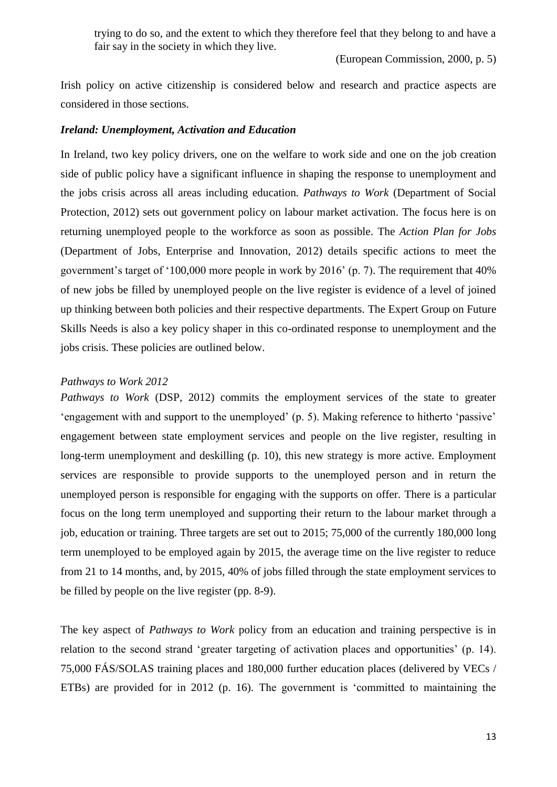trying to do so, and the extent to which they therefore feel that they belong to and have a fair say in the society in which they live.

(European Commission, 2000, p. 5)

Irish policy on active citizenship is considered below and research and practice aspects are considered in those sections.

# <span id="page-13-0"></span>*Ireland: Unemployment, Activation and Education*

In Ireland, two key policy drivers, one on the welfare to work side and one on the job creation side of public policy have a significant influence in shaping the response to unemployment and the jobs crisis across all areas including education. *Pathways to Work* (Department of Social Protection, 2012) sets out government policy on labour market activation. The focus here is on returning unemployed people to the workforce as soon as possible. The *Action Plan for Jobs* (Department of Jobs, Enterprise and Innovation, 2012) details specific actions to meet the government's target of '100,000 more people in work by 2016' (p. 7). The requirement that 40% of new jobs be filled by unemployed people on the live register is evidence of a level of joined up thinking between both policies and their respective departments. The Expert Group on Future Skills Needs is also a key policy shaper in this co-ordinated response to unemployment and the jobs crisis. These policies are outlined below.

#### <span id="page-13-1"></span>*Pathways to Work 2012*

*Pathways to Work* (DSP, 2012) commits the employment services of the state to greater 'engagement with and support to the unemployed' (p. 5). Making reference to hitherto 'passive' engagement between state employment services and people on the live register, resulting in long-term unemployment and deskilling (p. 10), this new strategy is more active. Employment services are responsible to provide supports to the unemployed person and in return the unemployed person is responsible for engaging with the supports on offer. There is a particular focus on the long term unemployed and supporting their return to the labour market through a job, education or training. Three targets are set out to 2015; 75,000 of the currently 180,000 long term unemployed to be employed again by 2015, the average time on the live register to reduce from 21 to 14 months, and, by 2015, 40% of jobs filled through the state employment services to be filled by people on the live register (pp. 8-9).

The key aspect of *Pathways to Work* policy from an education and training perspective is in relation to the second strand 'greater targeting of activation places and opportunities' (p. 14). 75,000 FÁS/SOLAS training places and 180,000 further education places (delivered by VECs / ETBs) are provided for in 2012 (p. 16). The government is 'committed to maintaining the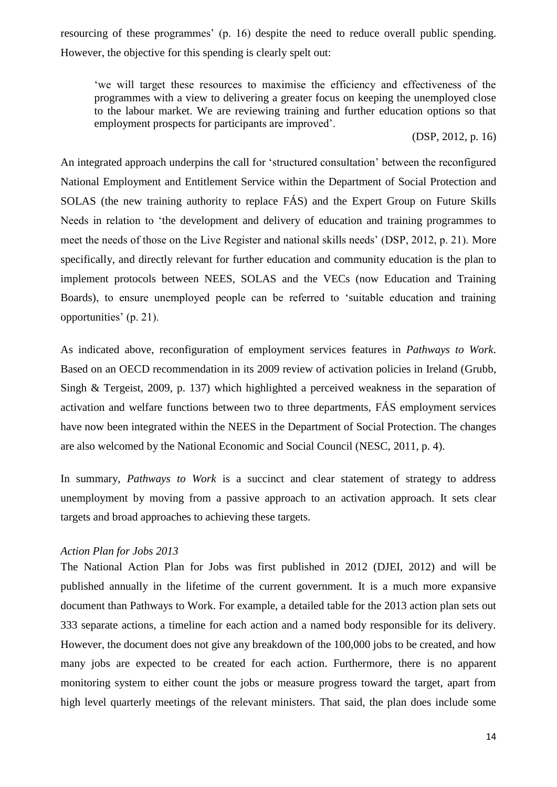resourcing of these programmes' (p. 16) despite the need to reduce overall public spending. However, the objective for this spending is clearly spelt out:

'we will target these resources to maximise the efficiency and effectiveness of the programmes with a view to delivering a greater focus on keeping the unemployed close to the labour market. We are reviewing training and further education options so that employment prospects for participants are improved'.

(DSP, 2012, p. 16)

An integrated approach underpins the call for 'structured consultation' between the reconfigured National Employment and Entitlement Service within the Department of Social Protection and SOLAS (the new training authority to replace FÁS) and the Expert Group on Future Skills Needs in relation to 'the development and delivery of education and training programmes to meet the needs of those on the Live Register and national skills needs' (DSP, 2012, p. 21). More specifically, and directly relevant for further education and community education is the plan to implement protocols between NEES, SOLAS and the VECs (now Education and Training Boards), to ensure unemployed people can be referred to 'suitable education and training opportunities' (p. 21).

As indicated above, reconfiguration of employment services features in *Pathways to Work*. Based on an OECD recommendation in its 2009 review of activation policies in Ireland (Grubb, Singh & Tergeist, 2009, p. 137) which highlighted a perceived weakness in the separation of activation and welfare functions between two to three departments, FÁS employment services have now been integrated within the NEES in the Department of Social Protection. The changes are also welcomed by the National Economic and Social Council (NESC, 2011, p. 4).

In summary, *Pathways to Work* is a succinct and clear statement of strategy to address unemployment by moving from a passive approach to an activation approach. It sets clear targets and broad approaches to achieving these targets.

### <span id="page-14-0"></span>*Action Plan for Jobs 2013*

The National Action Plan for Jobs was first published in 2012 (DJEI, 2012) and will be published annually in the lifetime of the current government. It is a much more expansive document than Pathways to Work. For example, a detailed table for the 2013 action plan sets out 333 separate actions, a timeline for each action and a named body responsible for its delivery. However, the document does not give any breakdown of the 100,000 jobs to be created, and how many jobs are expected to be created for each action. Furthermore, there is no apparent monitoring system to either count the jobs or measure progress toward the target, apart from high level quarterly meetings of the relevant ministers. That said, the plan does include some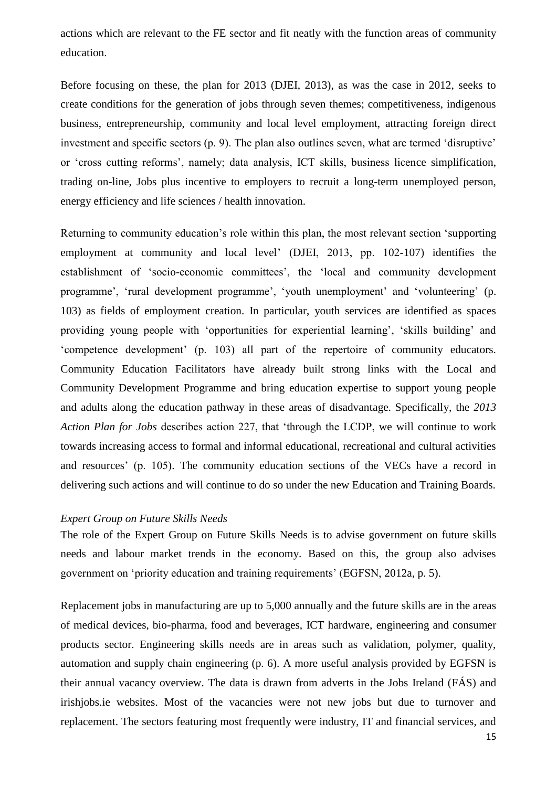actions which are relevant to the FE sector and fit neatly with the function areas of community education.

Before focusing on these, the plan for 2013 (DJEI, 2013), as was the case in 2012, seeks to create conditions for the generation of jobs through seven themes; competitiveness, indigenous business, entrepreneurship, community and local level employment, attracting foreign direct investment and specific sectors (p. 9). The plan also outlines seven, what are termed 'disruptive' or 'cross cutting reforms', namely; data analysis, ICT skills, business licence simplification, trading on-line, Jobs plus incentive to employers to recruit a long-term unemployed person, energy efficiency and life sciences / health innovation.

Returning to community education's role within this plan, the most relevant section 'supporting employment at community and local level' (DJEI, 2013, pp. 102-107) identifies the establishment of 'socio-economic committees', the 'local and community development programme', 'rural development programme', 'youth unemployment' and 'volunteering' (p. 103) as fields of employment creation. In particular, youth services are identified as spaces providing young people with 'opportunities for experiential learning', 'skills building' and 'competence development' (p. 103) all part of the repertoire of community educators. Community Education Facilitators have already built strong links with the Local and Community Development Programme and bring education expertise to support young people and adults along the education pathway in these areas of disadvantage. Specifically, the *2013 Action Plan for Jobs* describes action 227, that 'through the LCDP, we will continue to work towards increasing access to formal and informal educational, recreational and cultural activities and resources' (p. 105). The community education sections of the VECs have a record in delivering such actions and will continue to do so under the new Education and Training Boards.

### <span id="page-15-0"></span>*Expert Group on Future Skills Needs*

The role of the Expert Group on Future Skills Needs is to advise government on future skills needs and labour market trends in the economy. Based on this, the group also advises government on 'priority education and training requirements' (EGFSN, 2012a, p. 5).

Replacement jobs in manufacturing are up to 5,000 annually and the future skills are in the areas of medical devices, bio-pharma, food and beverages, ICT hardware, engineering and consumer products sector. Engineering skills needs are in areas such as validation, polymer, quality, automation and supply chain engineering (p. 6). A more useful analysis provided by EGFSN is their annual vacancy overview. The data is drawn from adverts in the Jobs Ireland (FÁS) and irishjobs.ie websites. Most of the vacancies were not new jobs but due to turnover and replacement. The sectors featuring most frequently were industry, IT and financial services, and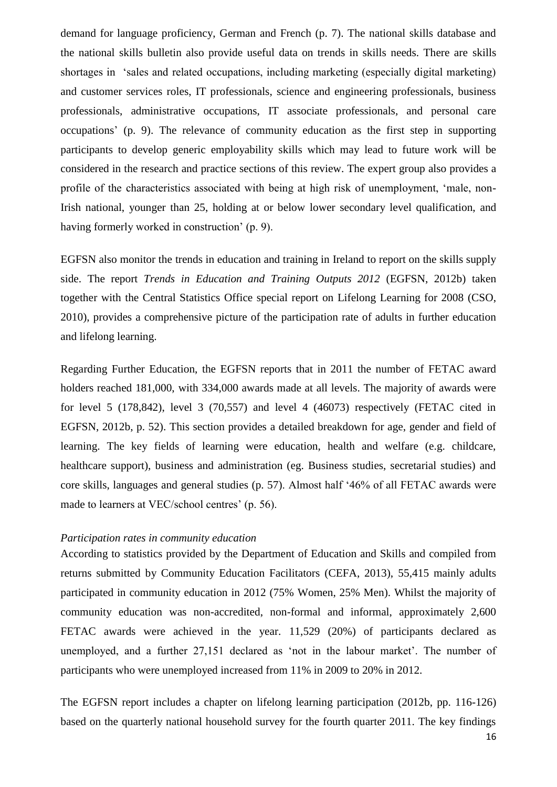demand for language proficiency, German and French (p. 7). The national skills database and the national skills bulletin also provide useful data on trends in skills needs. There are skills shortages in 'sales and related occupations, including marketing (especially digital marketing) and customer services roles, IT professionals, science and engineering professionals, business professionals, administrative occupations, IT associate professionals, and personal care occupations' (p. 9). The relevance of community education as the first step in supporting participants to develop generic employability skills which may lead to future work will be considered in the research and practice sections of this review. The expert group also provides a profile of the characteristics associated with being at high risk of unemployment, 'male, non-Irish national, younger than 25, holding at or below lower secondary level qualification, and having formerly worked in construction' (p. 9).

EGFSN also monitor the trends in education and training in Ireland to report on the skills supply side. The report *Trends in Education and Training Outputs 2012* (EGFSN, 2012b) taken together with the Central Statistics Office special report on Lifelong Learning for 2008 (CSO, 2010), provides a comprehensive picture of the participation rate of adults in further education and lifelong learning.

Regarding Further Education, the EGFSN reports that in 2011 the number of FETAC award holders reached 181,000, with 334,000 awards made at all levels. The majority of awards were for level 5 (178,842), level 3 (70,557) and level 4 (46073) respectively (FETAC cited in EGFSN, 2012b, p. 52). This section provides a detailed breakdown for age, gender and field of learning. The key fields of learning were education, health and welfare (e.g. childcare, healthcare support), business and administration (eg. Business studies, secretarial studies) and core skills, languages and general studies (p. 57). Almost half '46% of all FETAC awards were made to learners at VEC/school centres' (p. 56).

# <span id="page-16-0"></span>*Participation rates in community education*

According to statistics provided by the Department of Education and Skills and compiled from returns submitted by Community Education Facilitators (CEFA, 2013), 55,415 mainly adults participated in community education in 2012 (75% Women, 25% Men). Whilst the majority of community education was non-accredited, non-formal and informal, approximately 2,600 FETAC awards were achieved in the year. 11,529 (20%) of participants declared as unemployed, and a further 27,151 declared as 'not in the labour market'. The number of participants who were unemployed increased from 11% in 2009 to 20% in 2012.

The EGFSN report includes a chapter on lifelong learning participation (2012b, pp. 116-126) based on the quarterly national household survey for the fourth quarter 2011. The key findings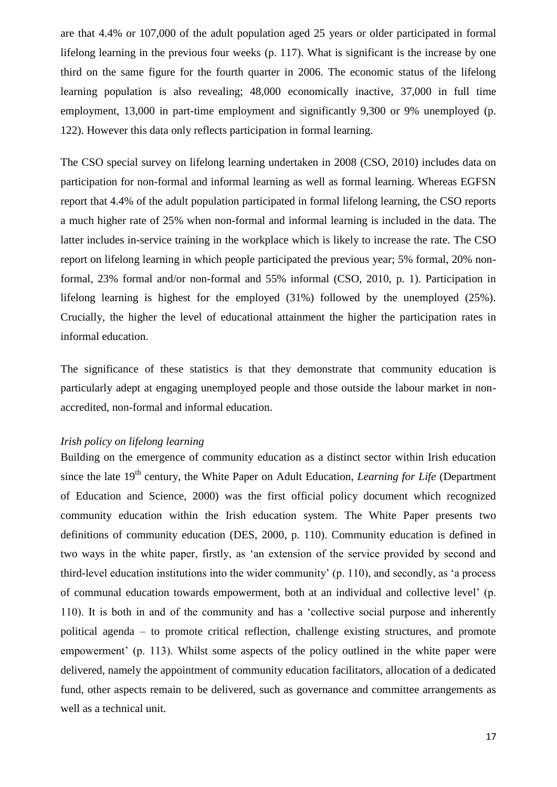are that 4.4% or 107,000 of the adult population aged 25 years or older participated in formal lifelong learning in the previous four weeks (p. 117). What is significant is the increase by one third on the same figure for the fourth quarter in 2006. The economic status of the lifelong learning population is also revealing; 48,000 economically inactive, 37,000 in full time employment, 13,000 in part-time employment and significantly 9,300 or 9% unemployed (p. 122). However this data only reflects participation in formal learning.

The CSO special survey on lifelong learning undertaken in 2008 (CSO, 2010) includes data on participation for non-formal and informal learning as well as formal learning. Whereas EGFSN report that 4.4% of the adult population participated in formal lifelong learning, the CSO reports a much higher rate of 25% when non-formal and informal learning is included in the data. The latter includes in-service training in the workplace which is likely to increase the rate. The CSO report on lifelong learning in which people participated the previous year; 5% formal, 20% nonformal, 23% formal and/or non-formal and 55% informal (CSO, 2010, p. 1). Participation in lifelong learning is highest for the employed (31%) followed by the unemployed (25%). Crucially, the higher the level of educational attainment the higher the participation rates in informal education.

The significance of these statistics is that they demonstrate that community education is particularly adept at engaging unemployed people and those outside the labour market in nonaccredited, non-formal and informal education.

### <span id="page-17-0"></span>*Irish policy on lifelong learning*

Building on the emergence of community education as a distinct sector within Irish education since the late 19<sup>th</sup> century, the White Paper on Adult Education, *Learning for Life* (Department of Education and Science, 2000) was the first official policy document which recognized community education within the Irish education system. The White Paper presents two definitions of community education (DES, 2000, p. 110). Community education is defined in two ways in the white paper, firstly, as 'an extension of the service provided by second and third-level education institutions into the wider community' (p. 110), and secondly, as 'a process of communal education towards empowerment, both at an individual and collective level' (p. 110). It is both in and of the community and has a 'collective social purpose and inherently political agenda – to promote critical reflection, challenge existing structures, and promote empowerment' (p. 113). Whilst some aspects of the policy outlined in the white paper were delivered, namely the appointment of community education facilitators, allocation of a dedicated fund, other aspects remain to be delivered, such as governance and committee arrangements as well as a technical unit.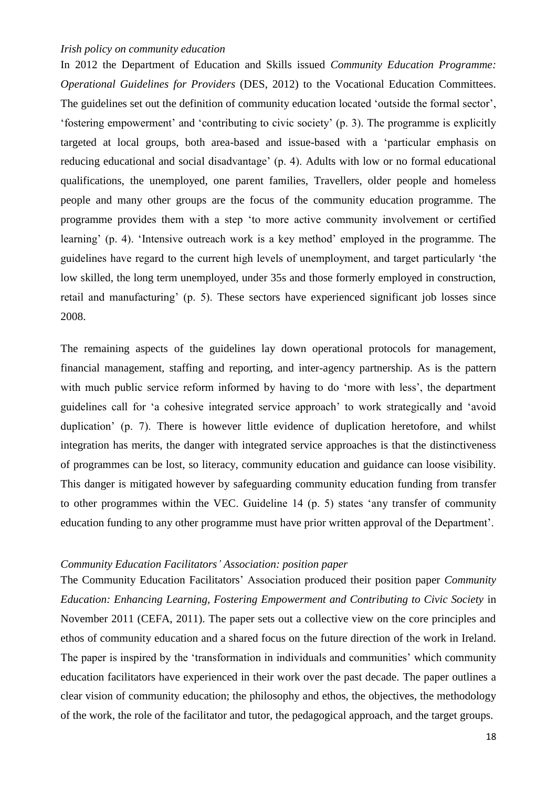# <span id="page-18-0"></span>*Irish policy on community education*

In 2012 the Department of Education and Skills issued *Community Education Programme: Operational Guidelines for Providers* (DES, 2012) to the Vocational Education Committees. The guidelines set out the definition of community education located 'outside the formal sector', 'fostering empowerment' and 'contributing to civic society' (p. 3). The programme is explicitly targeted at local groups, both area-based and issue-based with a 'particular emphasis on reducing educational and social disadvantage' (p. 4). Adults with low or no formal educational qualifications, the unemployed, one parent families, Travellers, older people and homeless people and many other groups are the focus of the community education programme. The programme provides them with a step 'to more active community involvement or certified learning' (p. 4). 'Intensive outreach work is a key method' employed in the programme. The guidelines have regard to the current high levels of unemployment, and target particularly 'the low skilled, the long term unemployed, under 35s and those formerly employed in construction, retail and manufacturing' (p. 5). These sectors have experienced significant job losses since 2008.

The remaining aspects of the guidelines lay down operational protocols for management, financial management, staffing and reporting, and inter-agency partnership. As is the pattern with much public service reform informed by having to do 'more with less', the department guidelines call for 'a cohesive integrated service approach' to work strategically and 'avoid duplication' (p. 7). There is however little evidence of duplication heretofore, and whilst integration has merits, the danger with integrated service approaches is that the distinctiveness of programmes can be lost, so literacy, community education and guidance can loose visibility. This danger is mitigated however by safeguarding community education funding from transfer to other programmes within the VEC. Guideline 14 (p. 5) states 'any transfer of community education funding to any other programme must have prior written approval of the Department'.

#### <span id="page-18-1"></span>*Community Education Facilitators' Association: position paper*

The Community Education Facilitators' Association produced their position paper *Community Education: Enhancing Learning, Fostering Empowerment and Contributing to Civic Society* in November 2011 (CEFA, 2011). The paper sets out a collective view on the core principles and ethos of community education and a shared focus on the future direction of the work in Ireland. The paper is inspired by the 'transformation in individuals and communities' which community education facilitators have experienced in their work over the past decade. The paper outlines a clear vision of community education; the philosophy and ethos, the objectives, the methodology of the work, the role of the facilitator and tutor, the pedagogical approach, and the target groups.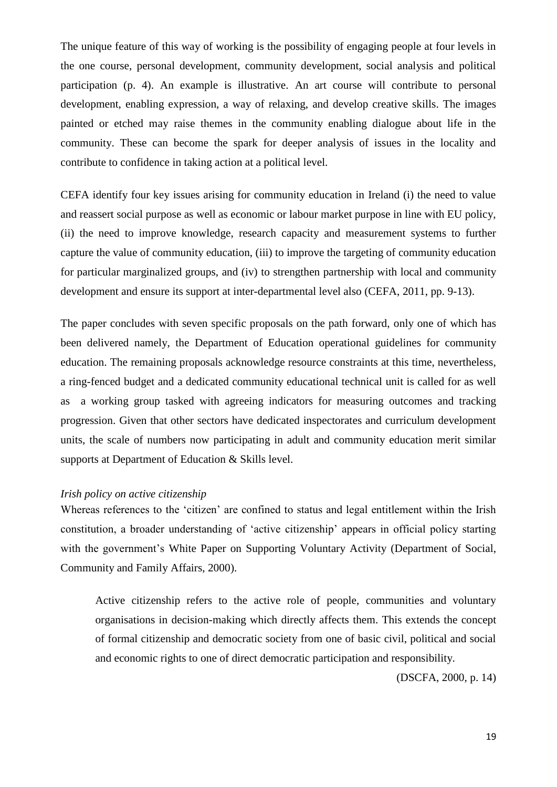The unique feature of this way of working is the possibility of engaging people at four levels in the one course, personal development, community development, social analysis and political participation (p. 4). An example is illustrative. An art course will contribute to personal development, enabling expression, a way of relaxing, and develop creative skills. The images painted or etched may raise themes in the community enabling dialogue about life in the community. These can become the spark for deeper analysis of issues in the locality and contribute to confidence in taking action at a political level.

CEFA identify four key issues arising for community education in Ireland (i) the need to value and reassert social purpose as well as economic or labour market purpose in line with EU policy, (ii) the need to improve knowledge, research capacity and measurement systems to further capture the value of community education, (iii) to improve the targeting of community education for particular marginalized groups, and (iv) to strengthen partnership with local and community development and ensure its support at inter-departmental level also (CEFA, 2011, pp. 9-13).

The paper concludes with seven specific proposals on the path forward, only one of which has been delivered namely, the Department of Education operational guidelines for community education. The remaining proposals acknowledge resource constraints at this time, nevertheless, a ring-fenced budget and a dedicated community educational technical unit is called for as well as a working group tasked with agreeing indicators for measuring outcomes and tracking progression. Given that other sectors have dedicated inspectorates and curriculum development units, the scale of numbers now participating in adult and community education merit similar supports at Department of Education & Skills level.

#### <span id="page-19-0"></span>*Irish policy on active citizenship*

Whereas references to the 'citizen' are confined to status and legal entitlement within the Irish constitution, a broader understanding of 'active citizenship' appears in official policy starting with the government's White Paper on Supporting Voluntary Activity (Department of Social, Community and Family Affairs, 2000).

Active citizenship refers to the active role of people, communities and voluntary organisations in decision-making which directly affects them. This extends the concept of formal citizenship and democratic society from one of basic civil, political and social and economic rights to one of direct democratic participation and responsibility.

(DSCFA, 2000, p. 14)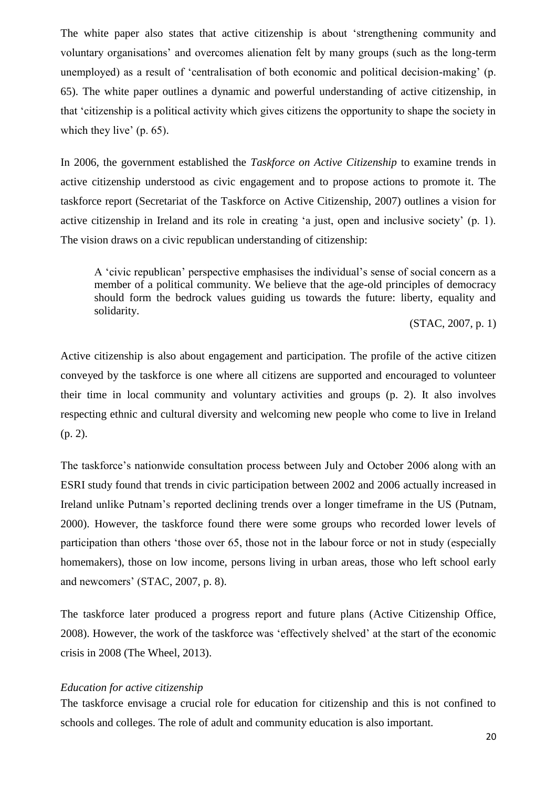The white paper also states that active citizenship is about 'strengthening community and voluntary organisations' and overcomes alienation felt by many groups (such as the long-term unemployed) as a result of 'centralisation of both economic and political decision-making' (p. 65). The white paper outlines a dynamic and powerful understanding of active citizenship, in that 'citizenship is a political activity which gives citizens the opportunity to shape the society in which they live' (p. 65).

In 2006, the government established the *Taskforce on Active Citizenship* to examine trends in active citizenship understood as civic engagement and to propose actions to promote it. The taskforce report (Secretariat of the Taskforce on Active Citizenship, 2007) outlines a vision for active citizenship in Ireland and its role in creating 'a just, open and inclusive society' (p. 1). The vision draws on a civic republican understanding of citizenship:

A 'civic republican' perspective emphasises the individual's sense of social concern as a member of a political community. We believe that the age-old principles of democracy should form the bedrock values guiding us towards the future: liberty, equality and solidarity.

(STAC, 2007, p. 1)

Active citizenship is also about engagement and participation. The profile of the active citizen conveyed by the taskforce is one where all citizens are supported and encouraged to volunteer their time in local community and voluntary activities and groups (p. 2). It also involves respecting ethnic and cultural diversity and welcoming new people who come to live in Ireland (p. 2).

The taskforce's nationwide consultation process between July and October 2006 along with an ESRI study found that trends in civic participation between 2002 and 2006 actually increased in Ireland unlike Putnam's reported declining trends over a longer timeframe in the US (Putnam, 2000). However, the taskforce found there were some groups who recorded lower levels of participation than others 'those over 65, those not in the labour force or not in study (especially homemakers), those on low income, persons living in urban areas, those who left school early and newcomers' (STAC, 2007, p. 8).

The taskforce later produced a progress report and future plans (Active Citizenship Office, 2008). However, the work of the taskforce was 'effectively shelved' at the start of the economic crisis in 2008 (The Wheel, 2013).

#### <span id="page-20-0"></span>*Education for active citizenship*

The taskforce envisage a crucial role for education for citizenship and this is not confined to schools and colleges. The role of adult and community education is also important.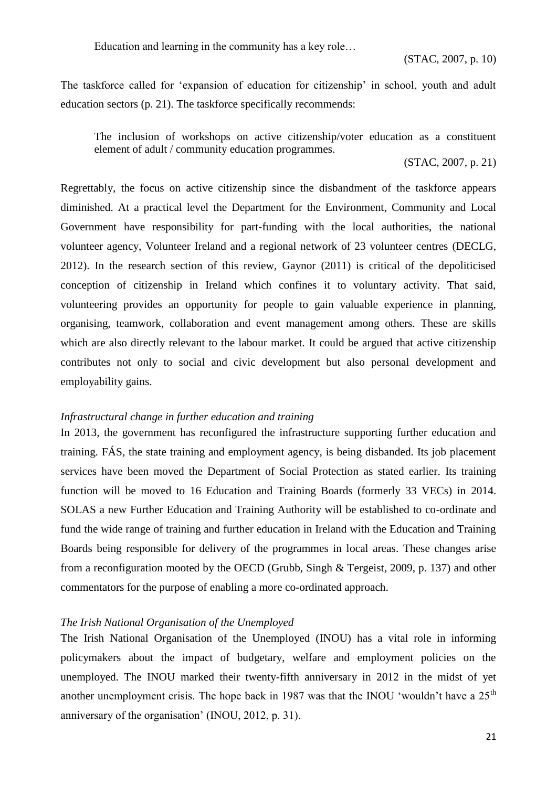Education and learning in the community has a key role…

(STAC, 2007, p. 10)

The taskforce called for 'expansion of education for citizenship' in school, youth and adult education sectors (p. 21). The taskforce specifically recommends:

The inclusion of workshops on active citizenship/voter education as a constituent element of adult / community education programmes.

(STAC, 2007, p. 21)

Regrettably, the focus on active citizenship since the disbandment of the taskforce appears diminished. At a practical level the Department for the Environment, Community and Local Government have responsibility for part-funding with the local authorities, the national volunteer agency, Volunteer Ireland and a regional network of 23 volunteer centres (DECLG, 2012). In the research section of this review, Gaynor (2011) is critical of the depoliticised conception of citizenship in Ireland which confines it to voluntary activity. That said, volunteering provides an opportunity for people to gain valuable experience in planning, organising, teamwork, collaboration and event management among others. These are skills which are also directly relevant to the labour market. It could be argued that active citizenship contributes not only to social and civic development but also personal development and employability gains.

### <span id="page-21-0"></span>*Infrastructural change in further education and training*

In 2013, the government has reconfigured the infrastructure supporting further education and training. FÁS, the state training and employment agency, is being disbanded. Its job placement services have been moved the Department of Social Protection as stated earlier. Its training function will be moved to 16 Education and Training Boards (formerly 33 VECs) in 2014. SOLAS a new Further Education and Training Authority will be established to co-ordinate and fund the wide range of training and further education in Ireland with the Education and Training Boards being responsible for delivery of the programmes in local areas. These changes arise from a reconfiguration mooted by the OECD (Grubb, Singh & Tergeist, 2009, p. 137) and other commentators for the purpose of enabling a more co-ordinated approach.

#### <span id="page-21-1"></span>*The Irish National Organisation of the Unemployed*

The Irish National Organisation of the Unemployed (INOU) has a vital role in informing policymakers about the impact of budgetary, welfare and employment policies on the unemployed. The INOU marked their twenty-fifth anniversary in 2012 in the midst of yet another unemployment crisis. The hope back in 1987 was that the INOU 'wouldn't have a  $25<sup>th</sup>$ anniversary of the organisation' (INOU, 2012, p. 31).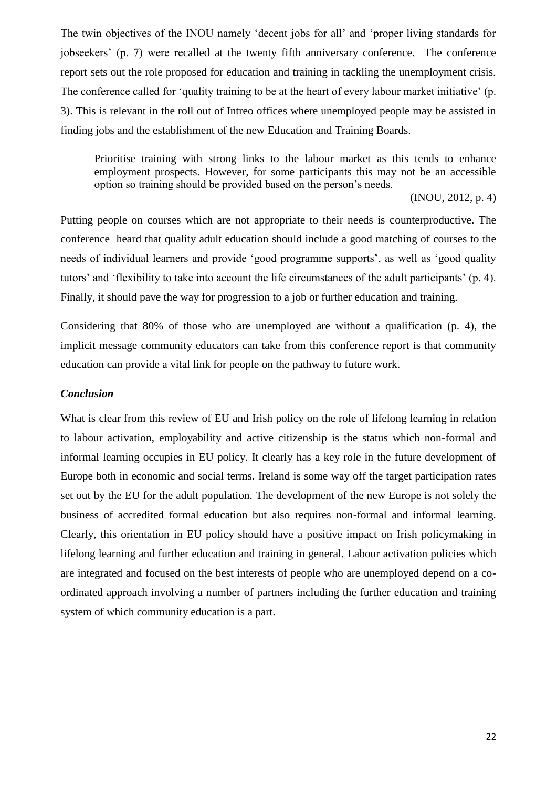The twin objectives of the INOU namely 'decent jobs for all' and 'proper living standards for jobseekers' (p. 7) were recalled at the twenty fifth anniversary conference. The conference report sets out the role proposed for education and training in tackling the unemployment crisis. The conference called for 'quality training to be at the heart of every labour market initiative' (p. 3). This is relevant in the roll out of Intreo offices where unemployed people may be assisted in finding jobs and the establishment of the new Education and Training Boards.

Prioritise training with strong links to the labour market as this tends to enhance employment prospects. However, for some participants this may not be an accessible option so training should be provided based on the person's needs.

(INOU, 2012, p. 4)

Putting people on courses which are not appropriate to their needs is counterproductive. The conference heard that quality adult education should include a good matching of courses to the needs of individual learners and provide 'good programme supports', as well as 'good quality tutors' and 'flexibility to take into account the life circumstances of the adult participants' (p. 4). Finally, it should pave the way for progression to a job or further education and training.

Considering that 80% of those who are unemployed are without a qualification (p. 4), the implicit message community educators can take from this conference report is that community education can provide a vital link for people on the pathway to future work.

## <span id="page-22-0"></span>*Conclusion*

What is clear from this review of EU and Irish policy on the role of lifelong learning in relation to labour activation, employability and active citizenship is the status which non-formal and informal learning occupies in EU policy. It clearly has a key role in the future development of Europe both in economic and social terms. Ireland is some way off the target participation rates set out by the EU for the adult population. The development of the new Europe is not solely the business of accredited formal education but also requires non-formal and informal learning. Clearly, this orientation in EU policy should have a positive impact on Irish policymaking in lifelong learning and further education and training in general. Labour activation policies which are integrated and focused on the best interests of people who are unemployed depend on a coordinated approach involving a number of partners including the further education and training system of which community education is a part.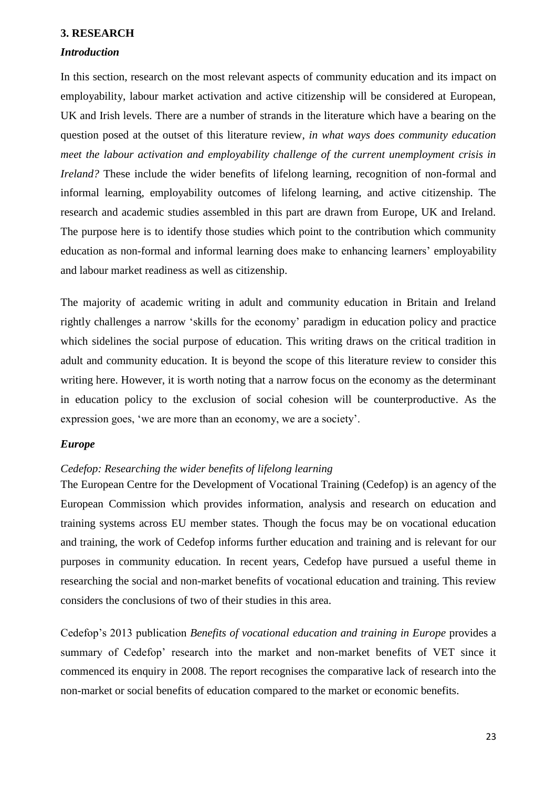### <span id="page-23-0"></span>**3. RESEARCH**

### <span id="page-23-1"></span>*Introduction*

In this section, research on the most relevant aspects of community education and its impact on employability, labour market activation and active citizenship will be considered at European, UK and Irish levels. There are a number of strands in the literature which have a bearing on the question posed at the outset of this literature review, *in what ways does community education meet the labour activation and employability challenge of the current unemployment crisis in Ireland?* These include the wider benefits of lifelong learning, recognition of non-formal and informal learning, employability outcomes of lifelong learning, and active citizenship. The research and academic studies assembled in this part are drawn from Europe, UK and Ireland. The purpose here is to identify those studies which point to the contribution which community education as non-formal and informal learning does make to enhancing learners' employability and labour market readiness as well as citizenship.

The majority of academic writing in adult and community education in Britain and Ireland rightly challenges a narrow 'skills for the economy' paradigm in education policy and practice which sidelines the social purpose of education. This writing draws on the critical tradition in adult and community education. It is beyond the scope of this literature review to consider this writing here. However, it is worth noting that a narrow focus on the economy as the determinant in education policy to the exclusion of social cohesion will be counterproductive. As the expression goes, 'we are more than an economy, we are a society'.

### <span id="page-23-2"></span>*Europe*

# <span id="page-23-3"></span>*Cedefop: Researching the wider benefits of lifelong learning*

The European Centre for the Development of Vocational Training (Cedefop) is an agency of the European Commission which provides information, analysis and research on education and training systems across EU member states. Though the focus may be on vocational education and training, the work of Cedefop informs further education and training and is relevant for our purposes in community education. In recent years, Cedefop have pursued a useful theme in researching the social and non-market benefits of vocational education and training. This review considers the conclusions of two of their studies in this area.

Cedefop's 2013 publication *Benefits of vocational education and training in Europe* provides a summary of Cedefop' research into the market and non-market benefits of VET since it commenced its enquiry in 2008. The report recognises the comparative lack of research into the non-market or social benefits of education compared to the market or economic benefits.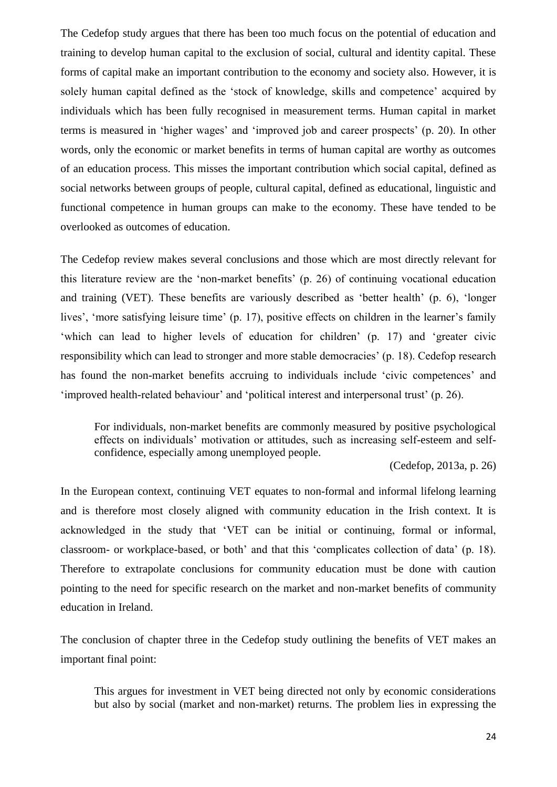The Cedefop study argues that there has been too much focus on the potential of education and training to develop human capital to the exclusion of social, cultural and identity capital. These forms of capital make an important contribution to the economy and society also. However, it is solely human capital defined as the 'stock of knowledge, skills and competence' acquired by individuals which has been fully recognised in measurement terms. Human capital in market terms is measured in 'higher wages' and 'improved job and career prospects' (p. 20). In other words, only the economic or market benefits in terms of human capital are worthy as outcomes of an education process. This misses the important contribution which social capital, defined as social networks between groups of people, cultural capital, defined as educational, linguistic and functional competence in human groups can make to the economy. These have tended to be overlooked as outcomes of education.

The Cedefop review makes several conclusions and those which are most directly relevant for this literature review are the 'non-market benefits' (p. 26) of continuing vocational education and training (VET). These benefits are variously described as 'better health' (p. 6), 'longer lives', 'more satisfying leisure time' (p. 17), positive effects on children in the learner's family 'which can lead to higher levels of education for children' (p. 17) and 'greater civic responsibility which can lead to stronger and more stable democracies' (p. 18). Cedefop research has found the non-market benefits accruing to individuals include 'civic competences' and 'improved health-related behaviour' and 'political interest and interpersonal trust' (p. 26).

For individuals, non-market benefits are commonly measured by positive psychological effects on individuals' motivation or attitudes, such as increasing self-esteem and selfconfidence, especially among unemployed people.

(Cedefop, 2013a, p. 26)

In the European context, continuing VET equates to non-formal and informal lifelong learning and is therefore most closely aligned with community education in the Irish context. It is acknowledged in the study that 'VET can be initial or continuing, formal or informal, classroom- or workplace-based, or both' and that this 'complicates collection of data' (p. 18). Therefore to extrapolate conclusions for community education must be done with caution pointing to the need for specific research on the market and non-market benefits of community education in Ireland.

The conclusion of chapter three in the Cedefop study outlining the benefits of VET makes an important final point:

This argues for investment in VET being directed not only by economic considerations but also by social (market and non-market) returns. The problem lies in expressing the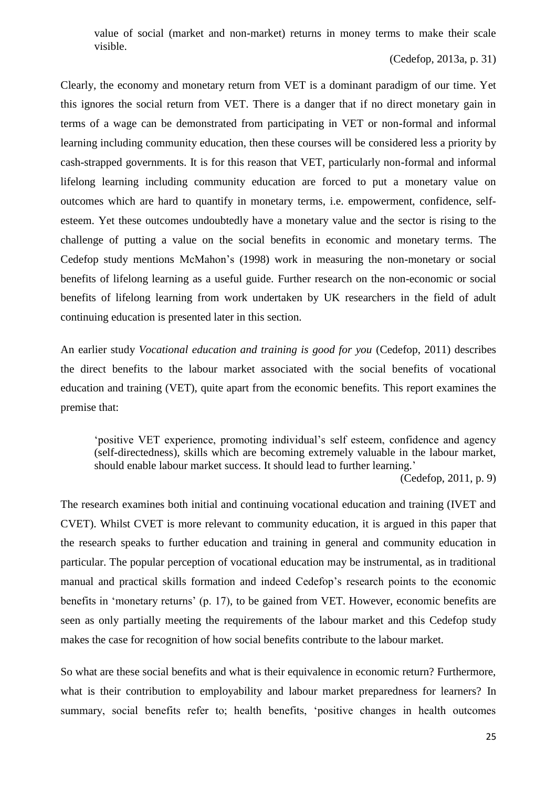value of social (market and non-market) returns in money terms to make their scale visible.

# (Cedefop, 2013a, p. 31)

Clearly, the economy and monetary return from VET is a dominant paradigm of our time. Yet this ignores the social return from VET. There is a danger that if no direct monetary gain in terms of a wage can be demonstrated from participating in VET or non-formal and informal learning including community education, then these courses will be considered less a priority by cash-strapped governments. It is for this reason that VET, particularly non-formal and informal lifelong learning including community education are forced to put a monetary value on outcomes which are hard to quantify in monetary terms, i.e. empowerment, confidence, selfesteem. Yet these outcomes undoubtedly have a monetary value and the sector is rising to the challenge of putting a value on the social benefits in economic and monetary terms. The Cedefop study mentions McMahon's (1998) work in measuring the non-monetary or social benefits of lifelong learning as a useful guide. Further research on the non-economic or social benefits of lifelong learning from work undertaken by UK researchers in the field of adult continuing education is presented later in this section.

An earlier study *Vocational education and training is good for you* (Cedefop, 2011) describes the direct benefits to the labour market associated with the social benefits of vocational education and training (VET), quite apart from the economic benefits. This report examines the premise that:

'positive VET experience, promoting individual's self esteem, confidence and agency (self-directedness), skills which are becoming extremely valuable in the labour market, should enable labour market success. It should lead to further learning.'

(Cedefop, 2011, p. 9)

The research examines both initial and continuing vocational education and training (IVET and CVET). Whilst CVET is more relevant to community education, it is argued in this paper that the research speaks to further education and training in general and community education in particular. The popular perception of vocational education may be instrumental, as in traditional manual and practical skills formation and indeed Cedefop's research points to the economic benefits in 'monetary returns' (p. 17), to be gained from VET. However, economic benefits are seen as only partially meeting the requirements of the labour market and this Cedefop study makes the case for recognition of how social benefits contribute to the labour market.

So what are these social benefits and what is their equivalence in economic return? Furthermore, what is their contribution to employability and labour market preparedness for learners? In summary, social benefits refer to; health benefits, 'positive changes in health outcomes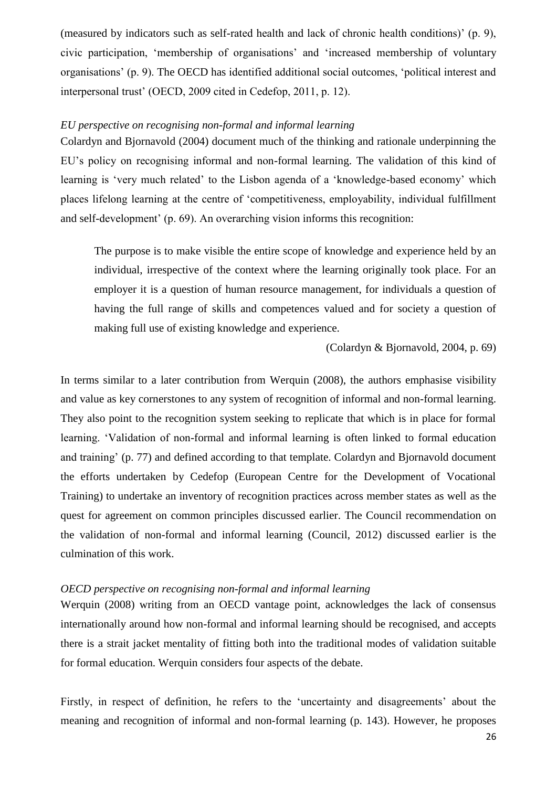(measured by indicators such as self-rated health and lack of chronic health conditions)' (p. 9), civic participation, 'membership of organisations' and 'increased membership of voluntary organisations' (p. 9). The OECD has identified additional social outcomes, 'political interest and interpersonal trust' (OECD, 2009 cited in Cedefop, 2011, p. 12).

# <span id="page-26-0"></span>*EU perspective on recognising non-formal and informal learning*

Colardyn and Bjornavold (2004) document much of the thinking and rationale underpinning the EU's policy on recognising informal and non-formal learning. The validation of this kind of learning is 'very much related' to the Lisbon agenda of a 'knowledge-based economy' which places lifelong learning at the centre of 'competitiveness, employability, individual fulfillment and self-development' (p. 69). An overarching vision informs this recognition:

The purpose is to make visible the entire scope of knowledge and experience held by an individual, irrespective of the context where the learning originally took place. For an employer it is a question of human resource management, for individuals a question of having the full range of skills and competences valued and for society a question of making full use of existing knowledge and experience.

(Colardyn & Bjornavold, 2004, p. 69)

In terms similar to a later contribution from Werquin (2008), the authors emphasise visibility and value as key cornerstones to any system of recognition of informal and non-formal learning. They also point to the recognition system seeking to replicate that which is in place for formal learning. 'Validation of non-formal and informal learning is often linked to formal education and training' (p. 77) and defined according to that template. Colardyn and Bjornavold document the efforts undertaken by Cedefop (European Centre for the Development of Vocational Training) to undertake an inventory of recognition practices across member states as well as the quest for agreement on common principles discussed earlier. The Council recommendation on the validation of non-formal and informal learning (Council, 2012) discussed earlier is the culmination of this work.

# <span id="page-26-1"></span>*OECD perspective on recognising non-formal and informal learning*

Werquin (2008) writing from an OECD vantage point, acknowledges the lack of consensus internationally around how non-formal and informal learning should be recognised, and accepts there is a strait jacket mentality of fitting both into the traditional modes of validation suitable for formal education. Werquin considers four aspects of the debate.

Firstly, in respect of definition, he refers to the 'uncertainty and disagreements' about the meaning and recognition of informal and non-formal learning (p. 143). However, he proposes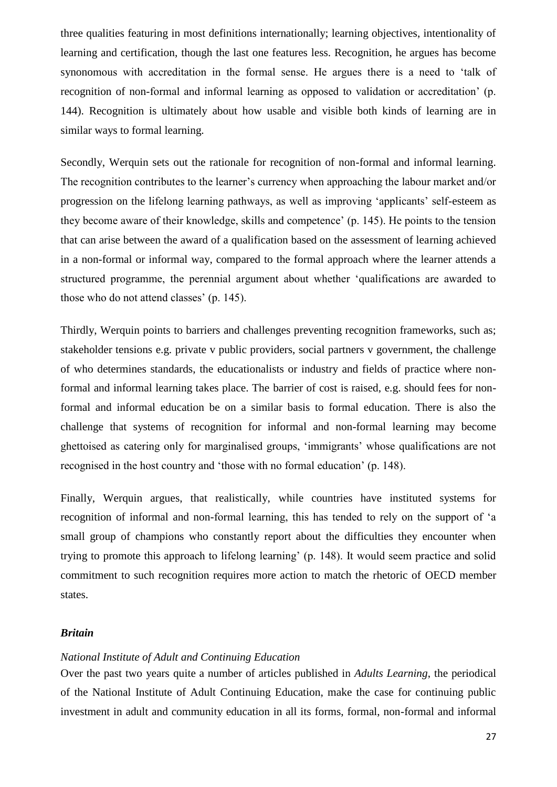three qualities featuring in most definitions internationally; learning objectives, intentionality of learning and certification, though the last one features less. Recognition, he argues has become synonomous with accreditation in the formal sense. He argues there is a need to 'talk of recognition of non-formal and informal learning as opposed to validation or accreditation' (p. 144). Recognition is ultimately about how usable and visible both kinds of learning are in similar ways to formal learning.

Secondly, Werquin sets out the rationale for recognition of non-formal and informal learning. The recognition contributes to the learner's currency when approaching the labour market and/or progression on the lifelong learning pathways, as well as improving 'applicants' self-esteem as they become aware of their knowledge, skills and competence' (p. 145). He points to the tension that can arise between the award of a qualification based on the assessment of learning achieved in a non-formal or informal way, compared to the formal approach where the learner attends a structured programme, the perennial argument about whether 'qualifications are awarded to those who do not attend classes' (p. 145).

Thirdly, Werquin points to barriers and challenges preventing recognition frameworks, such as; stakeholder tensions e.g. private v public providers, social partners v government, the challenge of who determines standards, the educationalists or industry and fields of practice where nonformal and informal learning takes place. The barrier of cost is raised, e.g. should fees for nonformal and informal education be on a similar basis to formal education. There is also the challenge that systems of recognition for informal and non-formal learning may become ghettoised as catering only for marginalised groups, 'immigrants' whose qualifications are not recognised in the host country and 'those with no formal education' (p. 148).

Finally, Werquin argues, that realistically, while countries have instituted systems for recognition of informal and non-formal learning, this has tended to rely on the support of 'a small group of champions who constantly report about the difficulties they encounter when trying to promote this approach to lifelong learning' (p. 148). It would seem practice and solid commitment to such recognition requires more action to match the rhetoric of OECD member states.

### <span id="page-27-0"></span>*Britain*

# <span id="page-27-1"></span>*National Institute of Adult and Continuing Education*

Over the past two years quite a number of articles published in *Adults Learning*, the periodical of the National Institute of Adult Continuing Education, make the case for continuing public investment in adult and community education in all its forms, formal, non-formal and informal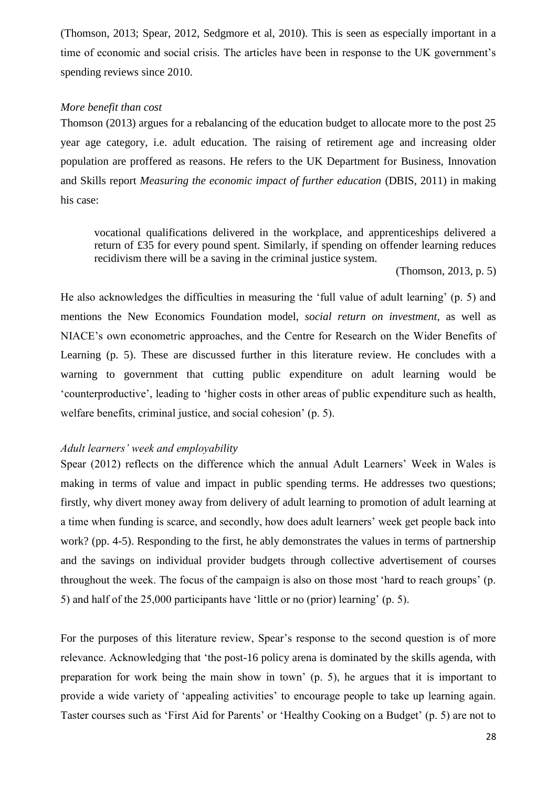(Thomson, 2013; Spear, 2012, Sedgmore et al, 2010). This is seen as especially important in a time of economic and social crisis. The articles have been in response to the UK government's spending reviews since 2010.

### <span id="page-28-0"></span>*More benefit than cost*

Thomson (2013) argues for a rebalancing of the education budget to allocate more to the post 25 year age category, i.e. adult education. The raising of retirement age and increasing older population are proffered as reasons. He refers to the UK Department for Business, Innovation and Skills report *Measuring the economic impact of further education* (DBIS, 2011) in making his case:

vocational qualifications delivered in the workplace, and apprenticeships delivered a return of £35 for every pound spent. Similarly, if spending on offender learning reduces recidivism there will be a saving in the criminal justice system.

(Thomson, 2013, p. 5)

He also acknowledges the difficulties in measuring the 'full value of adult learning' (p. 5) and mentions the New Economics Foundation model, *social return on investment,* as well as NIACE's own econometric approaches, and the Centre for Research on the Wider Benefits of Learning (p. 5). These are discussed further in this literature review. He concludes with a warning to government that cutting public expenditure on adult learning would be 'counterproductive', leading to 'higher costs in other areas of public expenditure such as health, welfare benefits, criminal justice, and social cohesion' (p. 5).

### <span id="page-28-1"></span>*Adult learners' week and employability*

Spear (2012) reflects on the difference which the annual Adult Learners' Week in Wales is making in terms of value and impact in public spending terms. He addresses two questions; firstly, why divert money away from delivery of adult learning to promotion of adult learning at a time when funding is scarce, and secondly, how does adult learners' week get people back into work? (pp. 4-5). Responding to the first, he ably demonstrates the values in terms of partnership and the savings on individual provider budgets through collective advertisement of courses throughout the week. The focus of the campaign is also on those most 'hard to reach groups' (p. 5) and half of the 25,000 participants have 'little or no (prior) learning' (p. 5).

For the purposes of this literature review, Spear's response to the second question is of more relevance. Acknowledging that 'the post-16 policy arena is dominated by the skills agenda, with preparation for work being the main show in town' (p. 5), he argues that it is important to provide a wide variety of 'appealing activities' to encourage people to take up learning again. Taster courses such as 'First Aid for Parents' or 'Healthy Cooking on a Budget' (p. 5) are not to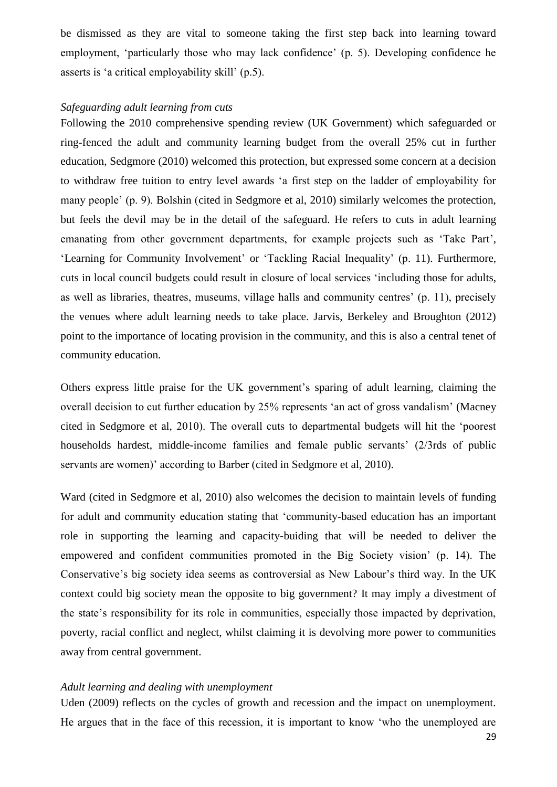be dismissed as they are vital to someone taking the first step back into learning toward employment, 'particularly those who may lack confidence' (p. 5). Developing confidence he asserts is 'a critical employability skill' (p.5).

# <span id="page-29-0"></span>*Safeguarding adult learning from cuts*

Following the 2010 comprehensive spending review (UK Government) which safeguarded or ring-fenced the adult and community learning budget from the overall 25% cut in further education, Sedgmore (2010) welcomed this protection, but expressed some concern at a decision to withdraw free tuition to entry level awards 'a first step on the ladder of employability for many people' (p. 9). Bolshin (cited in Sedgmore et al, 2010) similarly welcomes the protection, but feels the devil may be in the detail of the safeguard. He refers to cuts in adult learning emanating from other government departments, for example projects such as 'Take Part', 'Learning for Community Involvement' or 'Tackling Racial Inequality' (p. 11). Furthermore, cuts in local council budgets could result in closure of local services 'including those for adults, as well as libraries, theatres, museums, village halls and community centres' (p. 11), precisely the venues where adult learning needs to take place. Jarvis, Berkeley and Broughton (2012) point to the importance of locating provision in the community, and this is also a central tenet of community education.

Others express little praise for the UK government's sparing of adult learning, claiming the overall decision to cut further education by 25% represents 'an act of gross vandalism' (Macney cited in Sedgmore et al, 2010). The overall cuts to departmental budgets will hit the 'poorest households hardest, middle-income families and female public servants' (2/3rds of public servants are women)' according to Barber (cited in Sedgmore et al, 2010).

Ward (cited in Sedgmore et al, 2010) also welcomes the decision to maintain levels of funding for adult and community education stating that 'community-based education has an important role in supporting the learning and capacity-buiding that will be needed to deliver the empowered and confident communities promoted in the Big Society vision' (p. 14). The Conservative's big society idea seems as controversial as New Labour's third way. In the UK context could big society mean the opposite to big government? It may imply a divestment of the state's responsibility for its role in communities, especially those impacted by deprivation, poverty, racial conflict and neglect, whilst claiming it is devolving more power to communities away from central government.

### <span id="page-29-1"></span>*Adult learning and dealing with unemployment*

Uden (2009) reflects on the cycles of growth and recession and the impact on unemployment. He argues that in the face of this recession, it is important to know 'who the unemployed are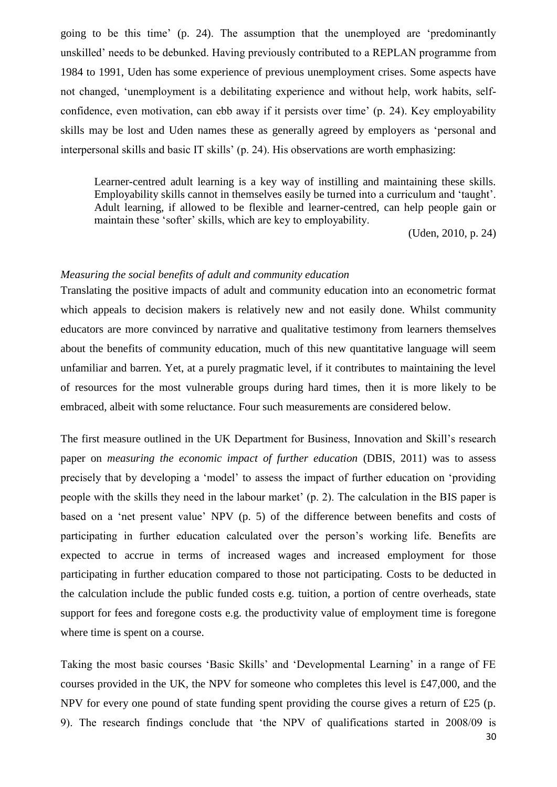going to be this time' (p. 24). The assumption that the unemployed are 'predominantly unskilled' needs to be debunked. Having previously contributed to a REPLAN programme from 1984 to 1991, Uden has some experience of previous unemployment crises. Some aspects have not changed, 'unemployment is a debilitating experience and without help, work habits, selfconfidence, even motivation, can ebb away if it persists over time' (p. 24). Key employability skills may be lost and Uden names these as generally agreed by employers as 'personal and interpersonal skills and basic IT skills' (p. 24). His observations are worth emphasizing:

Learner-centred adult learning is a key way of instilling and maintaining these skills. Employability skills cannot in themselves easily be turned into a curriculum and 'taught'. Adult learning, if allowed to be flexible and learner-centred, can help people gain or maintain these 'softer' skills, which are key to employability.

(Uden, 2010, p. 24)

# <span id="page-30-0"></span>*Measuring the social benefits of adult and community education*

Translating the positive impacts of adult and community education into an econometric format which appeals to decision makers is relatively new and not easily done. Whilst community educators are more convinced by narrative and qualitative testimony from learners themselves about the benefits of community education, much of this new quantitative language will seem unfamiliar and barren. Yet, at a purely pragmatic level, if it contributes to maintaining the level of resources for the most vulnerable groups during hard times, then it is more likely to be embraced, albeit with some reluctance. Four such measurements are considered below.

The first measure outlined in the UK Department for Business, Innovation and Skill's research paper on *measuring the economic impact of further education* (DBIS, 2011) was to assess precisely that by developing a 'model' to assess the impact of further education on 'providing people with the skills they need in the labour market' (p. 2). The calculation in the BIS paper is based on a 'net present value' NPV (p. 5) of the difference between benefits and costs of participating in further education calculated over the person's working life. Benefits are expected to accrue in terms of increased wages and increased employment for those participating in further education compared to those not participating. Costs to be deducted in the calculation include the public funded costs e.g. tuition, a portion of centre overheads, state support for fees and foregone costs e.g. the productivity value of employment time is foregone where time is spent on a course.

Taking the most basic courses 'Basic Skills' and 'Developmental Learning' in a range of FE courses provided in the UK, the NPV for someone who completes this level is £47,000, and the NPV for every one pound of state funding spent providing the course gives a return of £25 (p. 9). The research findings conclude that 'the NPV of qualifications started in 2008/09 is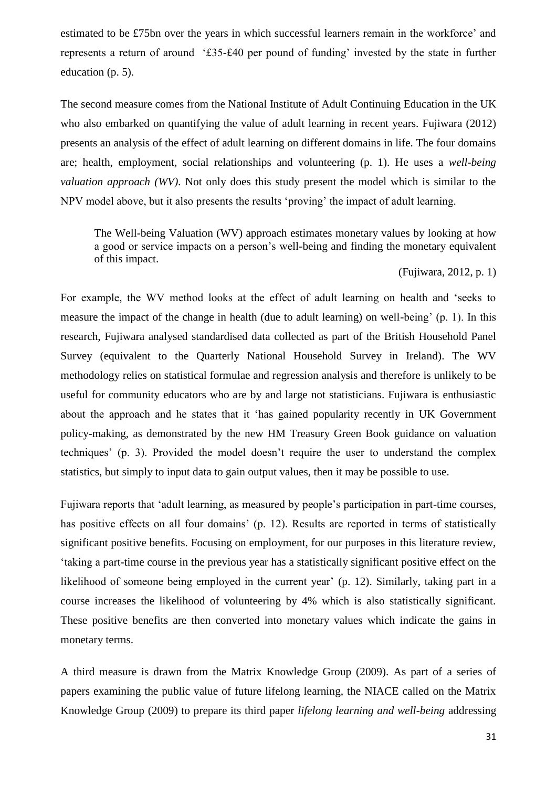estimated to be £75bn over the years in which successful learners remain in the workforce' and represents a return of around '£35-£40 per pound of funding' invested by the state in further education (p. 5).

The second measure comes from the National Institute of Adult Continuing Education in the UK who also embarked on quantifying the value of adult learning in recent years. Fujiwara (2012) presents an analysis of the effect of adult learning on different domains in life. The four domains are; health, employment, social relationships and volunteering (p. 1). He uses a *well-being valuation approach (WV)*. Not only does this study present the model which is similar to the NPV model above, but it also presents the results 'proving' the impact of adult learning.

The Well-being Valuation (WV) approach estimates monetary values by looking at how a good or service impacts on a person's well-being and finding the monetary equivalent of this impact.

(Fujiwara, 2012, p. 1)

For example, the WV method looks at the effect of adult learning on health and 'seeks to measure the impact of the change in health (due to adult learning) on well-being' (p. 1). In this research, Fujiwara analysed standardised data collected as part of the British Household Panel Survey (equivalent to the Quarterly National Household Survey in Ireland). The WV methodology relies on statistical formulae and regression analysis and therefore is unlikely to be useful for community educators who are by and large not statisticians. Fujiwara is enthusiastic about the approach and he states that it 'has gained popularity recently in UK Government policy-making, as demonstrated by the new HM Treasury Green Book guidance on valuation techniques' (p. 3). Provided the model doesn't require the user to understand the complex statistics, but simply to input data to gain output values, then it may be possible to use.

Fujiwara reports that 'adult learning, as measured by people's participation in part-time courses, has positive effects on all four domains' (p. 12). Results are reported in terms of statistically significant positive benefits. Focusing on employment, for our purposes in this literature review, 'taking a part-time course in the previous year has a statistically significant positive effect on the likelihood of someone being employed in the current year' (p. 12). Similarly, taking part in a course increases the likelihood of volunteering by 4% which is also statistically significant. These positive benefits are then converted into monetary values which indicate the gains in monetary terms.

A third measure is drawn from the Matrix Knowledge Group (2009). As part of a series of papers examining the public value of future lifelong learning, the NIACE called on the Matrix Knowledge Group (2009) to prepare its third paper *lifelong learning and well-being* addressing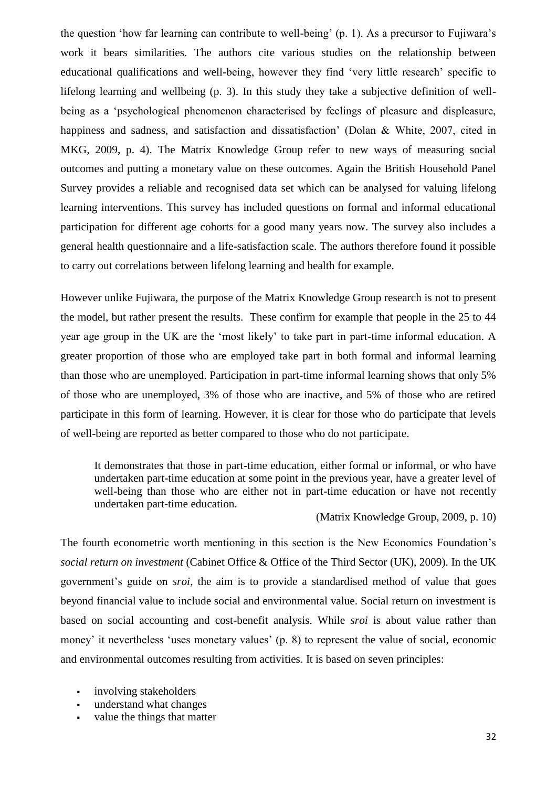the question 'how far learning can contribute to well-being' (p. 1). As a precursor to Fujiwara's work it bears similarities. The authors cite various studies on the relationship between educational qualifications and well-being, however they find 'very little research' specific to lifelong learning and wellbeing (p. 3). In this study they take a subjective definition of wellbeing as a 'psychological phenomenon characterised by feelings of pleasure and displeasure, happiness and sadness, and satisfaction and dissatisfaction' (Dolan & White, 2007, cited in MKG, 2009, p. 4). The Matrix Knowledge Group refer to new ways of measuring social outcomes and putting a monetary value on these outcomes. Again the British Household Panel Survey provides a reliable and recognised data set which can be analysed for valuing lifelong learning interventions. This survey has included questions on formal and informal educational participation for different age cohorts for a good many years now. The survey also includes a general health questionnaire and a life-satisfaction scale. The authors therefore found it possible to carry out correlations between lifelong learning and health for example.

However unlike Fujiwara, the purpose of the Matrix Knowledge Group research is not to present the model, but rather present the results. These confirm for example that people in the 25 to 44 year age group in the UK are the 'most likely' to take part in part-time informal education. A greater proportion of those who are employed take part in both formal and informal learning than those who are unemployed. Participation in part-time informal learning shows that only 5% of those who are unemployed, 3% of those who are inactive, and 5% of those who are retired participate in this form of learning. However, it is clear for those who do participate that levels of well-being are reported as better compared to those who do not participate.

It demonstrates that those in part-time education, either formal or informal, or who have undertaken part-time education at some point in the previous year, have a greater level of well-being than those who are either not in part-time education or have not recently undertaken part-time education.

(Matrix Knowledge Group, 2009, p. 10)

The fourth econometric worth mentioning in this section is the New Economics Foundation's *social return on investment* (Cabinet Office & Office of the Third Sector (UK), 2009). In the UK government's guide on *sroi*, the aim is to provide a standardised method of value that goes beyond financial value to include social and environmental value. Social return on investment is based on social accounting and cost-benefit analysis. While *sroi* is about value rather than money' it nevertheless 'uses monetary values' (p. 8) to represent the value of social, economic and environmental outcomes resulting from activities. It is based on seven principles:

- involving stakeholders
- understand what changes
- value the things that matter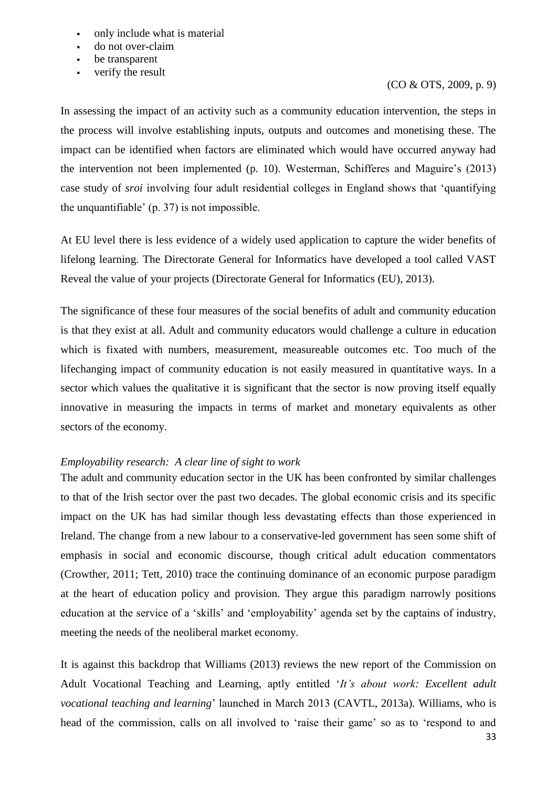- only include what is material
- do not over-claim
- be transparent
- verify the result

# (CO & OTS, 2009, p. 9)

In assessing the impact of an activity such as a community education intervention, the steps in the process will involve establishing inputs, outputs and outcomes and monetising these. The impact can be identified when factors are eliminated which would have occurred anyway had the intervention not been implemented (p. 10). Westerman, Schifferes and Maguire's (2013) case study of *sroi* involving four adult residential colleges in England shows that 'quantifying the unquantifiable' (p. 37) is not impossible.

At EU level there is less evidence of a widely used application to capture the wider benefits of lifelong learning. The Directorate General for Informatics have developed a tool called VAST Reveal the value of your projects (Directorate General for Informatics (EU), 2013).

The significance of these four measures of the social benefits of adult and community education is that they exist at all. Adult and community educators would challenge a culture in education which is fixated with numbers, measurement, measureable outcomes etc. Too much of the lifechanging impact of community education is not easily measured in quantitative ways. In a sector which values the qualitative it is significant that the sector is now proving itself equally innovative in measuring the impacts in terms of market and monetary equivalents as other sectors of the economy.

# <span id="page-33-0"></span>*Employability research: A clear line of sight to work*

The adult and community education sector in the UK has been confronted by similar challenges to that of the Irish sector over the past two decades. The global economic crisis and its specific impact on the UK has had similar though less devastating effects than those experienced in Ireland. The change from a new labour to a conservative-led government has seen some shift of emphasis in social and economic discourse, though critical adult education commentators (Crowther, 2011; Tett, 2010) trace the continuing dominance of an economic purpose paradigm at the heart of education policy and provision. They argue this paradigm narrowly positions education at the service of a 'skills' and 'employability' agenda set by the captains of industry, meeting the needs of the neoliberal market economy.

It is against this backdrop that Williams (2013) reviews the new report of the Commission on Adult Vocational Teaching and Learning, aptly entitled '*It's about work: Excellent adult vocational teaching and learning*' launched in March 2013 (CAVTL, 2013a). Williams, who is head of the commission, calls on all involved to 'raise their game' so as to 'respond to and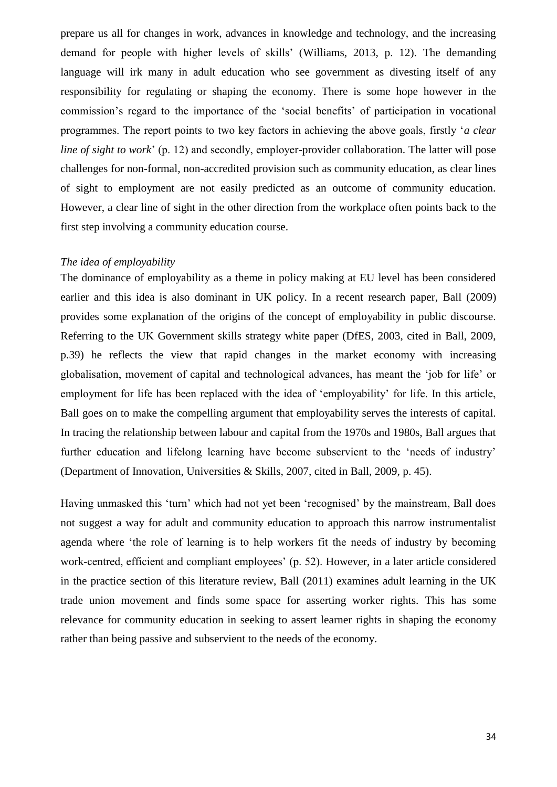prepare us all for changes in work, advances in knowledge and technology, and the increasing demand for people with higher levels of skills' (Williams, 2013, p. 12). The demanding language will irk many in adult education who see government as divesting itself of any responsibility for regulating or shaping the economy. There is some hope however in the commission's regard to the importance of the 'social benefits' of participation in vocational programmes. The report points to two key factors in achieving the above goals, firstly '*a clear line of sight to work*' (p. 12) and secondly, employer-provider collaboration. The latter will pose challenges for non-formal, non-accredited provision such as community education, as clear lines of sight to employment are not easily predicted as an outcome of community education. However, a clear line of sight in the other direction from the workplace often points back to the first step involving a community education course.

# <span id="page-34-0"></span>*The idea of employability*

The dominance of employability as a theme in policy making at EU level has been considered earlier and this idea is also dominant in UK policy. In a recent research paper, Ball (2009) provides some explanation of the origins of the concept of employability in public discourse. Referring to the UK Government skills strategy white paper (DfES, 2003, cited in Ball, 2009, p.39) he reflects the view that rapid changes in the market economy with increasing globalisation, movement of capital and technological advances, has meant the 'job for life' or employment for life has been replaced with the idea of 'employability' for life. In this article, Ball goes on to make the compelling argument that employability serves the interests of capital. In tracing the relationship between labour and capital from the 1970s and 1980s, Ball argues that further education and lifelong learning have become subservient to the 'needs of industry' (Department of Innovation, Universities & Skills, 2007, cited in Ball, 2009, p. 45).

Having unmasked this 'turn' which had not yet been 'recognised' by the mainstream, Ball does not suggest a way for adult and community education to approach this narrow instrumentalist agenda where 'the role of learning is to help workers fit the needs of industry by becoming work-centred, efficient and compliant employees' (p. 52). However, in a later article considered in the practice section of this literature review, Ball (2011) examines adult learning in the UK trade union movement and finds some space for asserting worker rights. This has some relevance for community education in seeking to assert learner rights in shaping the economy rather than being passive and subservient to the needs of the economy.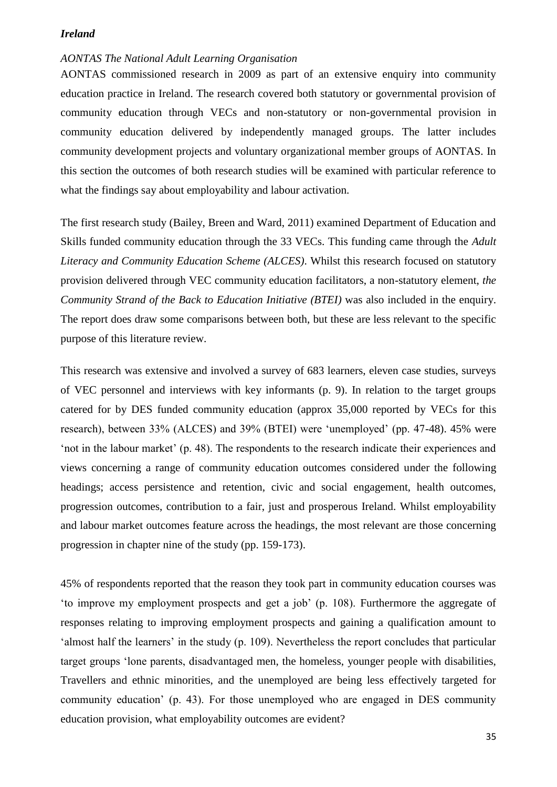### <span id="page-35-0"></span>*Ireland*

# <span id="page-35-1"></span>*AONTAS The National Adult Learning Organisation*

AONTAS commissioned research in 2009 as part of an extensive enquiry into community education practice in Ireland. The research covered both statutory or governmental provision of community education through VECs and non-statutory or non-governmental provision in community education delivered by independently managed groups. The latter includes community development projects and voluntary organizational member groups of AONTAS. In this section the outcomes of both research studies will be examined with particular reference to what the findings say about employability and labour activation.

The first research study (Bailey, Breen and Ward, 2011) examined Department of Education and Skills funded community education through the 33 VECs. This funding came through the *Adult Literacy and Community Education Scheme (ALCES)*. Whilst this research focused on statutory provision delivered through VEC community education facilitators, a non-statutory element, *the Community Strand of the Back to Education Initiative (BTEI)* was also included in the enquiry. The report does draw some comparisons between both, but these are less relevant to the specific purpose of this literature review.

This research was extensive and involved a survey of 683 learners, eleven case studies, surveys of VEC personnel and interviews with key informants (p. 9). In relation to the target groups catered for by DES funded community education (approx 35,000 reported by VECs for this research), between 33% (ALCES) and 39% (BTEI) were 'unemployed' (pp. 47-48). 45% were 'not in the labour market' (p. 48). The respondents to the research indicate their experiences and views concerning a range of community education outcomes considered under the following headings; access persistence and retention, civic and social engagement, health outcomes, progression outcomes, contribution to a fair, just and prosperous Ireland. Whilst employability and labour market outcomes feature across the headings, the most relevant are those concerning progression in chapter nine of the study (pp. 159-173).

45% of respondents reported that the reason they took part in community education courses was 'to improve my employment prospects and get a job' (p. 108). Furthermore the aggregate of responses relating to improving employment prospects and gaining a qualification amount to 'almost half the learners' in the study (p. 109). Nevertheless the report concludes that particular target groups 'lone parents, disadvantaged men, the homeless, younger people with disabilities, Travellers and ethnic minorities, and the unemployed are being less effectively targeted for community education' (p. 43). For those unemployed who are engaged in DES community education provision, what employability outcomes are evident?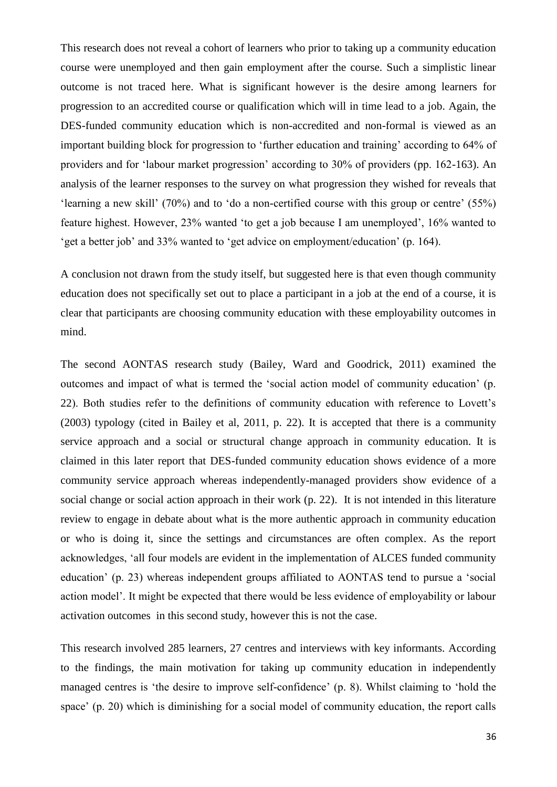This research does not reveal a cohort of learners who prior to taking up a community education course were unemployed and then gain employment after the course. Such a simplistic linear outcome is not traced here. What is significant however is the desire among learners for progression to an accredited course or qualification which will in time lead to a job. Again, the DES-funded community education which is non-accredited and non-formal is viewed as an important building block for progression to 'further education and training' according to 64% of providers and for 'labour market progression' according to 30% of providers (pp. 162-163). An analysis of the learner responses to the survey on what progression they wished for reveals that 'learning a new skill' (70%) and to 'do a non-certified course with this group or centre' (55%) feature highest. However, 23% wanted 'to get a job because I am unemployed', 16% wanted to 'get a better job' and 33% wanted to 'get advice on employment/education' (p. 164).

A conclusion not drawn from the study itself, but suggested here is that even though community education does not specifically set out to place a participant in a job at the end of a course, it is clear that participants are choosing community education with these employability outcomes in mind.

The second AONTAS research study (Bailey, Ward and Goodrick, 2011) examined the outcomes and impact of what is termed the 'social action model of community education' (p. 22). Both studies refer to the definitions of community education with reference to Lovett's (2003) typology (cited in Bailey et al, 2011, p. 22). It is accepted that there is a community service approach and a social or structural change approach in community education. It is claimed in this later report that DES-funded community education shows evidence of a more community service approach whereas independently-managed providers show evidence of a social change or social action approach in their work (p. 22). It is not intended in this literature review to engage in debate about what is the more authentic approach in community education or who is doing it, since the settings and circumstances are often complex. As the report acknowledges, 'all four models are evident in the implementation of ALCES funded community education' (p. 23) whereas independent groups affiliated to AONTAS tend to pursue a 'social action model'. It might be expected that there would be less evidence of employability or labour activation outcomes in this second study, however this is not the case.

This research involved 285 learners, 27 centres and interviews with key informants. According to the findings, the main motivation for taking up community education in independently managed centres is 'the desire to improve self-confidence' (p. 8). Whilst claiming to 'hold the space' (p. 20) which is diminishing for a social model of community education, the report calls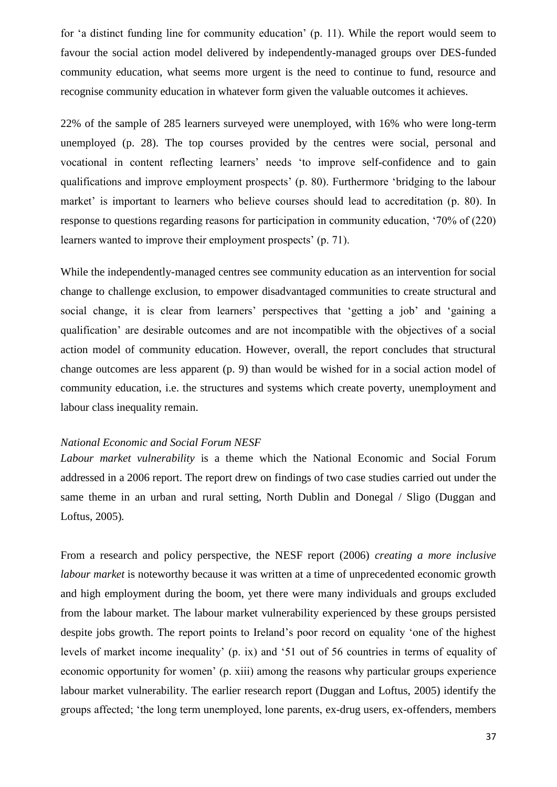for 'a distinct funding line for community education' (p. 11). While the report would seem to favour the social action model delivered by independently-managed groups over DES-funded community education, what seems more urgent is the need to continue to fund, resource and recognise community education in whatever form given the valuable outcomes it achieves.

22% of the sample of 285 learners surveyed were unemployed, with 16% who were long-term unemployed (p. 28). The top courses provided by the centres were social, personal and vocational in content reflecting learners' needs 'to improve self-confidence and to gain qualifications and improve employment prospects' (p. 80). Furthermore 'bridging to the labour market' is important to learners who believe courses should lead to accreditation (p. 80). In response to questions regarding reasons for participation in community education, '70% of (220) learners wanted to improve their employment prospects' (p. 71).

While the independently-managed centres see community education as an intervention for social change to challenge exclusion, to empower disadvantaged communities to create structural and social change, it is clear from learners' perspectives that 'getting a job' and 'gaining a qualification' are desirable outcomes and are not incompatible with the objectives of a social action model of community education. However, overall, the report concludes that structural change outcomes are less apparent (p. 9) than would be wished for in a social action model of community education, i.e. the structures and systems which create poverty, unemployment and labour class inequality remain.

#### <span id="page-37-0"></span>*National Economic and Social Forum NESF*

*Labour market vulnerability* is a theme which the National Economic and Social Forum addressed in a 2006 report. The report drew on findings of two case studies carried out under the same theme in an urban and rural setting, North Dublin and Donegal / Sligo (Duggan and Loftus, 2005)*.*

From a research and policy perspective, the NESF report (2006) *creating a more inclusive labour market* is noteworthy because it was written at a time of unprecedented economic growth and high employment during the boom, yet there were many individuals and groups excluded from the labour market. The labour market vulnerability experienced by these groups persisted despite jobs growth. The report points to Ireland's poor record on equality 'one of the highest levels of market income inequality' (p. ix) and '51 out of 56 countries in terms of equality of economic opportunity for women' (p. xiii) among the reasons why particular groups experience labour market vulnerability. The earlier research report (Duggan and Loftus, 2005) identify the groups affected; 'the long term unemployed, lone parents, ex-drug users, ex-offenders, members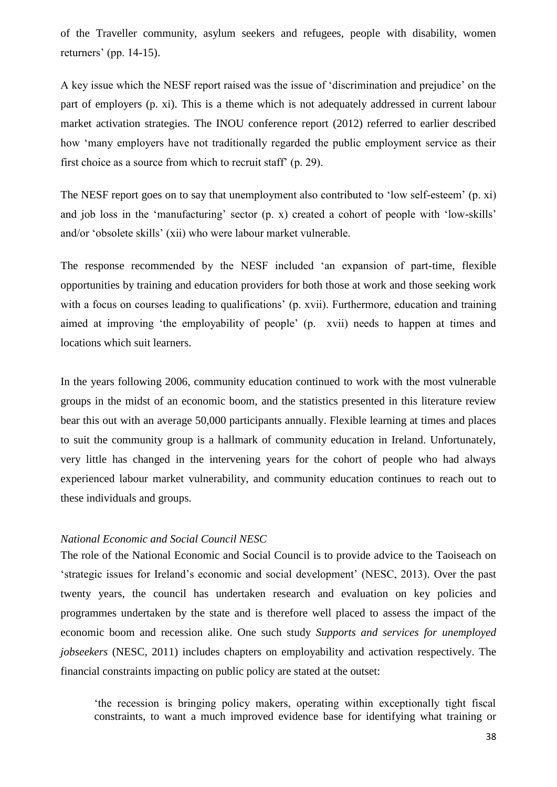of the Traveller community, asylum seekers and refugees, people with disability, women returners' (pp. 14-15).

A key issue which the NESF report raised was the issue of 'discrimination and prejudice' on the part of employers (p. xi). This is a theme which is not adequately addressed in current labour market activation strategies. The INOU conference report (2012) referred to earlier described how 'many employers have not traditionally regarded the public employment service as their first choice as a source from which to recruit staff' (p. 29).

The NESF report goes on to say that unemployment also contributed to 'low self-esteem' (p. xi) and job loss in the 'manufacturing' sector (p. x) created a cohort of people with 'low-skills' and/or 'obsolete skills' (xii) who were labour market vulnerable.

The response recommended by the NESF included 'an expansion of part-time, flexible opportunities by training and education providers for both those at work and those seeking work with a focus on courses leading to qualifications' (p. xvii). Furthermore, education and training aimed at improving 'the employability of people' (p. xvii) needs to happen at times and locations which suit learners.

In the years following 2006, community education continued to work with the most vulnerable groups in the midst of an economic boom, and the statistics presented in this literature review bear this out with an average 50,000 participants annually. Flexible learning at times and places to suit the community group is a hallmark of community education in Ireland. Unfortunately, very little has changed in the intervening years for the cohort of people who had always experienced labour market vulnerability, and community education continues to reach out to these individuals and groups.

### <span id="page-38-0"></span>*National Economic and Social Council NESC*

The role of the National Economic and Social Council is to provide advice to the Taoiseach on 'strategic issues for Ireland's economic and social development' (NESC, 2013). Over the past twenty years, the council has undertaken research and evaluation on key policies and programmes undertaken by the state and is therefore well placed to assess the impact of the economic boom and recession alike. One such study *Supports and services for unemployed jobseekers* (NESC, 2011) includes chapters on employability and activation respectively. The financial constraints impacting on public policy are stated at the outset:

'the recession is bringing policy makers, operating within exceptionally tight fiscal constraints, to want a much improved evidence base for identifying what training or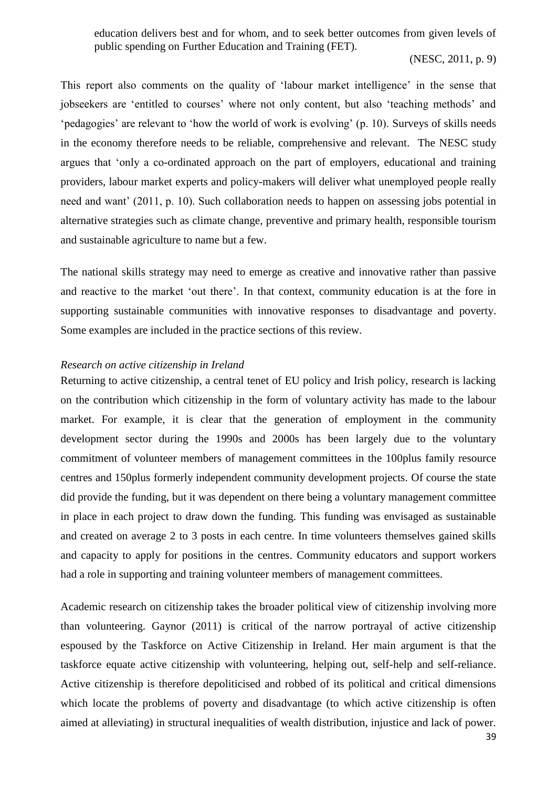education delivers best and for whom, and to seek better outcomes from given levels of public spending on Further Education and Training (FET).

# (NESC, 2011, p. 9)

This report also comments on the quality of 'labour market intelligence' in the sense that jobseekers are 'entitled to courses' where not only content, but also 'teaching methods' and 'pedagogies' are relevant to 'how the world of work is evolving' (p. 10). Surveys of skills needs in the economy therefore needs to be reliable, comprehensive and relevant. The NESC study argues that 'only a co-ordinated approach on the part of employers, educational and training providers, labour market experts and policy-makers will deliver what unemployed people really need and want' (2011, p. 10). Such collaboration needs to happen on assessing jobs potential in alternative strategies such as climate change, preventive and primary health, responsible tourism and sustainable agriculture to name but a few.

The national skills strategy may need to emerge as creative and innovative rather than passive and reactive to the market 'out there'. In that context, community education is at the fore in supporting sustainable communities with innovative responses to disadvantage and poverty. Some examples are included in the practice sections of this review.

# <span id="page-39-0"></span>*Research on active citizenship in Ireland*

Returning to active citizenship, a central tenet of EU policy and Irish policy, research is lacking on the contribution which citizenship in the form of voluntary activity has made to the labour market. For example, it is clear that the generation of employment in the community development sector during the 1990s and 2000s has been largely due to the voluntary commitment of volunteer members of management committees in the 100plus family resource centres and 150plus formerly independent community development projects. Of course the state did provide the funding, but it was dependent on there being a voluntary management committee in place in each project to draw down the funding. This funding was envisaged as sustainable and created on average 2 to 3 posts in each centre. In time volunteers themselves gained skills and capacity to apply for positions in the centres. Community educators and support workers had a role in supporting and training volunteer members of management committees.

Academic research on citizenship takes the broader political view of citizenship involving more than volunteering. Gaynor (2011) is critical of the narrow portrayal of active citizenship espoused by the Taskforce on Active Citizenship in Ireland. Her main argument is that the taskforce equate active citizenship with volunteering, helping out, self-help and self-reliance. Active citizenship is therefore depoliticised and robbed of its political and critical dimensions which locate the problems of poverty and disadvantage (to which active citizenship is often aimed at alleviating) in structural inequalities of wealth distribution, injustice and lack of power.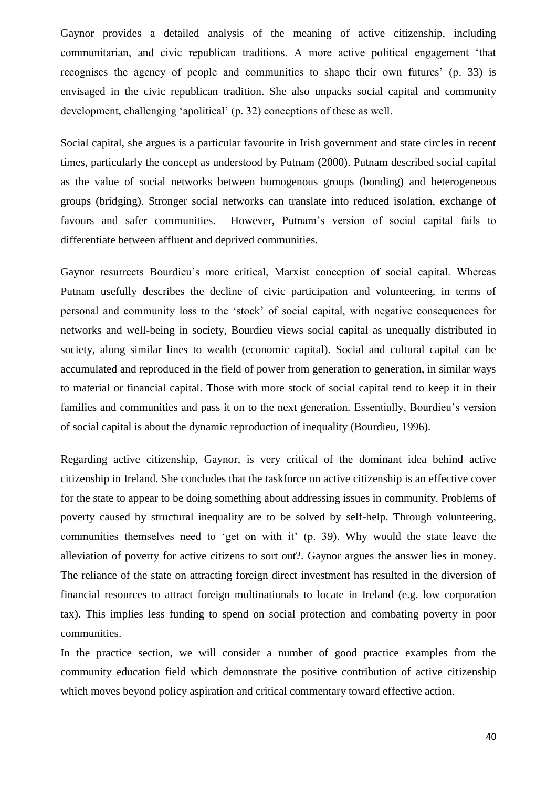Gaynor provides a detailed analysis of the meaning of active citizenship, including communitarian, and civic republican traditions. A more active political engagement 'that recognises the agency of people and communities to shape their own futures' (p. 33) is envisaged in the civic republican tradition. She also unpacks social capital and community development, challenging 'apolitical' (p. 32) conceptions of these as well.

Social capital, she argues is a particular favourite in Irish government and state circles in recent times, particularly the concept as understood by Putnam (2000). Putnam described social capital as the value of social networks between homogenous groups (bonding) and heterogeneous groups (bridging). Stronger social networks can translate into reduced isolation, exchange of favours and safer communities. However, Putnam's version of social capital fails to differentiate between affluent and deprived communities.

Gaynor resurrects Bourdieu's more critical, Marxist conception of social capital. Whereas Putnam usefully describes the decline of civic participation and volunteering, in terms of personal and community loss to the 'stock' of social capital, with negative consequences for networks and well-being in society, Bourdieu views social capital as unequally distributed in society, along similar lines to wealth (economic capital). Social and cultural capital can be accumulated and reproduced in the field of power from generation to generation, in similar ways to material or financial capital. Those with more stock of social capital tend to keep it in their families and communities and pass it on to the next generation. Essentially, Bourdieu's version of social capital is about the dynamic reproduction of inequality (Bourdieu, 1996).

Regarding active citizenship, Gaynor, is very critical of the dominant idea behind active citizenship in Ireland. She concludes that the taskforce on active citizenship is an effective cover for the state to appear to be doing something about addressing issues in community. Problems of poverty caused by structural inequality are to be solved by self-help. Through volunteering, communities themselves need to 'get on with it' (p. 39). Why would the state leave the alleviation of poverty for active citizens to sort out?. Gaynor argues the answer lies in money. The reliance of the state on attracting foreign direct investment has resulted in the diversion of financial resources to attract foreign multinationals to locate in Ireland (e.g. low corporation tax). This implies less funding to spend on social protection and combating poverty in poor communities.

In the practice section, we will consider a number of good practice examples from the community education field which demonstrate the positive contribution of active citizenship which moves beyond policy aspiration and critical commentary toward effective action.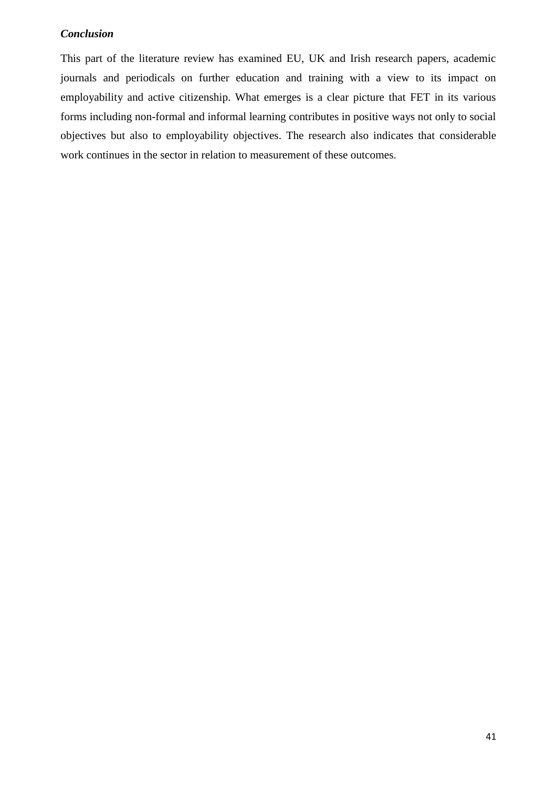# <span id="page-41-0"></span>*Conclusion*

This part of the literature review has examined EU, UK and Irish research papers, academic journals and periodicals on further education and training with a view to its impact on employability and active citizenship. What emerges is a clear picture that FET in its various forms including non-formal and informal learning contributes in positive ways not only to social objectives but also to employability objectives. The research also indicates that considerable work continues in the sector in relation to measurement of these outcomes.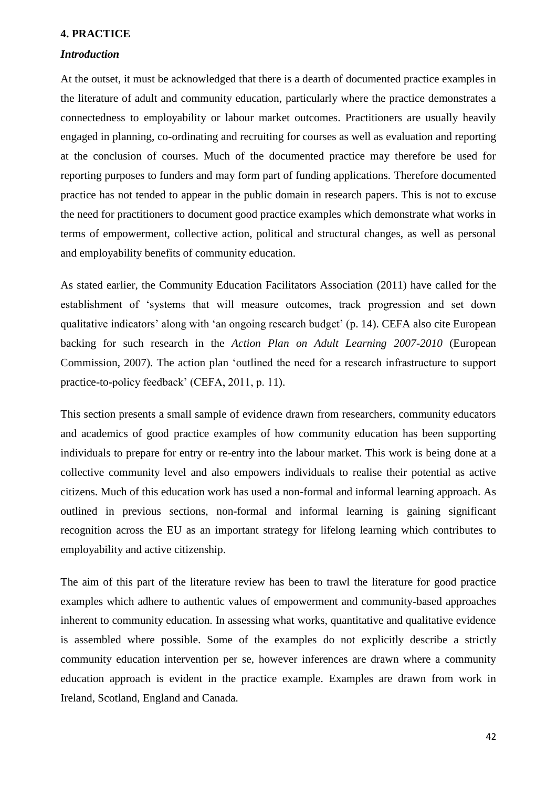#### <span id="page-42-0"></span>**4. PRACTICE**

### <span id="page-42-1"></span>*Introduction*

At the outset, it must be acknowledged that there is a dearth of documented practice examples in the literature of adult and community education, particularly where the practice demonstrates a connectedness to employability or labour market outcomes. Practitioners are usually heavily engaged in planning, co-ordinating and recruiting for courses as well as evaluation and reporting at the conclusion of courses. Much of the documented practice may therefore be used for reporting purposes to funders and may form part of funding applications. Therefore documented practice has not tended to appear in the public domain in research papers. This is not to excuse the need for practitioners to document good practice examples which demonstrate what works in terms of empowerment, collective action, political and structural changes, as well as personal and employability benefits of community education.

As stated earlier, the Community Education Facilitators Association (2011) have called for the establishment of 'systems that will measure outcomes, track progression and set down qualitative indicators' along with 'an ongoing research budget' (p. 14). CEFA also cite European backing for such research in the *Action Plan on Adult Learning 2007-2010* (European Commission, 2007). The action plan 'outlined the need for a research infrastructure to support practice-to-policy feedback' (CEFA, 2011, p. 11).

This section presents a small sample of evidence drawn from researchers, community educators and academics of good practice examples of how community education has been supporting individuals to prepare for entry or re-entry into the labour market. This work is being done at a collective community level and also empowers individuals to realise their potential as active citizens. Much of this education work has used a non-formal and informal learning approach. As outlined in previous sections, non-formal and informal learning is gaining significant recognition across the EU as an important strategy for lifelong learning which contributes to employability and active citizenship.

The aim of this part of the literature review has been to trawl the literature for good practice examples which adhere to authentic values of empowerment and community-based approaches inherent to community education. In assessing what works, quantitative and qualitative evidence is assembled where possible. Some of the examples do not explicitly describe a strictly community education intervention per se, however inferences are drawn where a community education approach is evident in the practice example. Examples are drawn from work in Ireland, Scotland, England and Canada.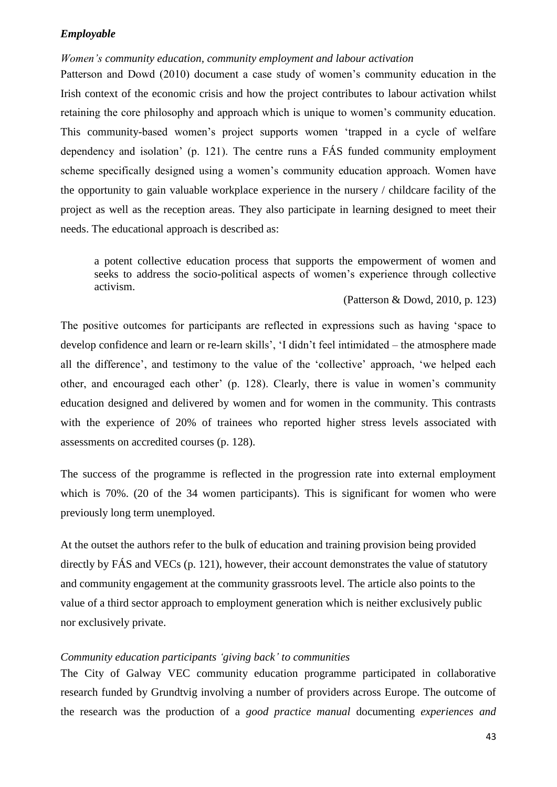# <span id="page-43-0"></span>*Employable*

### <span id="page-43-1"></span>*Women's community education, community employment and labour activation*

Patterson and Dowd (2010) document a case study of women's community education in the Irish context of the economic crisis and how the project contributes to labour activation whilst retaining the core philosophy and approach which is unique to women's community education. This community-based women's project supports women 'trapped in a cycle of welfare dependency and isolation' (p. 121). The centre runs a FÁS funded community employment scheme specifically designed using a women's community education approach. Women have the opportunity to gain valuable workplace experience in the nursery / childcare facility of the project as well as the reception areas. They also participate in learning designed to meet their needs. The educational approach is described as:

a potent collective education process that supports the empowerment of women and seeks to address the socio-political aspects of women's experience through collective activism.

### (Patterson & Dowd, 2010, p. 123)

The positive outcomes for participants are reflected in expressions such as having 'space to develop confidence and learn or re-learn skills', 'I didn't feel intimidated – the atmosphere made all the difference', and testimony to the value of the 'collective' approach, 'we helped each other, and encouraged each other' (p. 128). Clearly, there is value in women's community education designed and delivered by women and for women in the community. This contrasts with the experience of 20% of trainees who reported higher stress levels associated with assessments on accredited courses (p. 128).

The success of the programme is reflected in the progression rate into external employment which is 70%. (20 of the 34 women participants). This is significant for women who were previously long term unemployed.

At the outset the authors refer to the bulk of education and training provision being provided directly by FÁS and VECs (p. 121), however, their account demonstrates the value of statutory and community engagement at the community grassroots level. The article also points to the value of a third sector approach to employment generation which is neither exclusively public nor exclusively private.

# <span id="page-43-2"></span>*Community education participants 'giving back' to communities*

The City of Galway VEC community education programme participated in collaborative research funded by Grundtvig involving a number of providers across Europe. The outcome of the research was the production of a *good practice manual* documenting *experiences and*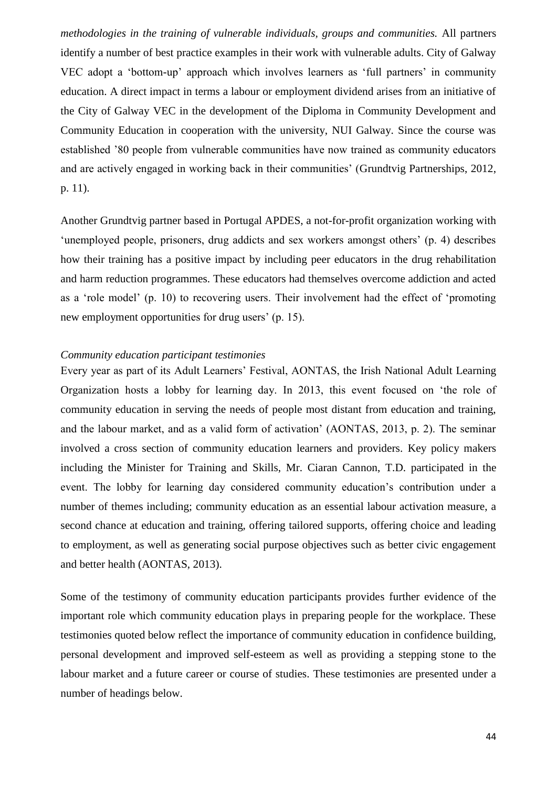*methodologies in the training of vulnerable individuals, groups and communities.* All partners identify a number of best practice examples in their work with vulnerable adults. City of Galway VEC adopt a 'bottom-up' approach which involves learners as 'full partners' in community education. A direct impact in terms a labour or employment dividend arises from an initiative of the City of Galway VEC in the development of the Diploma in Community Development and Community Education in cooperation with the university, NUI Galway. Since the course was established '80 people from vulnerable communities have now trained as community educators and are actively engaged in working back in their communities' (Grundtvig Partnerships, 2012, p. 11).

Another Grundtvig partner based in Portugal APDES, a not-for-profit organization working with 'unemployed people, prisoners, drug addicts and sex workers amongst others' (p. 4) describes how their training has a positive impact by including peer educators in the drug rehabilitation and harm reduction programmes. These educators had themselves overcome addiction and acted as a 'role model' (p. 10) to recovering users. Their involvement had the effect of 'promoting new employment opportunities for drug users' (p. 15).

# <span id="page-44-0"></span>*Community education participant testimonies*

Every year as part of its Adult Learners' Festival, AONTAS, the Irish National Adult Learning Organization hosts a lobby for learning day. In 2013, this event focused on 'the role of community education in serving the needs of people most distant from education and training, and the labour market, and as a valid form of activation' (AONTAS, 2013, p. 2). The seminar involved a cross section of community education learners and providers. Key policy makers including the Minister for Training and Skills, Mr. Ciaran Cannon, T.D. participated in the event. The lobby for learning day considered community education's contribution under a number of themes including; community education as an essential labour activation measure, a second chance at education and training, offering tailored supports, offering choice and leading to employment, as well as generating social purpose objectives such as better civic engagement and better health (AONTAS, 2013).

Some of the testimony of community education participants provides further evidence of the important role which community education plays in preparing people for the workplace. These testimonies quoted below reflect the importance of community education in confidence building, personal development and improved self-esteem as well as providing a stepping stone to the labour market and a future career or course of studies. These testimonies are presented under a number of headings below.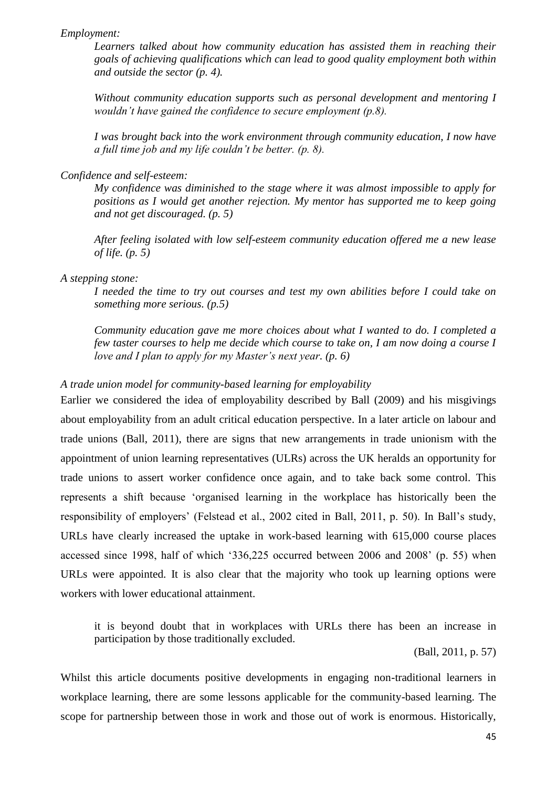# *Employment:*

*Learners talked about how community education has assisted them in reaching their goals of achieving qualifications which can lead to good quality employment both within and outside the sector (p. 4).*

*Without community education supports such as personal development and mentoring I wouldn't have gained the confidence to secure employment (p.8).*

*I was brought back into the work environment through community education, I now have a full time job and my life couldn't be better. (p. 8).*

*Confidence and self-esteem:*

*My confidence was diminished to the stage where it was almost impossible to apply for positions as I would get another rejection. My mentor has supported me to keep going and not get discouraged. (p. 5)*

*After feeling isolated with low self-esteem community education offered me a new lease of life. (p. 5)*

*A stepping stone:*

*I needed the time to try out courses and test my own abilities before I could take on something more serious. (p.5)*

*Community education gave me more choices about what I wanted to do. I completed a few taster courses to help me decide which course to take on, I am now doing a course I love and I plan to apply for my Master's next year. (p. 6)*

# <span id="page-45-0"></span>*A trade union model for community-based learning for employability*

Earlier we considered the idea of employability described by Ball (2009) and his misgivings about employability from an adult critical education perspective. In a later article on labour and trade unions (Ball, 2011), there are signs that new arrangements in trade unionism with the appointment of union learning representatives (ULRs) across the UK heralds an opportunity for trade unions to assert worker confidence once again, and to take back some control. This represents a shift because 'organised learning in the workplace has historically been the responsibility of employers' (Felstead et al., 2002 cited in Ball, 2011, p. 50). In Ball's study, URLs have clearly increased the uptake in work-based learning with 615,000 course places accessed since 1998, half of which '336,225 occurred between 2006 and 2008' (p. 55) when URLs were appointed. It is also clear that the majority who took up learning options were workers with lower educational attainment.

it is beyond doubt that in workplaces with URLs there has been an increase in participation by those traditionally excluded.

(Ball, 2011, p. 57)

Whilst this article documents positive developments in engaging non-traditional learners in workplace learning, there are some lessons applicable for the community-based learning. The scope for partnership between those in work and those out of work is enormous. Historically,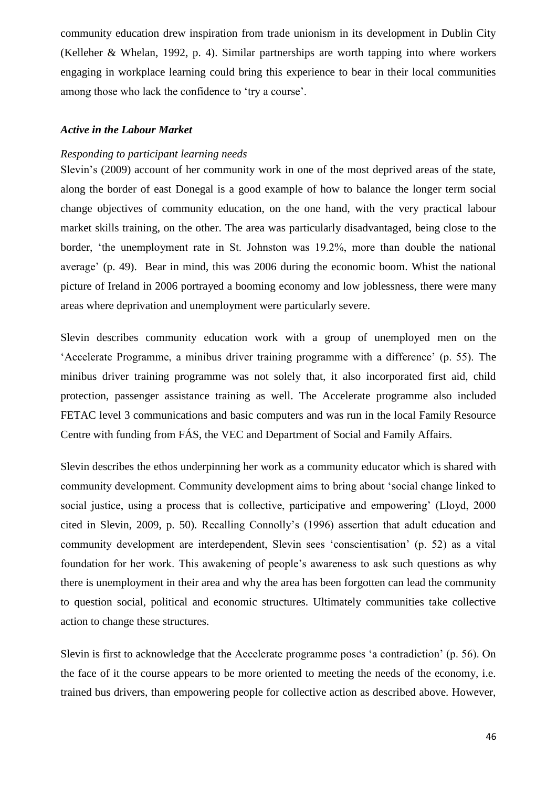community education drew inspiration from trade unionism in its development in Dublin City (Kelleher & Whelan, 1992, p. 4). Similar partnerships are worth tapping into where workers engaging in workplace learning could bring this experience to bear in their local communities among those who lack the confidence to 'try a course'.

# <span id="page-46-0"></span>*Active in the Labour Market*

# <span id="page-46-1"></span>*Responding to participant learning needs*

Slevin's (2009) account of her community work in one of the most deprived areas of the state, along the border of east Donegal is a good example of how to balance the longer term social change objectives of community education, on the one hand, with the very practical labour market skills training, on the other. The area was particularly disadvantaged, being close to the border, 'the unemployment rate in St. Johnston was 19.2%, more than double the national average' (p. 49). Bear in mind, this was 2006 during the economic boom. Whist the national picture of Ireland in 2006 portrayed a booming economy and low joblessness, there were many areas where deprivation and unemployment were particularly severe.

Slevin describes community education work with a group of unemployed men on the 'Accelerate Programme, a minibus driver training programme with a difference' (p. 55). The minibus driver training programme was not solely that, it also incorporated first aid, child protection, passenger assistance training as well. The Accelerate programme also included FETAC level 3 communications and basic computers and was run in the local Family Resource Centre with funding from FÁS, the VEC and Department of Social and Family Affairs.

Slevin describes the ethos underpinning her work as a community educator which is shared with community development. Community development aims to bring about 'social change linked to social justice, using a process that is collective, participative and empowering' (Lloyd, 2000) cited in Slevin, 2009, p. 50). Recalling Connolly's (1996) assertion that adult education and community development are interdependent, Slevin sees 'conscientisation' (p. 52) as a vital foundation for her work. This awakening of people's awareness to ask such questions as why there is unemployment in their area and why the area has been forgotten can lead the community to question social, political and economic structures. Ultimately communities take collective action to change these structures.

Slevin is first to acknowledge that the Accelerate programme poses 'a contradiction' (p. 56). On the face of it the course appears to be more oriented to meeting the needs of the economy, i.e. trained bus drivers, than empowering people for collective action as described above. However,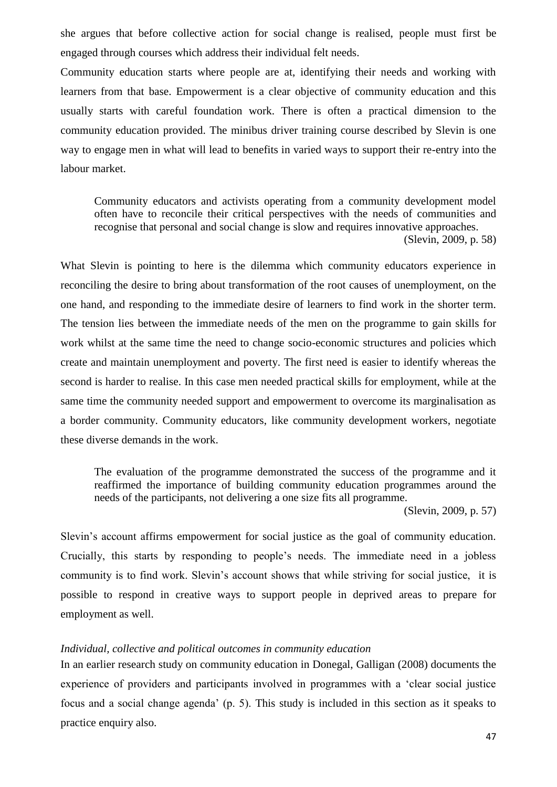she argues that before collective action for social change is realised, people must first be engaged through courses which address their individual felt needs.

Community education starts where people are at, identifying their needs and working with learners from that base. Empowerment is a clear objective of community education and this usually starts with careful foundation work. There is often a practical dimension to the community education provided. The minibus driver training course described by Slevin is one way to engage men in what will lead to benefits in varied ways to support their re-entry into the labour market.

Community educators and activists operating from a community development model often have to reconcile their critical perspectives with the needs of communities and recognise that personal and social change is slow and requires innovative approaches. (Slevin, 2009, p. 58)

What Slevin is pointing to here is the dilemma which community educators experience in reconciling the desire to bring about transformation of the root causes of unemployment, on the one hand, and responding to the immediate desire of learners to find work in the shorter term. The tension lies between the immediate needs of the men on the programme to gain skills for work whilst at the same time the need to change socio-economic structures and policies which create and maintain unemployment and poverty. The first need is easier to identify whereas the second is harder to realise. In this case men needed practical skills for employment, while at the same time the community needed support and empowerment to overcome its marginalisation as a border community. Community educators, like community development workers, negotiate these diverse demands in the work.

The evaluation of the programme demonstrated the success of the programme and it reaffirmed the importance of building community education programmes around the needs of the participants, not delivering a one size fits all programme.

(Slevin, 2009, p. 57)

Slevin's account affirms empowerment for social justice as the goal of community education. Crucially, this starts by responding to people's needs. The immediate need in a jobless community is to find work. Slevin's account shows that while striving for social justice, it is possible to respond in creative ways to support people in deprived areas to prepare for employment as well.

# <span id="page-47-0"></span>*Individual, collective and political outcomes in community education*

In an earlier research study on community education in Donegal, Galligan (2008) documents the experience of providers and participants involved in programmes with a 'clear social justice focus and a social change agenda' (p. 5). This study is included in this section as it speaks to practice enquiry also.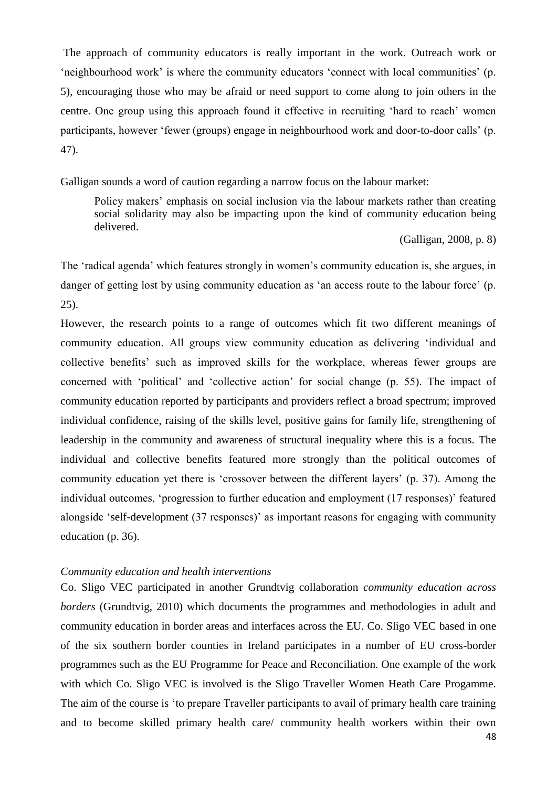The approach of community educators is really important in the work. Outreach work or 'neighbourhood work' is where the community educators 'connect with local communities' (p. 5), encouraging those who may be afraid or need support to come along to join others in the centre. One group using this approach found it effective in recruiting 'hard to reach' women participants, however 'fewer (groups) engage in neighbourhood work and door-to-door calls' (p. 47).

Galligan sounds a word of caution regarding a narrow focus on the labour market:

Policy makers' emphasis on social inclusion via the labour markets rather than creating social solidarity may also be impacting upon the kind of community education being delivered.

(Galligan, 2008, p. 8)

The 'radical agenda' which features strongly in women's community education is, she argues, in danger of getting lost by using community education as 'an access route to the labour force' (p. 25).

However, the research points to a range of outcomes which fit two different meanings of community education. All groups view community education as delivering 'individual and collective benefits' such as improved skills for the workplace, whereas fewer groups are concerned with 'political' and 'collective action' for social change (p. 55). The impact of community education reported by participants and providers reflect a broad spectrum; improved individual confidence, raising of the skills level, positive gains for family life, strengthening of leadership in the community and awareness of structural inequality where this is a focus. The individual and collective benefits featured more strongly than the political outcomes of community education yet there is 'crossover between the different layers' (p. 37). Among the individual outcomes, 'progression to further education and employment (17 responses)' featured alongside 'self-development (37 responses)' as important reasons for engaging with community education (p. 36).

# <span id="page-48-0"></span>*Community education and health interventions*

Co. Sligo VEC participated in another Grundtvig collaboration *community education across borders* (Grundtvig, 2010) which documents the programmes and methodologies in adult and community education in border areas and interfaces across the EU. Co. Sligo VEC based in one of the six southern border counties in Ireland participates in a number of EU cross-border programmes such as the EU Programme for Peace and Reconciliation. One example of the work with which Co. Sligo VEC is involved is the Sligo Traveller Women Heath Care Progamme. The aim of the course is 'to prepare Traveller participants to avail of primary health care training and to become skilled primary health care/ community health workers within their own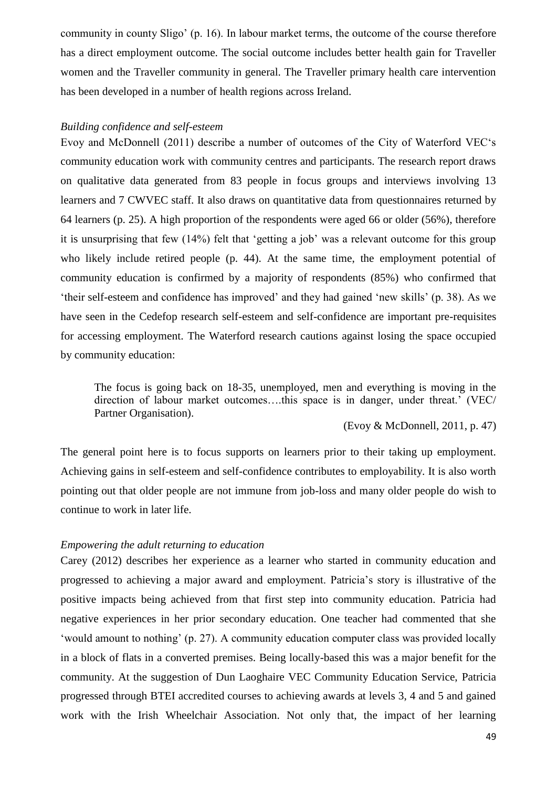community in county Sligo' (p. 16). In labour market terms, the outcome of the course therefore has a direct employment outcome. The social outcome includes better health gain for Traveller women and the Traveller community in general. The Traveller primary health care intervention has been developed in a number of health regions across Ireland.

#### <span id="page-49-0"></span>*Building confidence and self-esteem*

Evoy and McDonnell (2011) describe a number of outcomes of the City of Waterford VEC's community education work with community centres and participants. The research report draws on qualitative data generated from 83 people in focus groups and interviews involving 13 learners and 7 CWVEC staff. It also draws on quantitative data from questionnaires returned by 64 learners (p. 25). A high proportion of the respondents were aged 66 or older (56%), therefore it is unsurprising that few (14%) felt that 'getting a job' was a relevant outcome for this group who likely include retired people (p. 44). At the same time, the employment potential of community education is confirmed by a majority of respondents (85%) who confirmed that 'their self-esteem and confidence has improved' and they had gained 'new skills' (p. 38). As we have seen in the Cedefop research self-esteem and self-confidence are important pre-requisites for accessing employment. The Waterford research cautions against losing the space occupied by community education:

The focus is going back on 18-35, unemployed, men and everything is moving in the direction of labour market outcomes….this space is in danger, under threat.' (VEC/ Partner Organisation).

(Evoy & McDonnell, 2011, p. 47)

The general point here is to focus supports on learners prior to their taking up employment. Achieving gains in self-esteem and self-confidence contributes to employability. It is also worth pointing out that older people are not immune from job-loss and many older people do wish to continue to work in later life.

### <span id="page-49-1"></span>*Empowering the adult returning to education*

Carey (2012) describes her experience as a learner who started in community education and progressed to achieving a major award and employment. Patricia's story is illustrative of the positive impacts being achieved from that first step into community education. Patricia had negative experiences in her prior secondary education. One teacher had commented that she 'would amount to nothing' (p. 27). A community education computer class was provided locally in a block of flats in a converted premises. Being locally-based this was a major benefit for the community. At the suggestion of Dun Laoghaire VEC Community Education Service, Patricia progressed through BTEI accredited courses to achieving awards at levels 3, 4 and 5 and gained work with the Irish Wheelchair Association. Not only that, the impact of her learning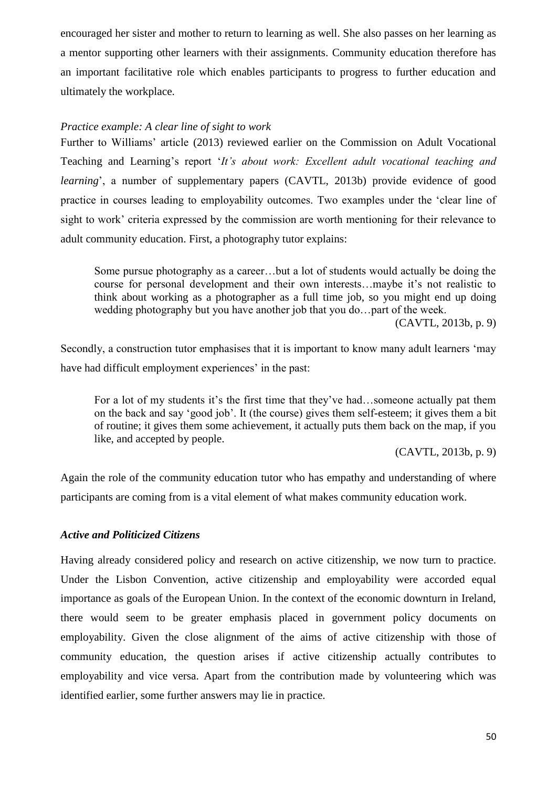encouraged her sister and mother to return to learning as well. She also passes on her learning as a mentor supporting other learners with their assignments. Community education therefore has an important facilitative role which enables participants to progress to further education and ultimately the workplace.

# <span id="page-50-0"></span>*Practice example: A clear line of sight to work*

Further to Williams' article (2013) reviewed earlier on the Commission on Adult Vocational Teaching and Learning's report '*It's about work: Excellent adult vocational teaching and learning*', a number of supplementary papers (CAVTL, 2013b) provide evidence of good practice in courses leading to employability outcomes. Two examples under the 'clear line of sight to work' criteria expressed by the commission are worth mentioning for their relevance to adult community education. First, a photography tutor explains:

Some pursue photography as a career…but a lot of students would actually be doing the course for personal development and their own interests…maybe it's not realistic to think about working as a photographer as a full time job, so you might end up doing wedding photography but you have another job that you do…part of the week. (CAVTL, 2013b, p. 9)

Secondly, a construction tutor emphasises that it is important to know many adult learners 'may have had difficult employment experiences' in the past:

For a lot of my students it's the first time that they've had…someone actually pat them on the back and say 'good job'. It (the course) gives them self-esteem; it gives them a bit of routine; it gives them some achievement, it actually puts them back on the map, if you like, and accepted by people.

(CAVTL, 2013b, p. 9)

Again the role of the community education tutor who has empathy and understanding of where participants are coming from is a vital element of what makes community education work.

# <span id="page-50-1"></span>*Active and Politicized Citizens*

Having already considered policy and research on active citizenship, we now turn to practice. Under the Lisbon Convention, active citizenship and employability were accorded equal importance as goals of the European Union. In the context of the economic downturn in Ireland, there would seem to be greater emphasis placed in government policy documents on employability. Given the close alignment of the aims of active citizenship with those of community education, the question arises if active citizenship actually contributes to employability and vice versa. Apart from the contribution made by volunteering which was identified earlier, some further answers may lie in practice.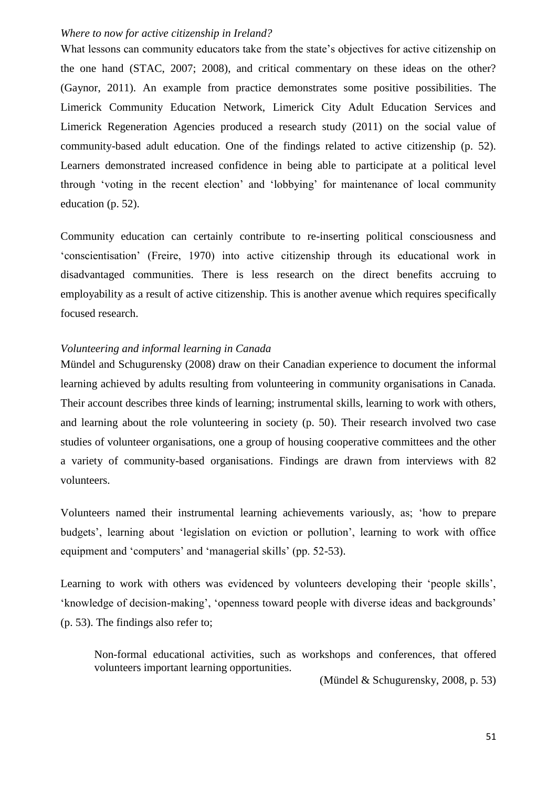# <span id="page-51-0"></span>*Where to now for active citizenship in Ireland?*

What lessons can community educators take from the state's objectives for active citizenship on the one hand (STAC, 2007; 2008), and critical commentary on these ideas on the other? (Gaynor, 2011). An example from practice demonstrates some positive possibilities. The Limerick Community Education Network, Limerick City Adult Education Services and Limerick Regeneration Agencies produced a research study (2011) on the social value of community-based adult education. One of the findings related to active citizenship (p. 52). Learners demonstrated increased confidence in being able to participate at a political level through 'voting in the recent election' and 'lobbying' for maintenance of local community education (p. 52).

Community education can certainly contribute to re-inserting political consciousness and 'conscientisation' (Freire, 1970) into active citizenship through its educational work in disadvantaged communities. There is less research on the direct benefits accruing to employability as a result of active citizenship. This is another avenue which requires specifically focused research.

### <span id="page-51-1"></span>*Volunteering and informal learning in Canada*

Mündel and Schugurensky (2008) draw on their Canadian experience to document the informal learning achieved by adults resulting from volunteering in community organisations in Canada. Their account describes three kinds of learning; instrumental skills, learning to work with others, and learning about the role volunteering in society (p. 50). Their research involved two case studies of volunteer organisations, one a group of housing cooperative committees and the other a variety of community-based organisations. Findings are drawn from interviews with 82 volunteers.

Volunteers named their instrumental learning achievements variously, as; 'how to prepare budgets', learning about 'legislation on eviction or pollution', learning to work with office equipment and 'computers' and 'managerial skills' (pp. 52-53).

Learning to work with others was evidenced by volunteers developing their 'people skills', 'knowledge of decision-making', 'openness toward people with diverse ideas and backgrounds' (p. 53). The findings also refer to;

Non-formal educational activities, such as workshops and conferences, that offered volunteers important learning opportunities.

(Mündel & Schugurensky, 2008, p. 53)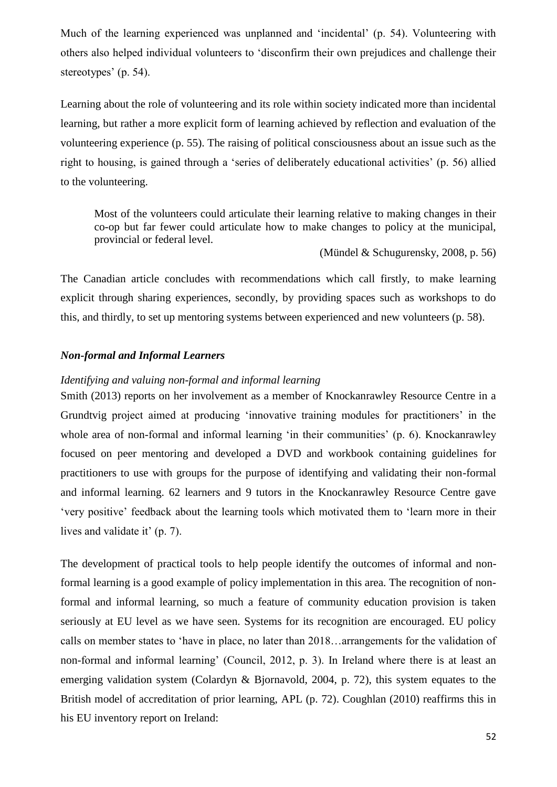Much of the learning experienced was unplanned and 'incidental' (p. 54). Volunteering with others also helped individual volunteers to 'disconfirm their own prejudices and challenge their stereotypes' (p. 54).

Learning about the role of volunteering and its role within society indicated more than incidental learning, but rather a more explicit form of learning achieved by reflection and evaluation of the volunteering experience (p. 55). The raising of political consciousness about an issue such as the right to housing, is gained through a 'series of deliberately educational activities' (p. 56) allied to the volunteering.

Most of the volunteers could articulate their learning relative to making changes in their co-op but far fewer could articulate how to make changes to policy at the municipal, provincial or federal level.

(Mündel & Schugurensky, 2008, p. 56)

The Canadian article concludes with recommendations which call firstly, to make learning explicit through sharing experiences, secondly, by providing spaces such as workshops to do this, and thirdly, to set up mentoring systems between experienced and new volunteers (p. 58).

# <span id="page-52-0"></span>*Non-formal and Informal Learners*

### <span id="page-52-1"></span>*Identifying and valuing non-formal and informal learning*

Smith (2013) reports on her involvement as a member of Knockanrawley Resource Centre in a Grundtvig project aimed at producing 'innovative training modules for practitioners' in the whole area of non-formal and informal learning 'in their communities' (p. 6). Knockanrawley focused on peer mentoring and developed a DVD and workbook containing guidelines for practitioners to use with groups for the purpose of identifying and validating their non-formal and informal learning. 62 learners and 9 tutors in the Knockanrawley Resource Centre gave 'very positive' feedback about the learning tools which motivated them to 'learn more in their lives and validate it' (p. 7).

The development of practical tools to help people identify the outcomes of informal and nonformal learning is a good example of policy implementation in this area. The recognition of nonformal and informal learning, so much a feature of community education provision is taken seriously at EU level as we have seen. Systems for its recognition are encouraged. EU policy calls on member states to 'have in place, no later than 2018…arrangements for the validation of non-formal and informal learning' (Council, 2012, p. 3). In Ireland where there is at least an emerging validation system (Colardyn & Bjornavold, 2004, p. 72), this system equates to the British model of accreditation of prior learning, APL (p. 72). Coughlan (2010) reaffirms this in his EU inventory report on Ireland: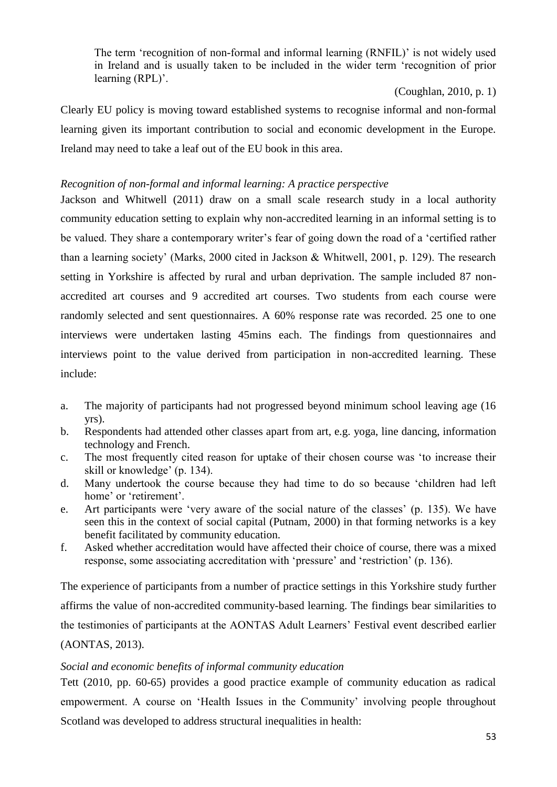The term 'recognition of non-formal and informal learning (RNFIL)' is not widely used in Ireland and is usually taken to be included in the wider term 'recognition of prior learning (RPL)'.

(Coughlan, 2010, p. 1)

Clearly EU policy is moving toward established systems to recognise informal and non-formal learning given its important contribution to social and economic development in the Europe. Ireland may need to take a leaf out of the EU book in this area.

# <span id="page-53-0"></span>*Recognition of non-formal and informal learning: A practice perspective*

Jackson and Whitwell (2011) draw on a small scale research study in a local authority community education setting to explain why non-accredited learning in an informal setting is to be valued. They share a contemporary writer's fear of going down the road of a 'certified rather than a learning society' (Marks, 2000 cited in Jackson & Whitwell, 2001, p. 129). The research setting in Yorkshire is affected by rural and urban deprivation. The sample included 87 nonaccredited art courses and 9 accredited art courses. Two students from each course were randomly selected and sent questionnaires. A 60% response rate was recorded. 25 one to one interviews were undertaken lasting 45mins each. The findings from questionnaires and interviews point to the value derived from participation in non-accredited learning. These include:

- a. The majority of participants had not progressed beyond minimum school leaving age (16 yrs).
- b. Respondents had attended other classes apart from art, e.g. yoga, line dancing, information technology and French.
- c. The most frequently cited reason for uptake of their chosen course was 'to increase their skill or knowledge' (p. 134).
- d. Many undertook the course because they had time to do so because 'children had left home' or 'retirement'.
- e. Art participants were 'very aware of the social nature of the classes' (p. 135). We have seen this in the context of social capital (Putnam, 2000) in that forming networks is a key benefit facilitated by community education.
- f. Asked whether accreditation would have affected their choice of course, there was a mixed response, some associating accreditation with 'pressure' and 'restriction' (p. 136).

The experience of participants from a number of practice settings in this Yorkshire study further affirms the value of non-accredited community-based learning. The findings bear similarities to the testimonies of participants at the AONTAS Adult Learners' Festival event described earlier (AONTAS, 2013).

# <span id="page-53-1"></span>*Social and economic benefits of informal community education*

Tett (2010, pp. 60-65) provides a good practice example of community education as radical empowerment. A course on 'Health Issues in the Community' involving people throughout Scotland was developed to address structural inequalities in health: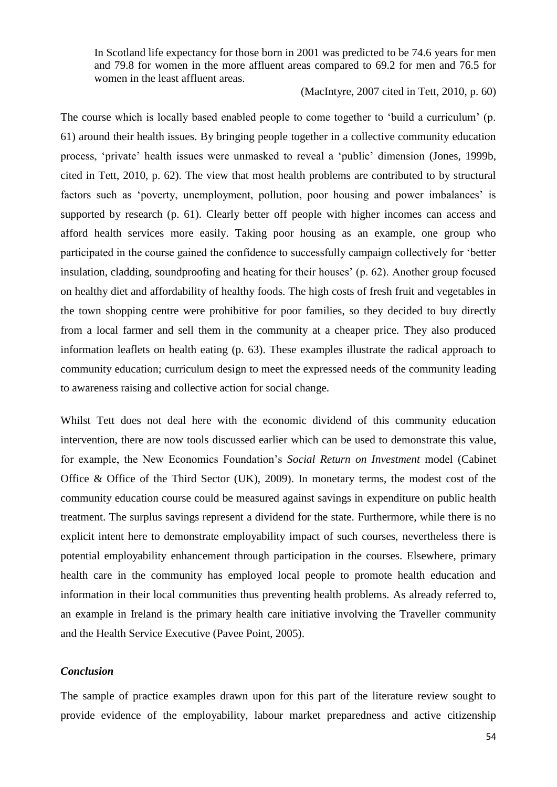In Scotland life expectancy for those born in 2001 was predicted to be 74.6 years for men and 79.8 for women in the more affluent areas compared to 69.2 for men and 76.5 for women in the least affluent areas.

(MacIntyre, 2007 cited in Tett, 2010, p. 60)

The course which is locally based enabled people to come together to 'build a curriculum' (p. 61) around their health issues. By bringing people together in a collective community education process, 'private' health issues were unmasked to reveal a 'public' dimension (Jones, 1999b, cited in Tett, 2010, p. 62). The view that most health problems are contributed to by structural factors such as 'poverty, unemployment, pollution, poor housing and power imbalances' is supported by research (p. 61). Clearly better off people with higher incomes can access and afford health services more easily. Taking poor housing as an example, one group who participated in the course gained the confidence to successfully campaign collectively for 'better insulation, cladding, soundproofing and heating for their houses' (p. 62). Another group focused on healthy diet and affordability of healthy foods. The high costs of fresh fruit and vegetables in the town shopping centre were prohibitive for poor families, so they decided to buy directly from a local farmer and sell them in the community at a cheaper price. They also produced information leaflets on health eating (p. 63). These examples illustrate the radical approach to community education; curriculum design to meet the expressed needs of the community leading to awareness raising and collective action for social change.

Whilst Tett does not deal here with the economic dividend of this community education intervention, there are now tools discussed earlier which can be used to demonstrate this value, for example, the New Economics Foundation's *Social Return on Investment* model (Cabinet Office & Office of the Third Sector (UK), 2009). In monetary terms, the modest cost of the community education course could be measured against savings in expenditure on public health treatment. The surplus savings represent a dividend for the state. Furthermore, while there is no explicit intent here to demonstrate employability impact of such courses, nevertheless there is potential employability enhancement through participation in the courses. Elsewhere, primary health care in the community has employed local people to promote health education and information in their local communities thus preventing health problems. As already referred to, an example in Ireland is the primary health care initiative involving the Traveller community and the Health Service Executive (Pavee Point, 2005).

## <span id="page-54-0"></span>*Conclusion*

The sample of practice examples drawn upon for this part of the literature review sought to provide evidence of the employability, labour market preparedness and active citizenship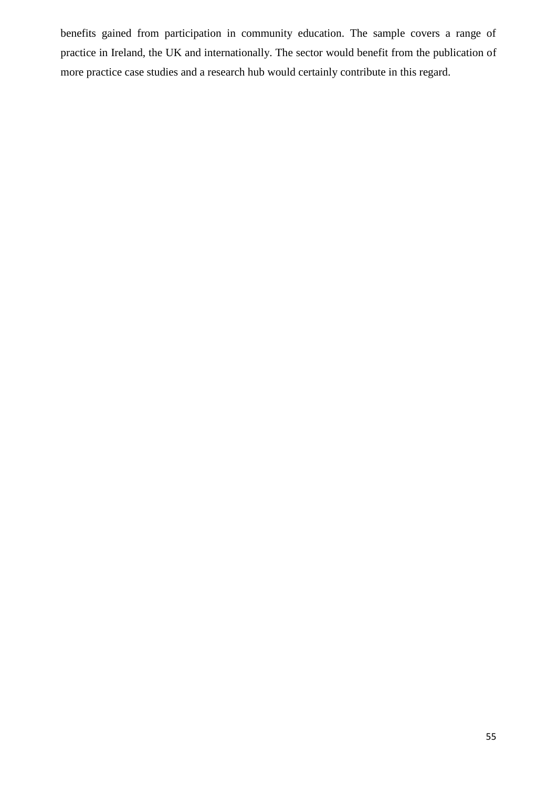benefits gained from participation in community education. The sample covers a range of practice in Ireland, the UK and internationally. The sector would benefit from the publication of more practice case studies and a research hub would certainly contribute in this regard.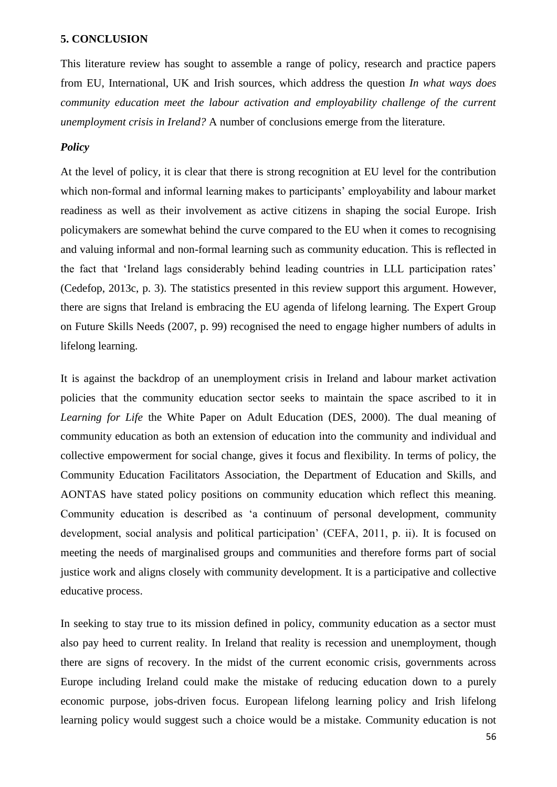# <span id="page-56-0"></span>**5. CONCLUSION**

This literature review has sought to assemble a range of policy, research and practice papers from EU, International, UK and Irish sources, which address the question *In what ways does community education meet the labour activation and employability challenge of the current unemployment crisis in Ireland?* A number of conclusions emerge from the literature.

# <span id="page-56-1"></span>*Policy*

At the level of policy, it is clear that there is strong recognition at EU level for the contribution which non-formal and informal learning makes to participants' employability and labour market readiness as well as their involvement as active citizens in shaping the social Europe. Irish policymakers are somewhat behind the curve compared to the EU when it comes to recognising and valuing informal and non-formal learning such as community education. This is reflected in the fact that 'Ireland lags considerably behind leading countries in LLL participation rates' (Cedefop, 2013c, p. 3). The statistics presented in this review support this argument. However, there are signs that Ireland is embracing the EU agenda of lifelong learning. The Expert Group on Future Skills Needs (2007, p. 99) recognised the need to engage higher numbers of adults in lifelong learning.

It is against the backdrop of an unemployment crisis in Ireland and labour market activation policies that the community education sector seeks to maintain the space ascribed to it in *Learning for Life* the White Paper on Adult Education (DES, 2000). The dual meaning of community education as both an extension of education into the community and individual and collective empowerment for social change, gives it focus and flexibility. In terms of policy, the Community Education Facilitators Association, the Department of Education and Skills, and AONTAS have stated policy positions on community education which reflect this meaning. Community education is described as 'a continuum of personal development, community development, social analysis and political participation' (CEFA, 2011, p. ii). It is focused on meeting the needs of marginalised groups and communities and therefore forms part of social justice work and aligns closely with community development. It is a participative and collective educative process.

In seeking to stay true to its mission defined in policy, community education as a sector must also pay heed to current reality. In Ireland that reality is recession and unemployment, though there are signs of recovery. In the midst of the current economic crisis, governments across Europe including Ireland could make the mistake of reducing education down to a purely economic purpose, jobs-driven focus. European lifelong learning policy and Irish lifelong learning policy would suggest such a choice would be a mistake. Community education is not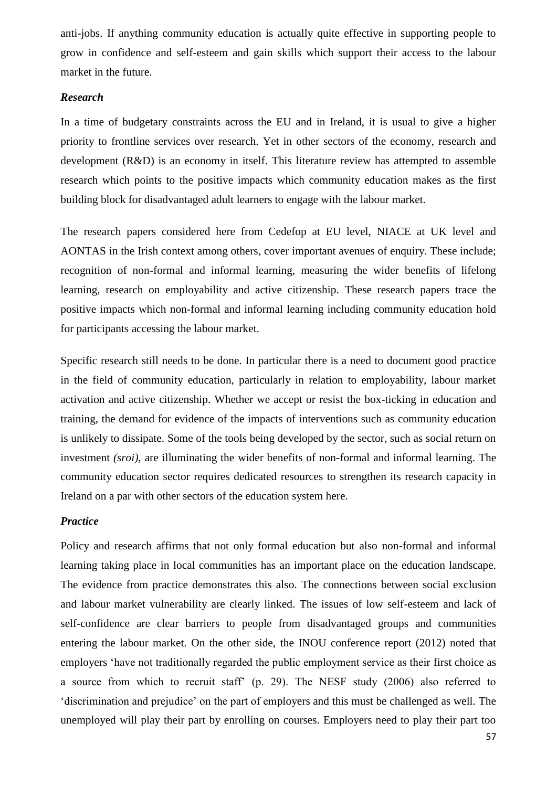anti-jobs. If anything community education is actually quite effective in supporting people to grow in confidence and self-esteem and gain skills which support their access to the labour market in the future.

# <span id="page-57-0"></span>*Research*

In a time of budgetary constraints across the EU and in Ireland, it is usual to give a higher priority to frontline services over research. Yet in other sectors of the economy, research and development (R&D) is an economy in itself. This literature review has attempted to assemble research which points to the positive impacts which community education makes as the first building block for disadvantaged adult learners to engage with the labour market.

The research papers considered here from Cedefop at EU level, NIACE at UK level and AONTAS in the Irish context among others, cover important avenues of enquiry. These include; recognition of non-formal and informal learning, measuring the wider benefits of lifelong learning, research on employability and active citizenship. These research papers trace the positive impacts which non-formal and informal learning including community education hold for participants accessing the labour market.

Specific research still needs to be done. In particular there is a need to document good practice in the field of community education, particularly in relation to employability, labour market activation and active citizenship. Whether we accept or resist the box-ticking in education and training, the demand for evidence of the impacts of interventions such as community education is unlikely to dissipate. Some of the tools being developed by the sector, such as social return on investment *(sroi)*, are illuminating the wider benefits of non-formal and informal learning. The community education sector requires dedicated resources to strengthen its research capacity in Ireland on a par with other sectors of the education system here.

### <span id="page-57-1"></span>*Practice*

Policy and research affirms that not only formal education but also non-formal and informal learning taking place in local communities has an important place on the education landscape. The evidence from practice demonstrates this also. The connections between social exclusion and labour market vulnerability are clearly linked. The issues of low self-esteem and lack of self-confidence are clear barriers to people from disadvantaged groups and communities entering the labour market. On the other side, the INOU conference report (2012) noted that employers 'have not traditionally regarded the public employment service as their first choice as a source from which to recruit staff' (p. 29). The NESF study (2006) also referred to 'discrimination and prejudice' on the part of employers and this must be challenged as well. The unemployed will play their part by enrolling on courses. Employers need to play their part too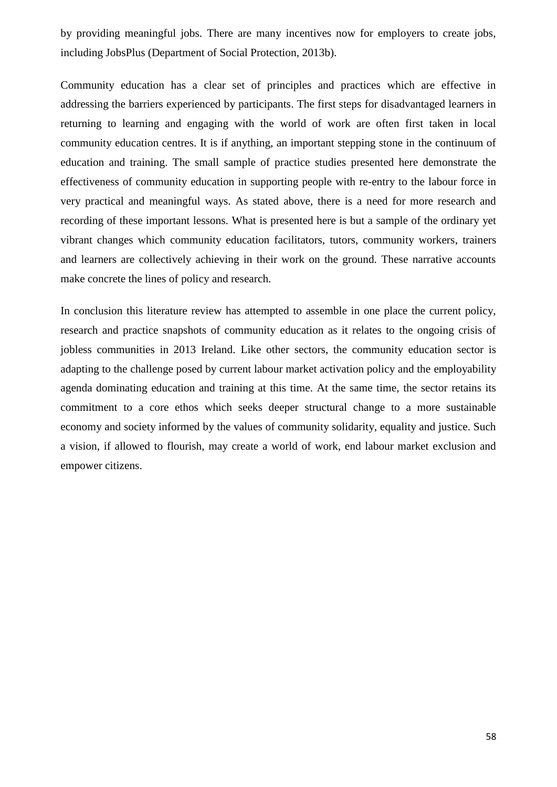by providing meaningful jobs. There are many incentives now for employers to create jobs, including JobsPlus (Department of Social Protection, 2013b).

Community education has a clear set of principles and practices which are effective in addressing the barriers experienced by participants. The first steps for disadvantaged learners in returning to learning and engaging with the world of work are often first taken in local community education centres. It is if anything, an important stepping stone in the continuum of education and training. The small sample of practice studies presented here demonstrate the effectiveness of community education in supporting people with re-entry to the labour force in very practical and meaningful ways. As stated above, there is a need for more research and recording of these important lessons. What is presented here is but a sample of the ordinary yet vibrant changes which community education facilitators, tutors, community workers, trainers and learners are collectively achieving in their work on the ground. These narrative accounts make concrete the lines of policy and research.

In conclusion this literature review has attempted to assemble in one place the current policy, research and practice snapshots of community education as it relates to the ongoing crisis of jobless communities in 2013 Ireland. Like other sectors, the community education sector is adapting to the challenge posed by current labour market activation policy and the employability agenda dominating education and training at this time. At the same time, the sector retains its commitment to a core ethos which seeks deeper structural change to a more sustainable economy and society informed by the values of community solidarity, equality and justice. Such a vision, if allowed to flourish, may create a world of work, end labour market exclusion and empower citizens.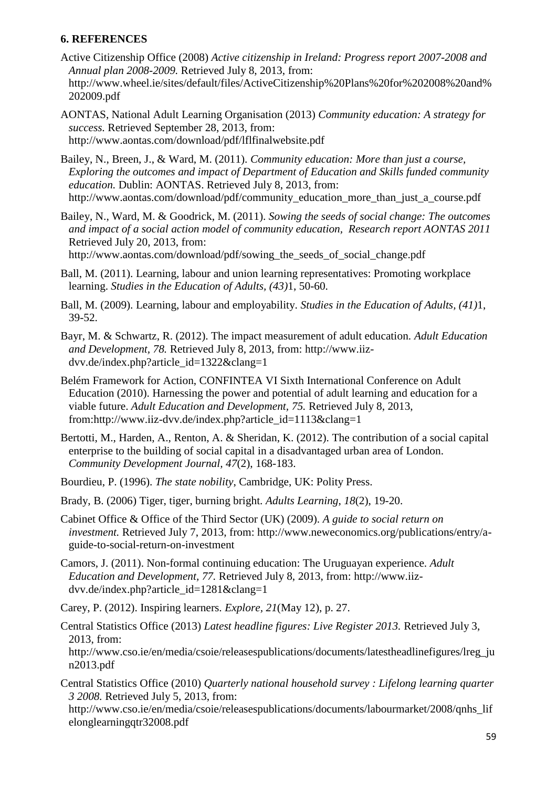# <span id="page-59-0"></span>**6. REFERENCES**

- Active Citizenship Office (2008) *Active citizenship in Ireland: Progress report 2007-2008 and Annual plan 2008-2009.* Retrieved July 8, 2013, from: [http://www.wheel.ie/sites/default/files/ActiveCitizenship%20Plans%20for%202008%20and%](http://www.wheel.ie/sites/default/files/ActiveCitizenship%20Plans%20for%202008%20and%202009.pdf) [202009.pdf](http://www.wheel.ie/sites/default/files/ActiveCitizenship%20Plans%20for%202008%20and%202009.pdf)
- AONTAS, National Adult Learning Organisation (2013) *Community education: A strategy for success.* Retrieved September 28, 2013, from: <http://www.aontas.com/download/pdf/lflfinalwebsite.pdf>
- Bailey, N., Breen, J., & Ward, M. (2011). *Community education: More than just a course, Exploring the outcomes and impact of Department of Education and Skills funded community education.* Dublin: AONTAS. Retrieved July 8, 2013, from: [http://www.aontas.com/download/pdf/community\\_education\\_more\\_than\\_just\\_a\\_course.pdf](http://www.aontas.com/download/pdf/community_education_more_than_just_a_course.pdf)
- Bailey, N., Ward, M. & Goodrick, M. (2011). *Sowing the seeds of social change: The outcomes and impact of a social action model of community education, Research report AONTAS 2011*  Retrieved July 20, 2013, from:

[http://www.aontas.com/download/pdf/sowing\\_the\\_seeds\\_of\\_social\\_change.pdf](http://www.aontas.com/download/pdf/sowing_the_seeds_of_social_change.pdf)

- Ball, M. (2011). Learning, labour and union learning representatives: Promoting workplace learning. *Studies in the Education of Adults, (43)*1, 50-60.
- Ball, M. (2009). Learning, labour and employability. *Studies in the Education of Adults, (41)*1, 39-52.
- Bayr, M. & Schwartz, R. (2012). The impact measurement of adult education. *Adult Education and Development, 78.* Retrieved July 8, 2013, from: [http://www.iiz](http://www.iiz-dvv.de/index.php?article_id=1322&clang=1)[dvv.de/index.php?article\\_id=1322&clang=1](http://www.iiz-dvv.de/index.php?article_id=1322&clang=1)
- Belém Framework for Action, CONFINTEA VI Sixth International Conference on Adult Education (2010). Harnessing the power and potential of adult learning and education for a viable future. *Adult Education and Development, 75.* Retrieved July 8, 2013, from[:http://www.iiz-dvv.de/index.php?article\\_id=1113&clang=1](http://www.iiz-dvv.de/index.php?article_id=1113&clang=1)
- Bertotti, M., Harden, A., Renton, A. & Sheridan, K. (2012). The contribution of a social capital enterprise to the building of social capital in a disadvantaged urban area of London. *Community Development Journal, 47*(2), 168-183.
- Bourdieu, P. (1996). *The state nobility*, Cambridge, UK: Polity Press.
- Brady, B. (2006) Tiger, tiger, burning bright. *Adults Learning*, *18*(2), 19-20.
- Cabinet Office & Office of the Third Sector (UK) (2009). *A guide to social return on investment.* Retrieved July 7, 2013, from: [http://www.neweconomics.org/publications/entry/a](http://www.neweconomics.org/publications/entry/a-guide-to-social-return-on-investment)[guide-to-social-return-on-investment](http://www.neweconomics.org/publications/entry/a-guide-to-social-return-on-investment)
- Camors, J. (2011). Non-formal continuing education: The Uruguayan experience. *Adult Education and Development, 77.* Retrieved July 8, 2013, from: [http://www.iiz](http://www.iiz-dvv.de/index.php?article_id=1281&clang=1)[dvv.de/index.php?article\\_id=1281&clang=1](http://www.iiz-dvv.de/index.php?article_id=1281&clang=1)
- Carey, P. (2012). Inspiring learners. *Explore, 21*(May 12), p. 27.
- Central Statistics Office (2013) *Latest headline figures: Live Register 2013.* Retrieved July 3, 2013, from: [http://www.cso.ie/en/media/csoie/releasespublications/documents/latestheadlinefigures/lreg\\_ju](http://www.cso.ie/en/media/csoie/releasespublications/documents/latestheadlinefigures/lreg_jun2013.pdf) [n2013.pdf](http://www.cso.ie/en/media/csoie/releasespublications/documents/latestheadlinefigures/lreg_jun2013.pdf)
- Central Statistics Office (2010) *Quarterly national household survey : Lifelong learning quarter 3 2008.* Retrieved July 5, 2013, from:

[http://www.cso.ie/en/media/csoie/releasespublications/documents/labourmarket/2008/qnhs\\_lif](http://www.cso.ie/en/media/csoie/releasespublications/documents/labourmarket/2008/qnhs_lifelonglearningqtr32008.pdf) [elonglearningqtr32008.pdf](http://www.cso.ie/en/media/csoie/releasespublications/documents/labourmarket/2008/qnhs_lifelonglearningqtr32008.pdf)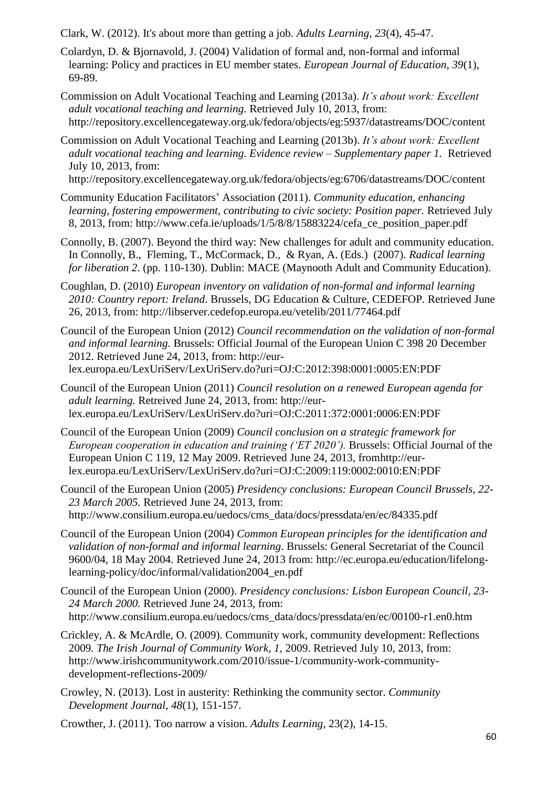Clark, W. (2012). It's about more than getting a job. *Adults Learning*, *23*(4), 45-47.

- Colardyn, D. & Bjornavold, J. (2004) Validation of formal and, non-formal and informal learning: Policy and practices in EU member states. *European Journal of Education, 39*(1), 69-89.
- Commission on Adult Vocational Teaching and Learning (2013a). *It's about work: Excellent adult vocational teaching and learning.* Retrieved July 10, 2013, from: <http://repository.excellencegateway.org.uk/fedora/objects/eg:5937/datastreams/DOC/content>
- Commission on Adult Vocational Teaching and Learning (2013b). *It's about work: Excellent adult vocational teaching and learning. Evidence review – Supplementary paper 1.* Retrieved July 10, 2013, from:

<http://repository.excellencegateway.org.uk/fedora/objects/eg:6706/datastreams/DOC/content>

- Community Education Facilitators' Association (2011). *Community education, enhancing learning, fostering empowerment, contributing to civic society: Position paper. Retrieved July* 8, 2013, from: [http://www.cefa.ie/uploads/1/5/8/8/15883224/cefa\\_ce\\_position\\_paper.pdf](http://www.cefa.ie/uploads/1/5/8/8/15883224/cefa_ce_position_paper.pdf)
- Connolly, B. (2007). Beyond the third way: New challenges for adult and community education. In Connolly, B., Fleming, T., McCormack, D., & Ryan, A. (Eds.) (2007). *Radical learning for liberation 2*. (pp. 110-130). Dublin: MACE (Maynooth Adult and Community Education).
- Coughlan, D. (2010) *European inventory on validation of non-formal and informal learning 2010: Country report: Ireland*. Brussels, DG Education & Culture, CEDEFOP. Retrieved June 26, 2013, from:<http://libserver.cedefop.europa.eu/vetelib/2011/77464.pdf>
- Council of the European Union (2012) *Council recommendation on the validation of non-formal and informal learning.* Brussels: Official Journal of the European Union C 398 20 December 2012. Retrieved June 24, 2013, from: [http://eur](http://eur-lex.europa.eu/LexUriServ/LexUriServ.do?uri=OJ:C:2012:398:0001:0005:EN:PDF)[lex.europa.eu/LexUriServ/LexUriServ.do?uri=OJ:C:2012:398:0001:0005:EN:PDF](http://eur-lex.europa.eu/LexUriServ/LexUriServ.do?uri=OJ:C:2012:398:0001:0005:EN:PDF)
- Council of the European Union (2011) *Council resolution on a renewed European agenda for adult learning.* Retreived June 24, 2013, from: [http://eur](http://eur-lex.europa.eu/LexUriServ/LexUriServ.do?uri=OJ:C:2011:372:0001:0006:EN:PDF)[lex.europa.eu/LexUriServ/LexUriServ.do?uri=OJ:C:2011:372:0001:0006:EN:PDF](http://eur-lex.europa.eu/LexUriServ/LexUriServ.do?uri=OJ:C:2011:372:0001:0006:EN:PDF)
- Council of the European Union (2009) *Council conclusion on a strategic framework for European cooperation in education and training ('ET 2020').* Brussels: Official Journal of the European Union C 119, 12 May 2009. Retrieved June 24, 2013, fro[mhttp://eur](http://eur-lex.europa.eu/LexUriServ/LexUriServ.do?uri=OJ:C:2009:119:0002:0010:EN:PDF)[lex.europa.eu/LexUriServ/LexUriServ.do?uri=OJ:C:2009:119:0002:0010:EN:PDF](http://eur-lex.europa.eu/LexUriServ/LexUriServ.do?uri=OJ:C:2009:119:0002:0010:EN:PDF)
- Council of the European Union (2005) *Presidency conclusions: European Council Brussels, 22- 23 March 2005.* Retrieved June 24, 2013, from: [http://www.consilium.europa.eu/uedocs/cms\\_data/docs/pressdata/en/ec/84335.pdf](http://www.consilium.europa.eu/uedocs/cms_data/docs/pressdata/en/ec/84335.pdf)
- Council of the European Union (2004) *Common European principles for the identification and validation of non-formal and informal learning*. Brussels: General Secretariat of the Council 9600/04, 18 May 2004. Retrieved June 24, 2013 from: [http://ec.europa.eu/education/lifelong](http://ec.europa.eu/education/lifelong-learning-policy/doc/informal/validation2004_en.pdf)[learning-policy/doc/informal/validation2004\\_en.pdf](http://ec.europa.eu/education/lifelong-learning-policy/doc/informal/validation2004_en.pdf)
- Council of the European Union (2000). *Presidency conclusions: Lisbon European Council, 23- 24 March 2000.* Retrieved June 24, 2013, from: [http://www.consilium.europa.eu/uedocs/cms\\_data/docs/pressdata/en/ec/00100-r1.en0.htm](http://www.consilium.europa.eu/uedocs/cms_data/docs/pressdata/en/ec/00100-r1.en0.htm)
- Crickley, A. & McArdle, O. (2009). Community work, community development: Reflections 2009*. The Irish Journal of Community Work, 1,* 2009. Retrieved July 10, 2013, from: [http://www.irishcommunitywork.com/2010/issue-1/community-work-community](http://www.irishcommunitywork.com/2010/issue-1/community-work-community-development-reflections-2009/)[development-reflections-2009/](http://www.irishcommunitywork.com/2010/issue-1/community-work-community-development-reflections-2009/)
- Crowley, N. (2013). Lost in austerity: Rethinking the community sector. *Community Development Journal, 48*(1), 151-157.
- Crowther, J. (2011). Too narrow a vision. *Adults Learning,* 23(2), 14-15.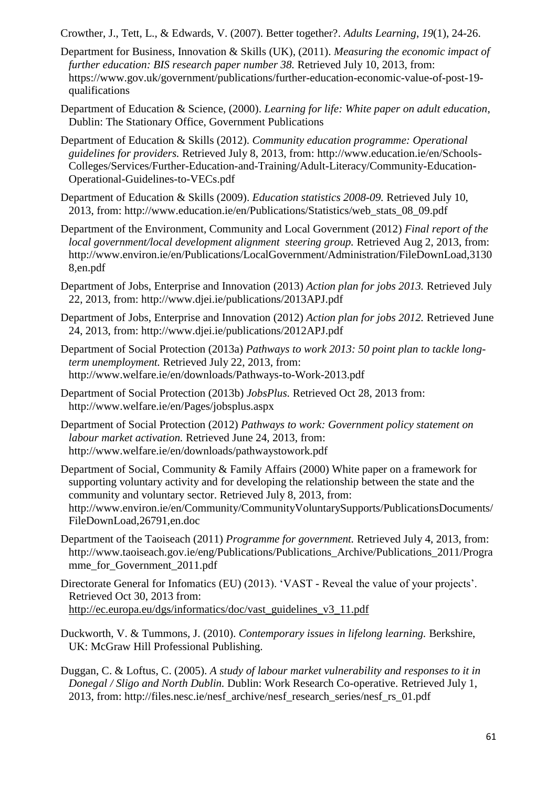Crowther, J., Tett, L., & Edwards, V. (2007). Better together?. *Adults Learning*, *19*(1), 24-26.

- Department for Business, Innovation & Skills (UK), (2011). *Measuring the economic impact of further education: BIS research paper number 38. Retrieved July 10, 2013, from:* [https://www.gov.uk/government/publications/further-education-economic-value-of-post-19](https://www.gov.uk/government/publications/further-education-economic-value-of-post-19-qualifications) [qualifications](https://www.gov.uk/government/publications/further-education-economic-value-of-post-19-qualifications)
- Department of Education & Science, (2000). *Learning for life: White paper on adult education*, Dublin: The Stationary Office, Government Publications
- Department of Education & Skills (2012). *Community education programme: Operational guidelines for providers.* Retrieved July 8, 2013, from: [http://www.education.ie/en/Schools-](http://www.education.ie/en/Schools-Colleges/Services/Further-Education-and-Training/Adult-Literacy/Community-Education-Operational-Guidelines-to-VECs.pdf)[Colleges/Services/Further-Education-and-Training/Adult-Literacy/Community-Education-](http://www.education.ie/en/Schools-Colleges/Services/Further-Education-and-Training/Adult-Literacy/Community-Education-Operational-Guidelines-to-VECs.pdf)[Operational-Guidelines-to-VECs.pdf](http://www.education.ie/en/Schools-Colleges/Services/Further-Education-and-Training/Adult-Literacy/Community-Education-Operational-Guidelines-to-VECs.pdf)
- Department of Education & Skills (2009). *Education statistics 2008-09.* Retrieved July 10, 2013, from: [http://www.education.ie/en/Publications/Statistics/web\\_stats\\_08\\_09.pdf](http://www.education.ie/en/Publications/Statistics/web_stats_08_09.pdf)
- Department of the Environment, Community and Local Government (2012) *Final report of the local government/local development alignment steering group.* Retrieved Aug 2, 2013, from: [http://www.environ.ie/en/Publications/LocalGovernment/Administration/FileDownLoad,3130](http://www.environ.ie/en/Publications/LocalGovernment/Administration/FileDownLoad,31308,en.pdf) [8,en.pdf](http://www.environ.ie/en/Publications/LocalGovernment/Administration/FileDownLoad,31308,en.pdf)
- Department of Jobs, Enterprise and Innovation (2013) *Action plan for jobs 2013.* Retrieved July 22, 2013, from:<http://www.djei.ie/publications/2013APJ.pdf>
- Department of Jobs, Enterprise and Innovation (2012) *Action plan for jobs 2012.* Retrieved June 24, 2013, from:<http://www.djei.ie/publications/2012APJ.pdf>
- Department of Social Protection (2013a) *Pathways to work 2013: 50 point plan to tackle longterm unemployment.* Retrieved July 22, 2013, from: <http://www.welfare.ie/en/downloads/Pathways-to-Work-2013.pdf>
- Department of Social Protection (2013b) *JobsPlus.* Retrieved Oct 28, 2013 from: <http://www.welfare.ie/en/Pages/jobsplus.aspx>
- Department of Social Protection (2012) *Pathways to work: Government policy statement on labour market activation.* Retrieved June 24, 2013, from: <http://www.welfare.ie/en/downloads/pathwaystowork.pdf>
- Department of Social, Community & Family Affairs (2000) White paper on a framework for supporting voluntary activity and for developing the relationship between the state and the community and voluntary sector. Retrieved July 8, 2013, from: http://www.environ.ie/en/Community/CommunityVoluntarySupports/PublicationsDocuments/ FileDownLoad,26791,en.doc
- Department of the Taoiseach (2011) *Programme for government.* Retrieved July 4, 2013, from: [http://www.taoiseach.gov.ie/eng/Publications/Publications\\_Archive/Publications\\_2011/Progra](http://www.taoiseach.gov.ie/eng/Publications/Publications_Archive/Publications_2011/Programme_for_Government_2011.pdf) [mme\\_for\\_Government\\_2011.pdf](http://www.taoiseach.gov.ie/eng/Publications/Publications_Archive/Publications_2011/Programme_for_Government_2011.pdf)
- Directorate General for Infomatics (EU) (2013). 'VAST Reveal the value of your projects'. Retrieved Oct 30, 2013 from: [http://ec.europa.eu/dgs/informatics/doc/vast\\_guidelines\\_v3\\_11.pdf](http://ec.europa.eu/dgs/informatics/doc/vast_guidelines_v3_11.pdf)
- Duckworth, V. & Tummons, J. (2010). *Contemporary issues in lifelong learning.* Berkshire, UK: McGraw Hill Professional Publishing.
- Duggan, C. & Loftus, C. (2005). *A study of labour market vulnerability and responses to it in Donegal / Sligo and North Dublin.* Dublin: Work Research Co-operative. Retrieved July 1, 2013, from: [http://files.nesc.ie/nesf\\_archive/nesf\\_research\\_series/nesf\\_rs\\_01.pdf](http://files.nesc.ie/nesf_archive/nesf_research_series/nesf_rs_01.pdf)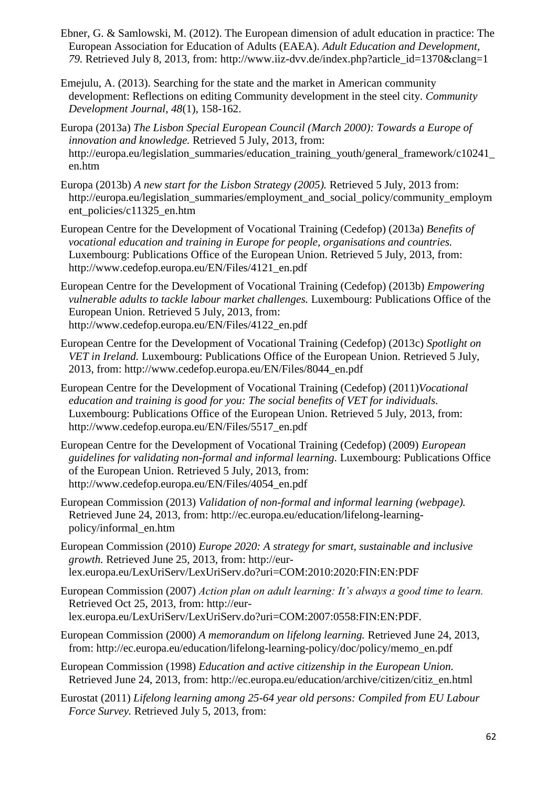- Ebner, G. & Samlowski, M. (2012). The European dimension of adult education in practice: The European Association for Education of Adults (EAEA). *Adult Education and Development, 79.* Retrieved July 8, 2013, from: [http://www.iiz-dvv.de/index.php?article\\_id=1370&clang=1](http://www.iiz-dvv.de/index.php?article_id=1370&clang=1)
- Emejulu, A. (2013). Searching for the state and the market in American community development: Reflections on editing Community development in the steel city. *Community Development Journal, 48*(1), 158-162.
- Europa (2013a) *The Lisbon Special European Council (March 2000): Towards a Europe of innovation and knowledge.* Retrieved 5 July, 2013, from: [http://europa.eu/legislation\\_summaries/education\\_training\\_youth/general\\_framework/c10241\\_](http://europa.eu/legislation_summaries/education_training_youth/general_framework/c10241_en.htm) [en.htm](http://europa.eu/legislation_summaries/education_training_youth/general_framework/c10241_en.htm)
- Europa (2013b) *A new start for the Lisbon Strategy (2005).* Retrieved 5 July, 2013 from: [http://europa.eu/legislation\\_summaries/employment\\_and\\_social\\_policy/community\\_employm](http://europa.eu/legislation_summaries/employment_and_social_policy/community_employment_policies/c11325_en.htm) ent policies/c11325 en.htm
- European Centre for the Development of Vocational Training (Cedefop) (2013a) *Benefits of vocational education and training in Europe for people, organisations and countries.*  Luxembourg: Publications Office of the European Union. Retrieved 5 July, 2013, from: [http://www.cedefop.europa.eu/EN/Files/4121\\_en.pdf](http://www.cedefop.europa.eu/EN/Files/4121_en.pdf)
- European Centre for the Development of Vocational Training (Cedefop) (2013b) *Empowering vulnerable adults to tackle labour market challenges.* Luxembourg: Publications Office of the European Union. Retrieved 5 July, 2013, from: [http://www.cedefop.europa.eu/EN/Files/4122\\_en.pdf](http://www.cedefop.europa.eu/EN/Files/4122_en.pdf)
- European Centre for the Development of Vocational Training (Cedefop) (2013c) *Spotlight on VET in Ireland.* Luxembourg: Publications Office of the European Union. Retrieved 5 July, 2013, from: http://www.cedefop.europa.eu/EN/Files/8044\_en.pdf
- European Centre for the Development of Vocational Training (Cedefop) (2011)*Vocational education and training is good for you: The social benefits of VET for individuals.*  Luxembourg: Publications Office of the European Union. Retrieved 5 July, 2013, from: [http://www.cedefop.europa.eu/EN/Files/5517\\_en.pdf](http://www.cedefop.europa.eu/EN/Files/5517_en.pdf)
- European Centre for the Development of Vocational Training (Cedefop) (2009) *European guidelines for validating non-formal and informal learning.* Luxembourg: Publications Office of the European Union. Retrieved 5 July, 2013, from: [http://www.cedefop.europa.eu/EN/Files/4054\\_en.pdf](http://www.cedefop.europa.eu/EN/Files/4054_en.pdf)
- European Commission (2013) *Validation of non-formal and informal learning (webpage).*  Retrieved June 24, 2013, from: [http://ec.europa.eu/education/lifelong-learning](http://ec.europa.eu/education/lifelong-learning-policy/informal_en.htm)[policy/informal\\_en.htm](http://ec.europa.eu/education/lifelong-learning-policy/informal_en.htm)
- European Commission (2010) *Europe 2020: A strategy for smart, sustainable and inclusive growth.* Retrieved June 25, 2013, from: [http://eur](http://eur-lex.europa.eu/LexUriServ/LexUriServ.do?uri=COM:2010:2020:FIN:EN:PDF)[lex.europa.eu/LexUriServ/LexUriServ.do?uri=COM:2010:2020:FIN:EN:PDF](http://eur-lex.europa.eu/LexUriServ/LexUriServ.do?uri=COM:2010:2020:FIN:EN:PDF)
- European Commission (2007) *Action plan on adult learning: It's always a good time to learn.*  Retrieved Oct 25, 2013, from: http://eurlex.europa.eu/LexUriServ/LexUriServ.do?uri=COM:2007:0558:FIN:EN:PDF.
- European Commission (2000) *A memorandum on lifelong learning.* Retrieved June 24, 2013, from: [http://ec.europa.eu/education/lifelong-learning-policy/doc/policy/memo\\_en.pdf](http://ec.europa.eu/education/lifelong-learning-policy/doc/policy/memo_en.pdf)
- European Commission (1998) *Education and active citizenship in the European Union.*  Retrieved June 24, 2013, from: [http://ec.europa.eu/education/archive/citizen/citiz\\_en.html](http://ec.europa.eu/education/archive/citizen/citiz_en.html)
- Eurostat (2011) *Lifelong learning among 25-64 year old persons: Compiled from EU Labour Force Survey.* Retrieved July 5, 2013, from: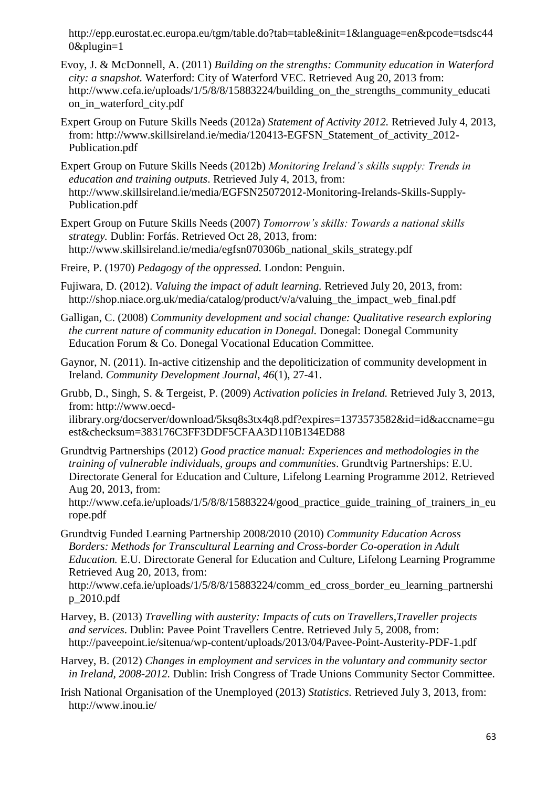[http://epp.eurostat.ec.europa.eu/tgm/table.do?tab=table&init=1&language=en&pcode=tsdsc44](http://epp.eurostat.ec.europa.eu/tgm/table.do?tab=table&init=1&language=en&pcode=tsdsc440&plugin=1) [0&plugin=1](http://epp.eurostat.ec.europa.eu/tgm/table.do?tab=table&init=1&language=en&pcode=tsdsc440&plugin=1)

- Evoy, J. & McDonnell, A. (2011) *Building on the strengths: Community education in Waterford city: a snapshot.* Waterford: City of Waterford VEC. Retrieved Aug 20, 2013 from: http://www.cefa.ie/uploads/1/5/8/8/15883224/building on the strengths community educati [on\\_in\\_waterford\\_city.pdf](http://www.cefa.ie/uploads/1/5/8/8/15883224/building_on_the_strengths_community_education_in_waterford_city.pdf)
- Expert Group on Future Skills Needs (2012a) *Statement of Activity 2012.* Retrieved July 4, 2013, from: [http://www.skillsireland.ie/media/120413-EGFSN\\_Statement\\_of\\_activity\\_2012-](http://www.skillsireland.ie/media/120413-EGFSN_Statement_of_activity_2012-Publication.pdf) [Publication.pdf](http://www.skillsireland.ie/media/120413-EGFSN_Statement_of_activity_2012-Publication.pdf)
- Expert Group on Future Skills Needs (2012b) *Monitoring Ireland's skills supply: Trends in education and training outputs*. Retrieved July 4, 2013, from: [http://www.skillsireland.ie/media/EGFSN25072012-Monitoring-Irelands-Skills-Supply-](http://www.skillsireland.ie/media/EGFSN25072012-Monitoring-Irelands-Skills-Supply-Publication.pdf)[Publication.pdf](http://www.skillsireland.ie/media/EGFSN25072012-Monitoring-Irelands-Skills-Supply-Publication.pdf)
- Expert Group on Future Skills Needs (2007) *Tomorrow's skills: Towards a national skills strategy.* Dublin: Forfás. Retrieved Oct 28, 2013, from: [http://www.skillsireland.ie/media/egfsn070306b\\_national\\_skils\\_strategy.pdf](http://www.skillsireland.ie/media/egfsn070306b_national_skils_strategy.pdf)
- Freire, P. (1970) *Pedagogy of the oppressed.* London: Penguin.
- Fujiwara, D. (2012). *Valuing the impact of adult learning.* Retrieved July 20, 2013, from: [http://shop.niace.org.uk/media/catalog/product/v/a/valuing\\_the\\_impact\\_web\\_final.pdf](http://shop.niace.org.uk/media/catalog/product/v/a/valuing_the_impact_web_final.pdf)
- Galligan, C. (2008) *Community development and social change: Qualitative research exploring the current nature of community education in Donegal.* Donegal: Donegal Community Education Forum & Co. Donegal Vocational Education Committee.
- Gaynor, N. (2011). In-active citizenship and the depoliticization of community development in Ireland. *Community Development Journal, 46*(1), 27-41.
- Grubb, D., Singh, S. & Tergeist, P. (2009) *Activation policies in Ireland.* Retrieved July 3, 2013, from: [http://www.oecd-](http://www.oecd-ilibrary.org/docserver/download/5ksq8s3tx4q8.pdf?expires=1373573582&id=id&accname=guest&checksum=383176C3FF3DDF5CFAA3D110B134ED88)

[ilibrary.org/docserver/download/5ksq8s3tx4q8.pdf?expires=1373573582&id=id&accname=gu](http://www.oecd-ilibrary.org/docserver/download/5ksq8s3tx4q8.pdf?expires=1373573582&id=id&accname=guest&checksum=383176C3FF3DDF5CFAA3D110B134ED88) [est&checksum=383176C3FF3DDF5CFAA3D110B134ED88](http://www.oecd-ilibrary.org/docserver/download/5ksq8s3tx4q8.pdf?expires=1373573582&id=id&accname=guest&checksum=383176C3FF3DDF5CFAA3D110B134ED88)

Grundtvig Partnerships (2012) *Good practice manual: Experiences and methodologies in the training of vulnerable individuals, groups and communities*. Grundtvig Partnerships: E.U. Directorate General for Education and Culture, Lifelong Learning Programme 2012. Retrieved Aug 20, 2013, from:

[http://www.cefa.ie/uploads/1/5/8/8/15883224/good\\_practice\\_guide\\_training\\_of\\_trainers\\_in\\_eu](http://www.cefa.ie/uploads/1/5/8/8/15883224/good_practice_guide_training_of_trainers_in_europe.pdf) [rope.pdf](http://www.cefa.ie/uploads/1/5/8/8/15883224/good_practice_guide_training_of_trainers_in_europe.pdf)

Grundtvig Funded Learning Partnership 2008/2010 (2010) *Community Education Across Borders: Methods for Transcultural Learning and Cross-border Co-operation in Adult Education.* E.U. Directorate General for Education and Culture, Lifelong Learning Programme Retrieved Aug 20, 2013, from:

[http://www.cefa.ie/uploads/1/5/8/8/15883224/comm\\_ed\\_cross\\_border\\_eu\\_learning\\_partnershi](http://www.cefa.ie/uploads/1/5/8/8/15883224/comm_ed_cross_border_eu_learning_partnership_2010.pdf) [p\\_2010.pdf](http://www.cefa.ie/uploads/1/5/8/8/15883224/comm_ed_cross_border_eu_learning_partnership_2010.pdf)

- Harvey, B. (2013) *Travelling with austerity: Impacts of cuts on Travellers,Traveller projects and services*. Dublin: Pavee Point Travellers Centre. Retrieved July 5, 2008, from: <http://paveepoint.ie/sitenua/wp-content/uploads/2013/04/Pavee-Point-Austerity-PDF-1.pdf>
- Harvey, B. (2012) *Changes in employment and services in the voluntary and community sector in Ireland, 2008-2012.* Dublin: Irish Congress of Trade Unions Community Sector Committee.
- Irish National Organisation of the Unemployed (2013) *Statistics.* Retrieved July 3, 2013, from: <http://www.inou.ie/>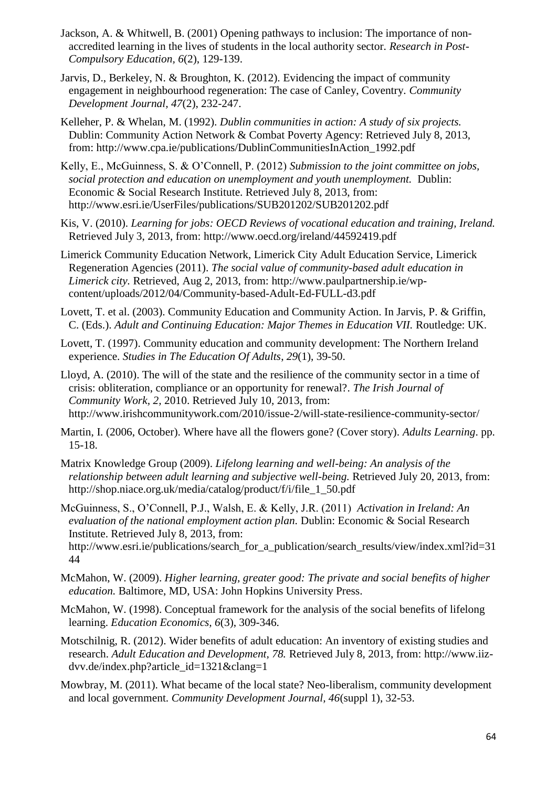- Jackson, A. & Whitwell, B. (2001) Opening pathways to inclusion: The importance of nonaccredited learning in the lives of students in the local authority sector. *Research in Post-Compulsory Education, 6*(2), 129-139.
- Jarvis, D., Berkeley, N. & Broughton, K. (2012). Evidencing the impact of community engagement in neighbourhood regeneration: The case of Canley, Coventry*. Community Development Journal, 47*(2), 232-247.
- Kelleher, P. & Whelan, M. (1992). *Dublin communities in action: A study of six projects.*  Dublin: Community Action Network & Combat Poverty Agency: Retrieved July 8, 2013, from: [http://www.cpa.ie/publications/DublinCommunitiesInAction\\_1992.pdf](http://www.cpa.ie/publications/DublinCommunitiesInAction_1992.pdf)
- Kelly, E., McGuinness, S. & O'Connell, P. (2012) *Submission to the joint committee on jobs, social protection and education on unemployment and youth unemployment.* Dublin: Economic & Social Research Institute. Retrieved July 8, 2013, from: <http://www.esri.ie/UserFiles/publications/SUB201202/SUB201202.pdf>

Kis, V. (2010). *Learning for jobs: OECD Reviews of vocational education and training, Ireland.*  Retrieved July 3, 2013, from:<http://www.oecd.org/ireland/44592419.pdf>

Limerick Community Education Network, Limerick City Adult Education Service, Limerick Regeneration Agencies (2011). *The social value of community-based adult education in Limerick city.* Retrieved, Aug 2, 2013, from: [http://www.paulpartnership.ie/wp](http://www.paulpartnership.ie/wp-content/uploads/2012/04/Community-based-Adult-Ed-FULL-d3.pdf)[content/uploads/2012/04/Community-based-Adult-Ed-FULL-d3.pdf](http://www.paulpartnership.ie/wp-content/uploads/2012/04/Community-based-Adult-Ed-FULL-d3.pdf)

Lovett, T. et al. (2003). Community Education and Community Action. In Jarvis, P. & Griffin, C. (Eds.). *Adult and Continuing Education: Major Themes in Education VII.* Routledge: UK.

Lovett, T. (1997). Community education and community development: The Northern Ireland experience. *Studies in The Education Of Adults*, *29*(1), 39-50.

Lloyd, A. (2010). The will of the state and the resilience of the community sector in a time of crisis: obliteration, compliance or an opportunity for renewal?. *The Irish Journal of Community Work, 2,* 2010. Retrieved July 10, 2013, from: <http://www.irishcommunitywork.com/2010/issue-2/will-state-resilience-community-sector/>

Martin, I. (2006, October). Where have all the flowers gone? (Cover story). *Adults Learning*. pp. 15-18.

Matrix Knowledge Group (2009). *Lifelong learning and well-being: An analysis of the relationship between adult learning and subjective well-being.* Retrieved July 20, 2013, from: [http://shop.niace.org.uk/media/catalog/product/f/i/file\\_1\\_50.pdf](http://shop.niace.org.uk/media/catalog/product/f/i/file_1_50.pdf)

McGuinness, S., O'Connell, P.J., Walsh, E. & Kelly, J.R. (2011) *Activation in Ireland: An evaluation of the national employment action plan.* Dublin: Economic & Social Research Institute. Retrieved July 8, 2013, from:

[http://www.esri.ie/publications/search\\_for\\_a\\_publication/search\\_results/view/index.xml?id=31](http://www.esri.ie/publications/search_for_a_publication/search_results/view/index.xml?id=3144) [44](http://www.esri.ie/publications/search_for_a_publication/search_results/view/index.xml?id=3144)

- McMahon, W. (2009). *Higher learning, greater good: The private and social benefits of higher education.* Baltimore, MD, USA: John Hopkins University Press.
- McMahon, W. (1998). Conceptual framework for the analysis of the social benefits of lifelong learning. *Education Economics, 6*(3), 309-346.
- Motschilnig, R. (2012). Wider benefits of adult education: An inventory of existing studies and research. *Adult Education and Development, 78.* Retrieved July 8, 2013, from: [http://www.iiz](http://www.iiz-dvv.de/index.php?article_id=1321&clang=1)[dvv.de/index.php?article\\_id=1321&clang=1](http://www.iiz-dvv.de/index.php?article_id=1321&clang=1)
- Mowbray, M. (2011). What became of the local state? Neo-liberalism, community development and local government. *Community Development Journal, 46*(suppl 1), 32-53.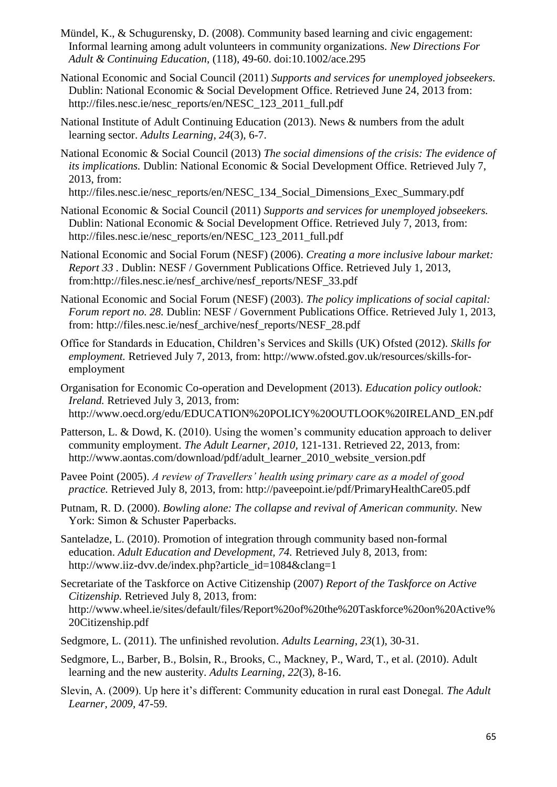- Mündel, K., & Schugurensky, D. (2008). Community based learning and civic engagement: Informal learning among adult volunteers in community organizations. *New Directions For Adult & Continuing Education*, (118), 49-60. doi:10.1002/ace.295
- National Economic and Social Council (2011) *Supports and services for unemployed jobseekers.*  Dublin: National Economic & Social Development Office. Retrieved June 24, 2013 from: [http://files.nesc.ie/nesc\\_reports/en/NESC\\_123\\_2011\\_full.pdf](http://files.nesc.ie/nesc_reports/en/NESC_123_2011_full.pdf)
- National Institute of Adult Continuing Education (2013). News & numbers from the adult learning sector. *Adults Learning*, *24*(3), 6-7.
- National Economic & Social Council (2013) *The social dimensions of the crisis: The evidence of its implications.* Dublin: National Economic & Social Development Office. Retrieved July 7, 2013, from:

[http://files.nesc.ie/nesc\\_reports/en/NESC\\_134\\_Social\\_Dimensions\\_Exec\\_Summary.pdf](http://files.nesc.ie/nesc_reports/en/NESC_134_Social_Dimensions_Exec_Summary.pdf)

- National Economic & Social Council (2011) *Supports and services for unemployed jobseekers.*  Dublin: National Economic & Social Development Office. Retrieved July 7, 2013, from: [http://files.nesc.ie/nesc\\_reports/en/NESC\\_123\\_2011\\_full.pdf](http://files.nesc.ie/nesc_reports/en/NESC_123_2011_full.pdf)
- National Economic and Social Forum (NESF) (2006). *Creating a more inclusive labour market: Report 33 .* Dublin: NESF / Government Publications Office. Retrieved July 1, 2013, from[:http://files.nesc.ie/nesf\\_archive/nesf\\_reports/NESF\\_33.pdf](http://files.nesc.ie/nesf_archive/nesf_reports/NESF_33.pdf)
- National Economic and Social Forum (NESF) (2003). *The policy implications of social capital: Forum report no. 28.* Dublin: NESF / Government Publications Office. Retrieved July 1, 2013, from: [http://files.nesc.ie/nesf\\_archive/nesf\\_reports/NESF\\_28.pdf](http://files.nesc.ie/nesf_archive/nesf_reports/NESF_28.pdf)
- Office for Standards in Education, Children's Services and Skills (UK) Ofsted (2012). *Skills for employment.* Retrieved July 7, 2013, from: [http://www.ofsted.gov.uk/resources/skills-for](http://www.ofsted.gov.uk/resources/skills-for-employment)[employment](http://www.ofsted.gov.uk/resources/skills-for-employment)

Organisation for Economic Co-operation and Development (2013). *Education policy outlook: Ireland.* Retrieved July 3, 2013, from: [http://www.oecd.org/edu/EDUCATION%20POLICY%20OUTLOOK%20IRELAND\\_EN.pdf](http://www.oecd.org/edu/EDUCATION%20POLICY%20OUTLOOK%20IRELAND_EN.pdf)

- Patterson, L. & Dowd, K. (2010). Using the women's community education approach to deliver community employment. *The Adult Learner, 2010,* 121-131. Retrieved 22, 2013, from: [http://www.aontas.com/download/pdf/adult\\_learner\\_2010\\_website\\_version.pdf](http://www.aontas.com/download/pdf/adult_learner_2010_website_version.pdf)
- Pavee Point (2005). *A review of Travellers' health using primary care as a model of good practice.* Retrieved July 8, 2013, from: <http://paveepoint.ie/pdf/PrimaryHealthCare05.pdf>
- Putnam, R. D. (2000). *Bowling alone: The collapse and revival of American community.* New York: Simon & Schuster Paperbacks.
- Santeladze, L. (2010). Promotion of integration through community based non-formal education. *Adult Education and Development, 74.* Retrieved July 8, 2013, from: [http://www.iiz-dvv.de/index.php?article\\_id=1084&clang=1](http://www.iiz-dvv.de/index.php?article_id=1084&clang=1)
- Secretariate of the Taskforce on Active Citizenship (2007) *Report of the Taskforce on Active Citizenship.* Retrieved July 8, 2013, from: [http://www.wheel.ie/sites/default/files/Report%20of%20the%20Taskforce%20on%20Active%](http://www.wheel.ie/sites/default/files/Report%20of%20the%20Taskforce%20on%20Active%20Citizenship.pdf) [20Citizenship.pdf](http://www.wheel.ie/sites/default/files/Report%20of%20the%20Taskforce%20on%20Active%20Citizenship.pdf)
- Sedgmore, L. (2011). The unfinished revolution. *Adults Learning*, *23*(1), 30-31.
- Sedgmore, L., Barber, B., Bolsin, R., Brooks, C., Mackney, P., Ward, T., et al. (2010). Adult learning and the new austerity. *Adults Learning*, *22*(3), 8-16.
- Slevin, A. (2009). Up here it's different: Community education in rural east Donegal. *The Adult Learner, 2009,* 47-59.